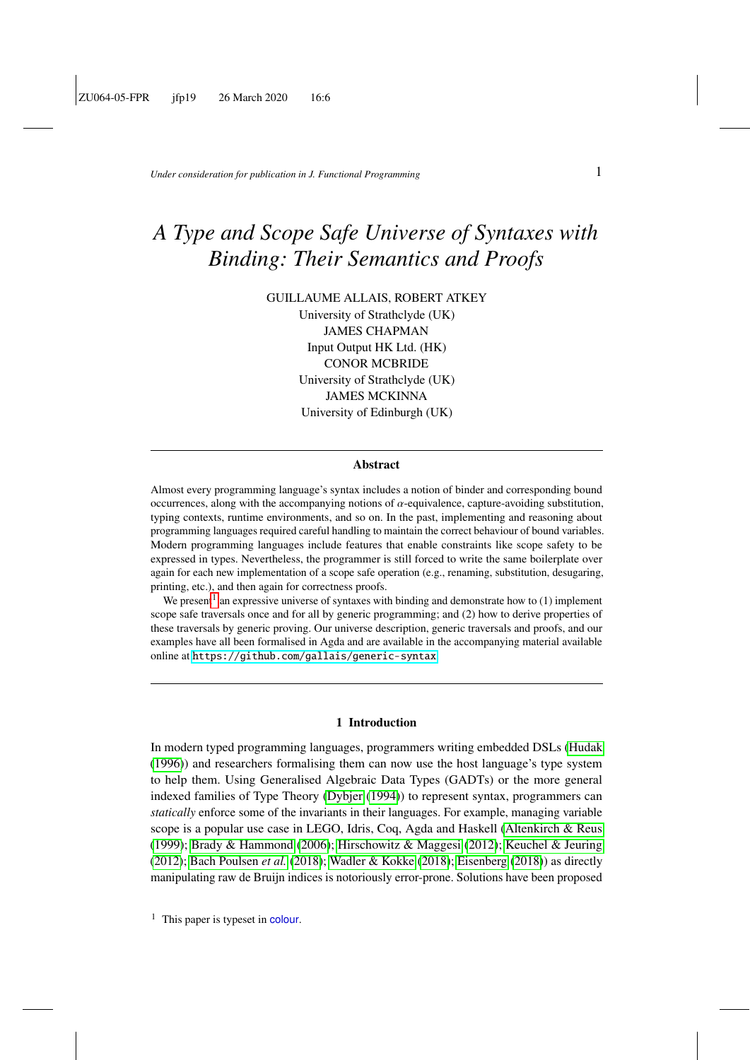*Under consideration for publication in J. Functional Programming*  $1$ 

# *A Type and Scope Safe Universe of Syntaxes with Binding: Their Semantics and Proofs*

GUILLAUME ALLAIS, ROBERT ATKEY University of Strathclyde (UK) JAMES CHAPMAN Input Output HK Ltd. (HK) CONOR MCBRIDE University of Strathclyde (UK) JAMES MCKINNA University of Edinburgh (UK)

#### Abstract

Almost every programming language's syntax includes a notion of binder and corresponding bound occurrences, along with the accompanying notions of  $\alpha$ -equivalence, capture-avoiding substitution, typing contexts, runtime environments, and so on. In the past, implementing and reasoning about programming languages required careful handling to maintain the correct behaviour of bound variables. Modern programming languages include features that enable constraints like scope safety to be expressed in types. Nevertheless, the programmer is still forced to write the same boilerplate over again for each new implementation of a scope safe operation (e.g., renaming, substitution, desugaring, printing, etc.), and then again for correctness proofs.

We present<sup>[1](#page-0-0)</sup> an expressive universe of syntaxes with binding and demonstrate how to (1) implement scope safe traversals once and for all by generic programming; and (2) how to derive properties of these traversals by generic proving. Our universe description, generic traversals and proofs, and our examples have all been formalised in Agda and are available in the accompanying material available online at <https://github.com/gallais/generic-syntax>.

### 1 Introduction

In modern typed programming languages, programmers writing embedded DSLs [\(Hudak](#page-58-0) [\(1996\)](#page-58-0)) and researchers formalising them can now use the host language's type system to help them. Using Generalised Algebraic Data Types (GADTs) or the more general indexed families of Type Theory [\(Dybjer](#page-57-0) [\(1994\)](#page-57-0)) to represent syntax, programmers can *statically* enforce some of the invariants in their languages. For example, managing variable scope is a popular use case in LEGO, Idris, Coq, Agda and Haskell [\(Altenkirch & Reus](#page-55-0) [\(1999\)](#page-55-0); [Brady & Hammond](#page-56-0) [\(2006\)](#page-56-0); [Hirschowitz & Maggesi](#page-58-1) [\(2012\)](#page-58-1); [Keuchel & Jeuring](#page-58-2) [\(2012\)](#page-58-2); [Bach Poulsen](#page-55-1) *et al.* [\(2018\)](#page-55-1); [Wadler & Kokke](#page-60-0) [\(2018\)](#page-60-0); [Eisenberg](#page-57-1) [\(2018\)](#page-57-1)) as directly manipulating raw de Bruijn indices is notoriously error-prone. Solutions have been proposed

<span id="page-0-0"></span> $<sup>1</sup>$  This paper is typeset in colour.</sup>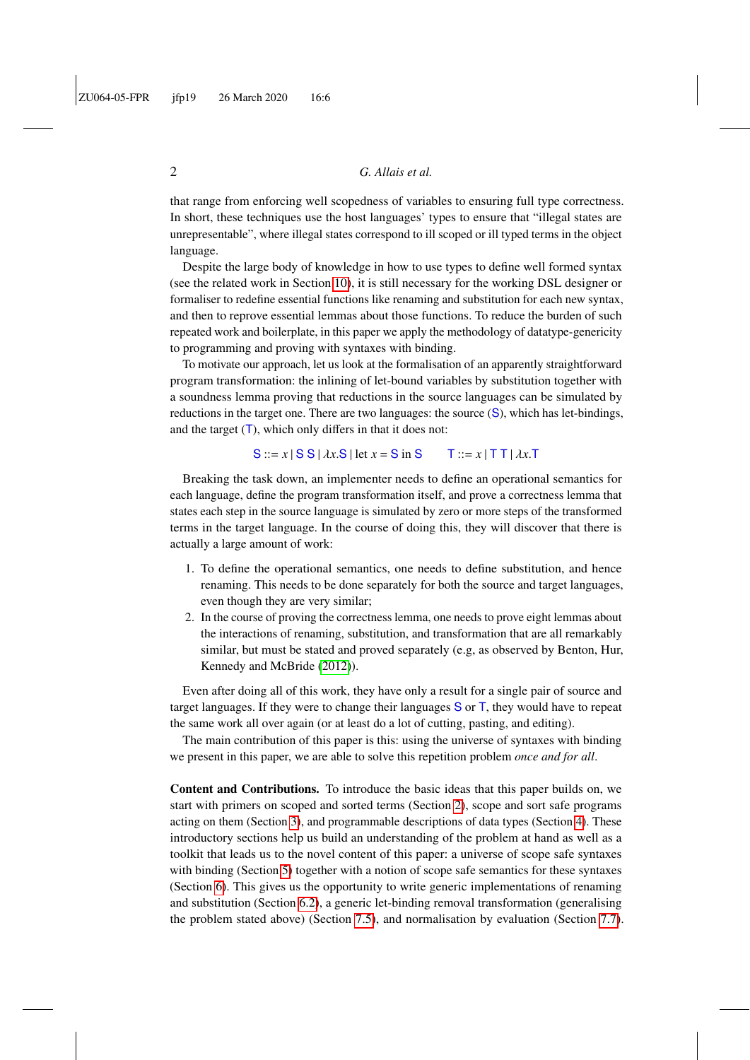that range from enforcing well scopedness of variables to ensuring full type correctness. In short, these techniques use the host languages' types to ensure that "illegal states are unrepresentable", where illegal states correspond to ill scoped or ill typed terms in the object language.

Despite the large body of knowledge in how to use types to define well formed syntax (see the related work in Section [10\)](#page-49-0), it is still necessary for the working DSL designer or formaliser to redefine essential functions like renaming and substitution for each new syntax, and then to reprove essential lemmas about those functions. To reduce the burden of such repeated work and boilerplate, in this paper we apply the methodology of datatype-genericity to programming and proving with syntaxes with binding.

To motivate our approach, let us look at the formalisation of an apparently straightforward program transformation: the inlining of let-bound variables by substitution together with a soundness lemma proving that reductions in the source languages can be simulated by reductions in the target one. There are two languages: the source (S), which has let-bindings, and the target  $(T)$ , which only differs in that it does not:

$$
S ::= x | S S | \lambda x.S | let x = S in S \qquad T ::= x | T T | \lambda x.T
$$

Breaking the task down, an implementer needs to define an operational semantics for each language, define the program transformation itself, and prove a correctness lemma that states each step in the source language is simulated by zero or more steps of the transformed terms in the target language. In the course of doing this, they will discover that there is actually a large amount of work:

- 1. To define the operational semantics, one needs to define substitution, and hence renaming. This needs to be done separately for both the source and target languages, even though they are very similar;
- 2. In the course of proving the correctness lemma, one needs to prove eight lemmas about the interactions of renaming, substitution, and transformation that are all remarkably similar, but must be stated and proved separately (e.g, as observed by Benton, Hur, Kennedy and McBride [\(2012\)](#page-55-2)).

Even after doing all of this work, they have only a result for a single pair of source and target languages. If they were to change their languages  $S$  or  $T$ , they would have to repeat the same work all over again (or at least do a lot of cutting, pasting, and editing).

The main contribution of this paper is this: using the universe of syntaxes with binding we present in this paper, we are able to solve this repetition problem *once and for all*.

Content and Contributions. To introduce the basic ideas that this paper builds on, we start with primers on scoped and sorted terms (Section [2\)](#page-2-0), scope and sort safe programs acting on them (Section [3\)](#page-5-0), and programmable descriptions of data types (Section [4\)](#page-12-0). These introductory sections help us build an understanding of the problem at hand as well as a toolkit that leads us to the novel content of this paper: a universe of scope safe syntaxes with binding (Section [5\)](#page-14-0) together with a notion of scope safe semantics for these syntaxes (Section [6\)](#page-18-0). This gives us the opportunity to write generic implementations of renaming and substitution (Section [6.2\)](#page-20-0), a generic let-binding removal transformation (generalising the problem stated above) (Section [7.5\)](#page-31-0), and normalisation by evaluation (Section [7.7\)](#page-36-0).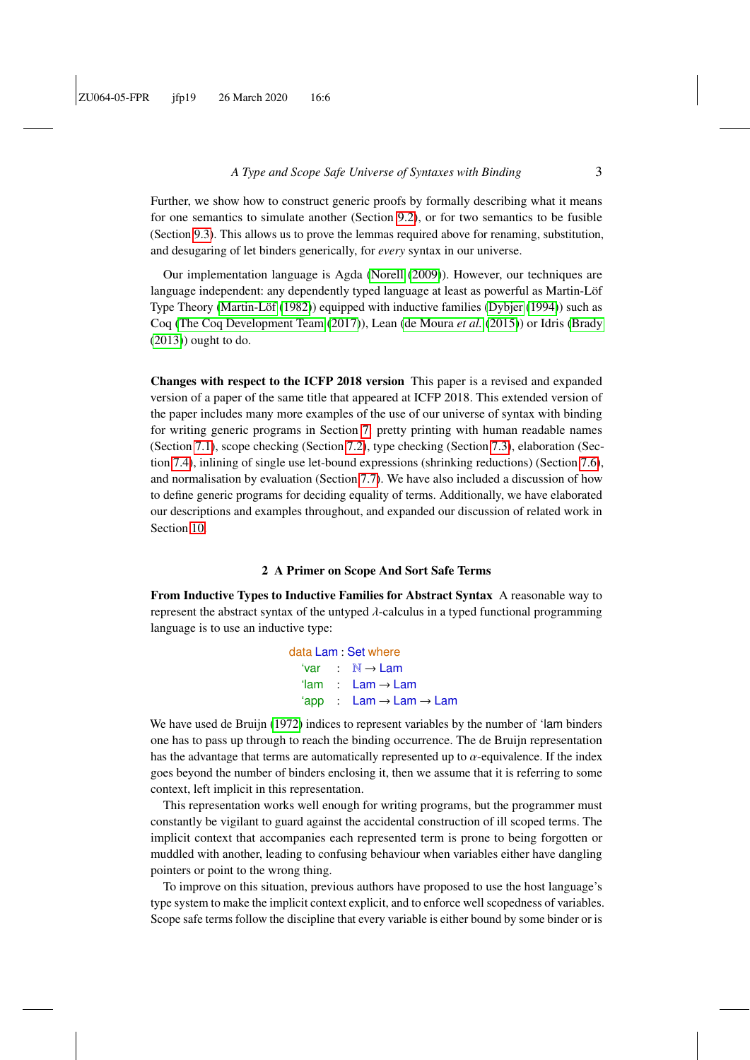Further, we show how to construct generic proofs by formally describing what it means for one semantics to simulate another (Section [9.2\)](#page-43-0), or for two semantics to be fusible (Section [9.3\)](#page-45-0). This allows us to prove the lemmas required above for renaming, substitution, and desugaring of let binders generically, for *every* syntax in our universe.

Our implementation language is Agda [\(Norell](#page-59-0) [\(2009\)](#page-59-0)). However, our techniques are language independent: any dependently typed language at least as powerful as Martin-Löf Type Theory [\(Martin-Löf](#page-59-1) [\(1982\)](#page-59-1)) equipped with inductive families [\(Dybjer](#page-57-0) [\(1994\)](#page-57-0)) such as Coq [\(The Coq Development Team](#page-59-2) [\(2017\)](#page-59-2)), Lean [\(de Moura](#page-57-2) *et al.* [\(2015\)](#page-57-2)) or Idris [\(Brady](#page-56-1)  $(2013)$ ) ought to do.

Changes with respect to the ICFP 2018 version This paper is a revised and expanded version of a paper of the same title that appeared at ICFP 2018. This extended version of the paper includes many more examples of the use of our universe of syntax with binding for writing generic programs in Section [7:](#page-21-0) pretty printing with human readable names (Section [7.1\)](#page-21-1), scope checking (Section [7.2\)](#page-24-0), type checking (Section [7.3\)](#page-26-0), elaboration (Section [7.4\)](#page-28-0), inlining of single use let-bound expressions (shrinking reductions) (Section [7.6\)](#page-33-0), and normalisation by evaluation (Section [7.7\)](#page-36-0). We have also included a discussion of how to define generic programs for deciding equality of terms. Additionally, we have elaborated our descriptions and examples throughout, and expanded our discussion of related work in Section [10.](#page-49-0)

#### 2 A Primer on Scope And Sort Safe Terms

<span id="page-2-0"></span>From Inductive Types to Inductive Families for Abstract Syntax A reasonable way to represent the abstract syntax of the untyped  $\lambda$ -calculus in a typed functional programming language is to use an inductive type:

> data Lam : Set where 'var : N → Lam 'lam : Lam → Lam  $'app$  : Lam  $\rightarrow$  Lam  $\rightarrow$  Lam

We have used de Bruijn [\(1972\)](#page-57-3) indices to represent variables by the number of 'lam binders one has to pass up through to reach the binding occurrence. The de Bruijn representation has the advantage that terms are automatically represented up to  $\alpha$ -equivalence. If the index goes beyond the number of binders enclosing it, then we assume that it is referring to some context, left implicit in this representation.

This representation works well enough for writing programs, but the programmer must constantly be vigilant to guard against the accidental construction of ill scoped terms. The implicit context that accompanies each represented term is prone to being forgotten or muddled with another, leading to confusing behaviour when variables either have dangling pointers or point to the wrong thing.

To improve on this situation, previous authors have proposed to use the host language's type system to make the implicit context explicit, and to enforce well scopedness of variables. Scope safe terms follow the discipline that every variable is either bound by some binder or is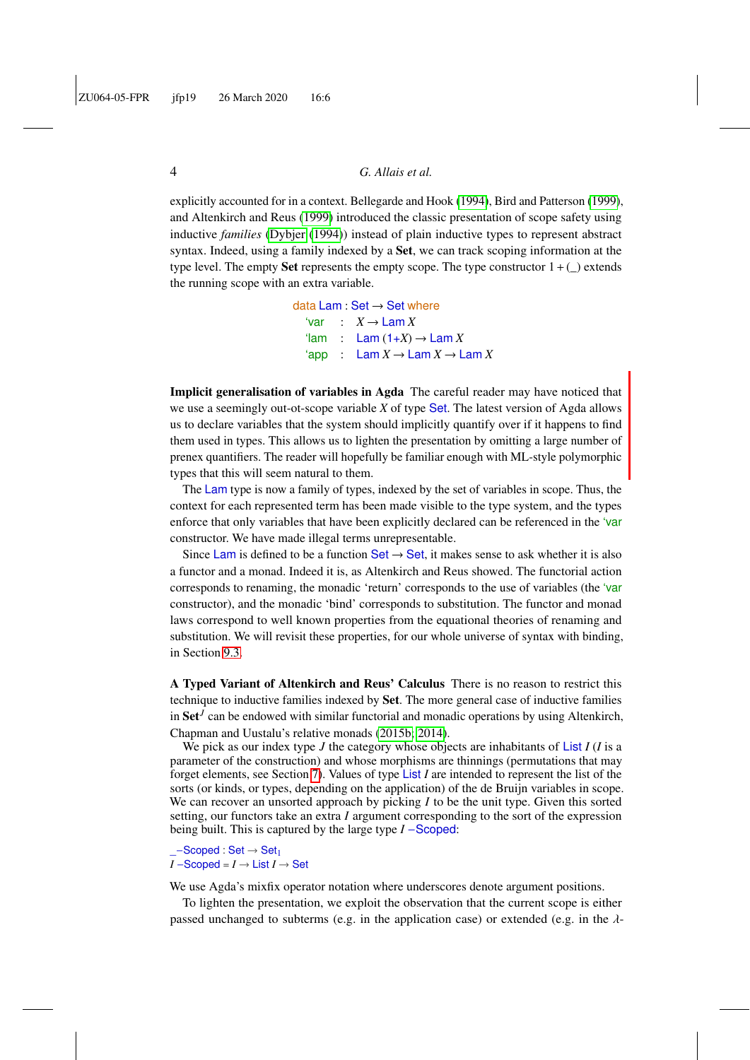explicitly accounted for in a context. Bellegarde and Hook [\(1994\)](#page-55-3), Bird and Patterson [\(1999\)](#page-56-2), and Altenkirch and Reus [\(1999\)](#page-55-0) introduced the classic presentation of scope safety using inductive *families* [\(Dybjer](#page-57-0) [\(1994\)](#page-57-0)) instead of plain inductive types to represent abstract syntax. Indeed, using a family indexed by a **Set**, we can track scoping information at the type level. The empty Set represents the empty scope. The type constructor  $1 + ($ the running scope with an extra variable.

> data Lam : Set  $\rightarrow$  Set where  $\text{Var}$  :  $X \rightarrow \text{Lam } X$  $\text{Iam}$  : Lam  $(1+X) \rightarrow \text{Lam } X$  $'app$  : Lam  $X \to$  Lam  $X \to$  Lam  $X$

Implicit generalisation of variables in Agda The careful reader may have noticed that we use a seemingly out-ot-scope variable *X* of type Set. The latest version of Agda allows us to declare variables that the system should implicitly quantify over if it happens to find them used in types. This allows us to lighten the presentation by omitting a large number of prenex quantifiers. The reader will hopefully be familiar enough with ML-style polymorphic types that this will seem natural to them.

The Lam type is now a family of types, indexed by the set of variables in scope. Thus, the context for each represented term has been made visible to the type system, and the types enforce that only variables that have been explicitly declared can be referenced in the 'variable' constructor. We have made illegal terms unrepresentable.

Since Lam is defined to be a function Set  $\rightarrow$  Set, it makes sense to ask whether it is also a functor and a monad. Indeed it is, as Altenkirch and Reus showed. The functorial action corresponds to renaming, the monadic 'return' corresponds to the use of variables (the 'var constructor), and the monadic 'bind' corresponds to substitution. The functor and monad laws correspond to well known properties from the equational theories of renaming and substitution. We will revisit these properties, for our whole universe of syntax with binding, in Section [9.3.](#page-45-0)

<span id="page-3-0"></span>A Typed Variant of Altenkirch and Reus' Calculus There is no reason to restrict this technique to inductive families indexed by Set. The more general case of inductive families in Set*<sup>J</sup>* can be endowed with similar functorial and monadic operations by using Altenkirch, Chapman and Uustalu's relative monads [\(2015b;](#page-55-4) [2014\)](#page-55-5).

We pick as our index type *J* the category whose objects are inhabitants of List *I* (*I* is a parameter of the construction) and whose morphisms are thinnings (permutations that may forget elements, see Section [7\)](#page-7-0). Values of type List *I* are intended to represent the list of the sorts (or kinds, or types, depending on the application) of the de Bruijn variables in scope. We can recover an unsorted approach by picking *I* to be the unit type. Given this sorted setting, our functors take an extra *I* argument corresponding to the sort of the expression being built. This is captured by the large type *I* −Scoped:

\_−Scoped : Set → Set<sup>1</sup>  $I$  –Scoped =  $I \rightarrow$  List  $I \rightarrow$  Set

We use Agda's mixfix operator notation where underscores denote argument positions.

To lighten the presentation, we exploit the observation that the current scope is either passed unchanged to subterms (e.g. in the application case) or extended (e.g. in the  $\lambda$ -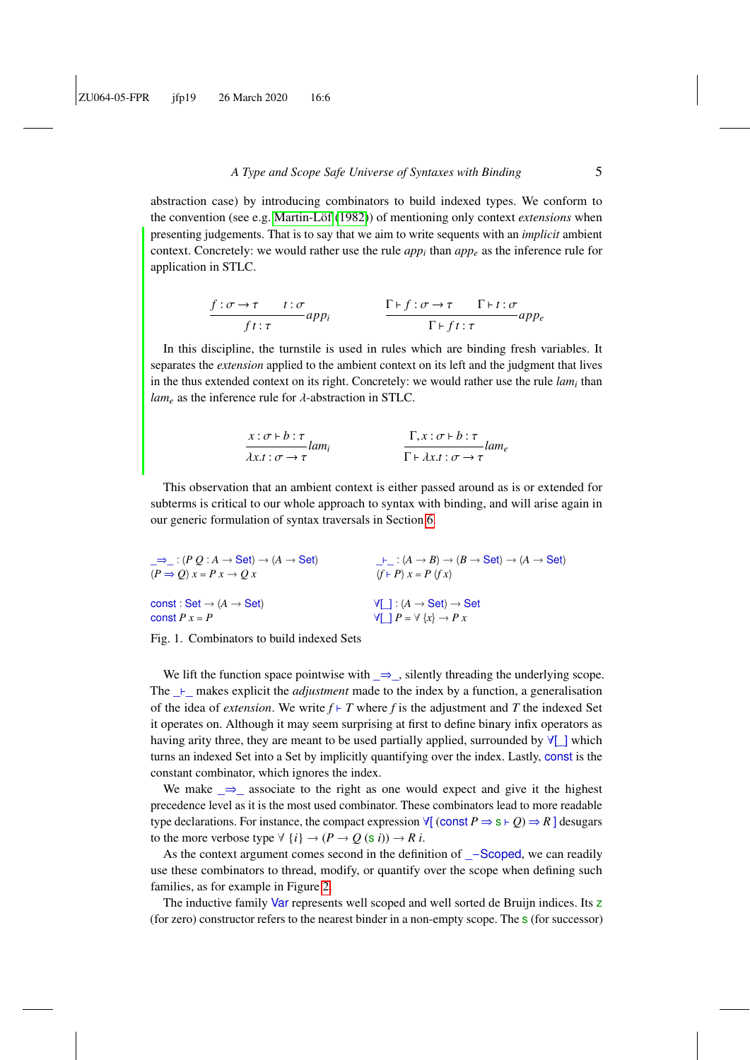abstraction case) by introducing combinators to build indexed types. We conform to the convention (see e.g. [Martin-Löf](#page-59-1) [\(1982\)](#page-59-1)) of mentioning only context *extensions* when presenting judgements. That is to say that we aim to write sequents with an *implicit* ambient context. Concretely: we would rather use the rule  $app<sub>i</sub>$  than  $app<sub>e</sub>$  as the inference rule for application in STLC.

$$
\frac{f: \sigma \to \tau \qquad t: \sigma}{f t: \tau} app_i \qquad \frac{\Gamma \vdash f: \sigma \to \tau \qquad \Gamma \vdash t: \sigma}{\Gamma \vdash f t: \tau} app_e
$$

In this discipline, the turnstile is used in rules which are binding fresh variables. It separates the *extension* applied to the ambient context on its left and the judgment that lives in the thus extended context on its right. Concretely: we would rather use the rule *lam<sup>i</sup>* than  $lam_e$  as the inference rule for  $\lambda$ -abstraction in STLC.

$$
\frac{x:\sigma \vdash b:\tau}{\lambda x.t:\sigma \rightarrow \tau} lam_i
$$
\n
$$
\frac{\Gamma, x:\sigma \vdash b:\tau}{\Gamma \vdash \lambda x.t:\sigma \rightarrow \tau} lam_e
$$

This observation that an ambient context is either passed around as is or extended for subterms is critical to our whole approach to syntax with binding, and will arise again in our generic formulation of syntax traversals in Section [6.](#page-18-0)

| $\Rightarrow$ : $(P Q : A \rightarrow Set) \rightarrow (A \rightarrow Set)$ | $\vdash$ : $(A \rightarrow B) \rightarrow (B \rightarrow Set) \rightarrow (A \rightarrow Set)$ |
|-----------------------------------------------------------------------------|------------------------------------------------------------------------------------------------|
| $(P \Rightarrow Q) x = P x \rightarrow Q x$                                 | $(f \rhd P) x = P(fx)$                                                                         |
| const: Set $\rightarrow$ (A $\rightarrow$ Set)                              | $\forall$ [ ] : (A $\rightarrow$ Set) $\rightarrow$ Set                                        |
| const $P x = P$                                                             | $\forall \Box P = \forall \ \{x\} \rightarrow P \ x$                                           |



We lift the function space pointwise with  $\Rightarrow$ , silently threading the underlying scope. The  $\perp$  makes explicit the *adjustment* made to the index by a function, a generalisation of the idea of *extension*. We write  $f \vdash T$  where  $f$  is the adjustment and  $T$  the indexed Set it operates on. Although it may seem surprising at first to define binary infix operators as having arity three, they are meant to be used partially applied, surrounded by  $\forall$ [ $\parallel$  which turns an indexed Set into a Set by implicitly quantifying over the index. Lastly, const is the constant combinator, which ignores the index.

We make  $\Rightarrow$  associate to the right as one would expect and give it the highest precedence level as it is the most used combinator. These combinators lead to more readable type declarations. For instance, the compact expression  $\forall$ [ (const *P*  $\Rightarrow$  s  $\vdash Q$ )  $\Rightarrow$  *R* ] desugars to the more verbose type  $\forall$  {*i*}  $\rightarrow$  (*P*  $\rightarrow$  *Q* (s *i*))  $\rightarrow$  *R i*.

As the context argument comes second in the definition of  $\overline{\phantom{a}}$  –Scoped, we can readily use these combinators to thread, modify, or quantify over the scope when defining such families, as for example in Figure [2.](#page-5-1)

The inductive family Var represents well scoped and well sorted de Bruijn indices. Its z (for zero) constructor refers to the nearest binder in a non-empty scope. The s (for successor)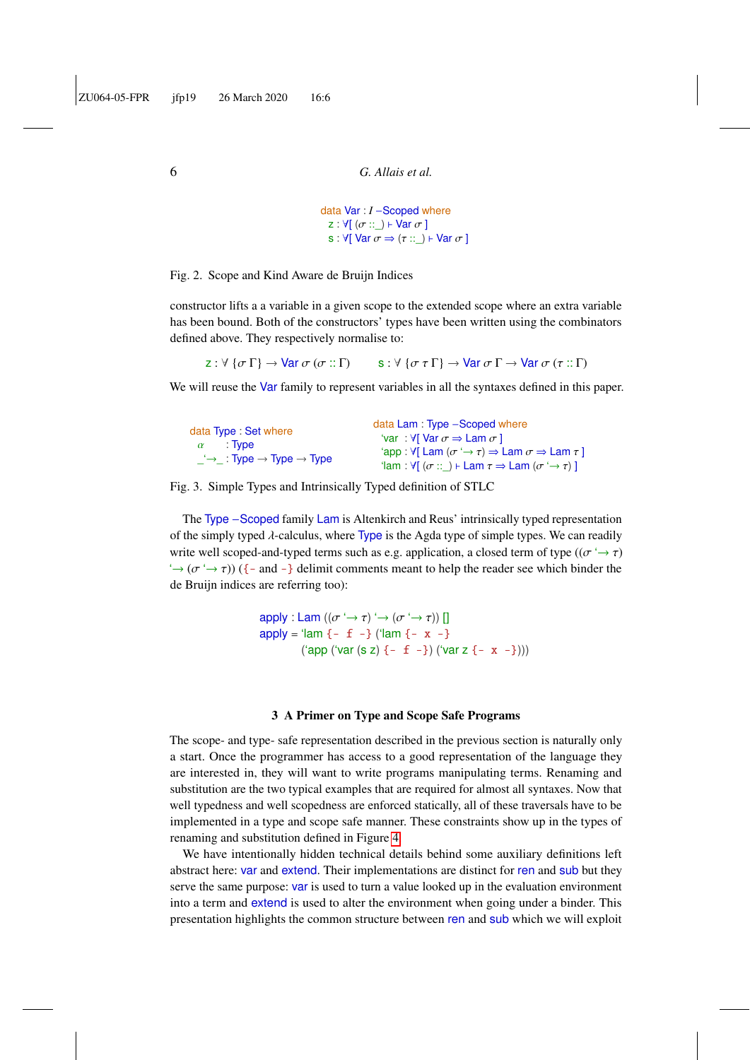```
data Var : I −Scoped where
  z : \forall[ (\sigma ::_) \vdash Var \sigma ]
  s : \forall[ Var \sigma \Rightarrow (\tau ::=) \vdash \text{Var } \sigma ]
```
#### Fig. 2. Scope and Kind Aware de Bruijn Indices

constructor lifts a a variable in a given scope to the extended scope where an extra variable has been bound. Both of the constructors' types have been written using the combinators defined above. They respectively normalise to:

z :  $\forall$  { $\sigma \Gamma$ }  $\rightarrow$  Var  $\sigma$  ( $\sigma :: \Gamma$ ) s :  $\forall$  { $\sigma \tau \Gamma$ }  $\rightarrow$  Var  $\sigma \Gamma \rightarrow$  Var  $\sigma$  ( $\tau :: \Gamma$ )

We will reuse the Var family to represent variables in all the syntaxes defined in this paper.

Fig. 3. Simple Types and Intrinsically Typed definition of STLC

The Type –Scoped family Lam is Altenkirch and Reus' intrinsically typed representation of the simply typed  $\lambda$ -calculus, where Type is the Agda type of simple types. We can readily write well scoped-and-typed terms such as e.g. application, a closed term of type  $((\sigma \rightarrow \tau)$  $\rightarrow$  ( $\sigma$   $\rightarrow$   $\tau$ )) ({- and -} delimit comments meant to help the reader see which binder the de Bruijn indices are referring too):

> apply : Lam  $((\sigma \rightarrow \tau) \rightarrow (\sigma \rightarrow \tau))$ apply = 'lam  $\{-f -\}$  ('lam  $\{-x -\}$ ('app ('var (s z)  $\{-f -\}$ ) ('var z  $\{-x -\}$ )))

#### 3 A Primer on Type and Scope Safe Programs

<span id="page-5-0"></span>The scope- and type- safe representation described in the previous section is naturally only a start. Once the programmer has access to a good representation of the language they are interested in, they will want to write programs manipulating terms. Renaming and substitution are the two typical examples that are required for almost all syntaxes. Now that well typedness and well scopedness are enforced statically, all of these traversals have to be implemented in a type and scope safe manner. These constraints show up in the types of renaming and substitution defined in Figure [4.](#page-6-0)

We have intentionally hidden technical details behind some auxiliary definitions left abstract here: var and extend. Their implementations are distinct for ren and sub but they serve the same purpose: var is used to turn a value looked up in the evaluation environment into a term and extend is used to alter the environment when going under a binder. This presentation highlights the common structure between ren and sub which we will exploit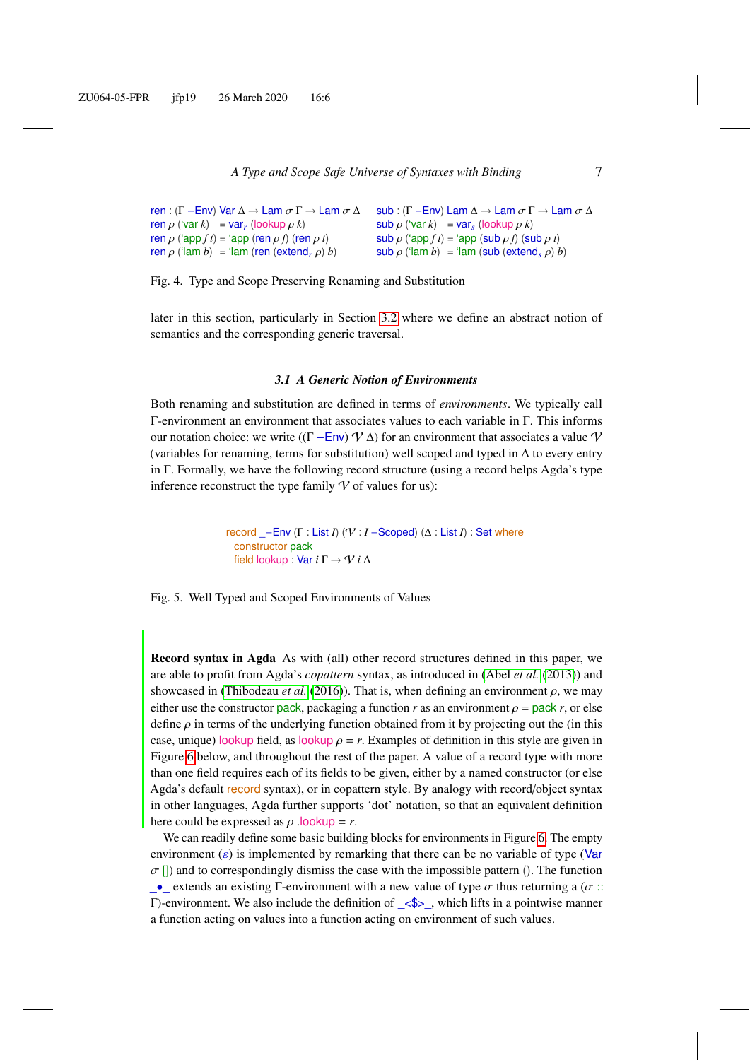```
A Type and Scope Safe Universe of Syntaxes with Binding 7
```

```
ren : (Γ −Env) Var \Delta \rightarrow Lam \sigma \Gamma \rightarrow Lam \sigma \Delta\text{ren } \rho \text{ ('var } k) = \text{var }_r \text{ (lookup } \rho \text{ } k)ren ρ ('app f t) = 'app (ren ρ f) (ren ρ t)
\text{ren } \rho \text{ ('lam } b) = \text{ 'lam (ren (extend, \rho) } b)sub : (Γ – Env) Lam \Delta \to Lam \sigma \Gamma \to Lam \sigma \Delta\mathsf{sub}\,\rho ('var k) = var<sub>s</sub> (lookup \rho k)
                                                                                  \textsf{sub}\,\rho ('app f t) = 'app (sub \rho f) (sub \rho t)
                                                                                  \mathsf{sub}\,\rho ('lam b) = 'lam (sub (extend<sub>s</sub> \rho) b)
```
Fig. 4. Type and Scope Preserving Renaming and Substitution

later in this section, particularly in Section [3.2](#page-8-0) where we define an abstract notion of semantics and the corresponding generic traversal.

#### <span id="page-6-0"></span>*3.1 A Generic Notion of Environments*

<span id="page-6-1"></span>Both renaming and substitution are defined in terms of *environments*. We typically call Γ-environment an environment that associates values to each variable in Γ. This informs our notation choice: we write ( $(\Gamma - \text{Env}) \mathcal{V}(\Delta)$  for an environment that associates a value  $\mathcal{V}$ (variables for renaming, terms for substitution) well scoped and typed in ∆ to every entry in Γ. Formally, we have the following record structure (using a record helps Agda's type inference reconstruct the type family  $\mathcal V$  of values for us):

> <span id="page-6-2"></span>record \_−Env (Γ : List *I*) (V : *I* −Scoped) (∆ : List *I*) : Set where constructor pack field lookup : Var *i* Γ → V *i* ∆

Fig. 5. Well Typed and Scoped Environments of Values

Record syntax in Agda As with (all) other record structures defined in this paper, we are able to profit from Agda's *copattern* syntax, as introduced in [\(Abel](#page-54-0) *et al.* [\(2013\)](#page-54-0)) and showcased in [\(Thibodeau](#page-59-3) *et al.* [\(2016\)](#page-59-3)). That is, when defining an environment  $\rho$ , we may either use the constructor pack, packaging a function *r* as an environment  $\rho =$  pack *r*, or else define  $\rho$  in terms of the underlying function obtained from it by projecting out the (in this case, unique) lookup field, as lookup  $\rho = r$ . Examples of definition in this style are given in Figure [6](#page-7-1) below, and throughout the rest of the paper. A value of a record type with more than one field requires each of its fields to be given, either by a named constructor (or else Agda's default record syntax), or in copattern style. By analogy with record/object syntax in other languages, Agda further supports 'dot' notation, so that an equivalent definition here could be expressed as  $\rho$  .lookup = *r*.

We can readily define some basic building blocks for environments in Figure [6.](#page-7-1) The empty environment  $(\varepsilon)$  is implemented by remarking that there can be no variable of type (Var  $\sigma$  []) and to correspondingly dismiss the case with the impossible pattern (). The function  $\bullet$  extends an existing Γ-environment with a new value of type  $\sigma$  thus returning a ( $\sigma$  :: Γ)-environment. We also include the definition of  $\langle$ \$ >, which lifts in a pointwise manner a function acting on values into a function acting on environment of such values.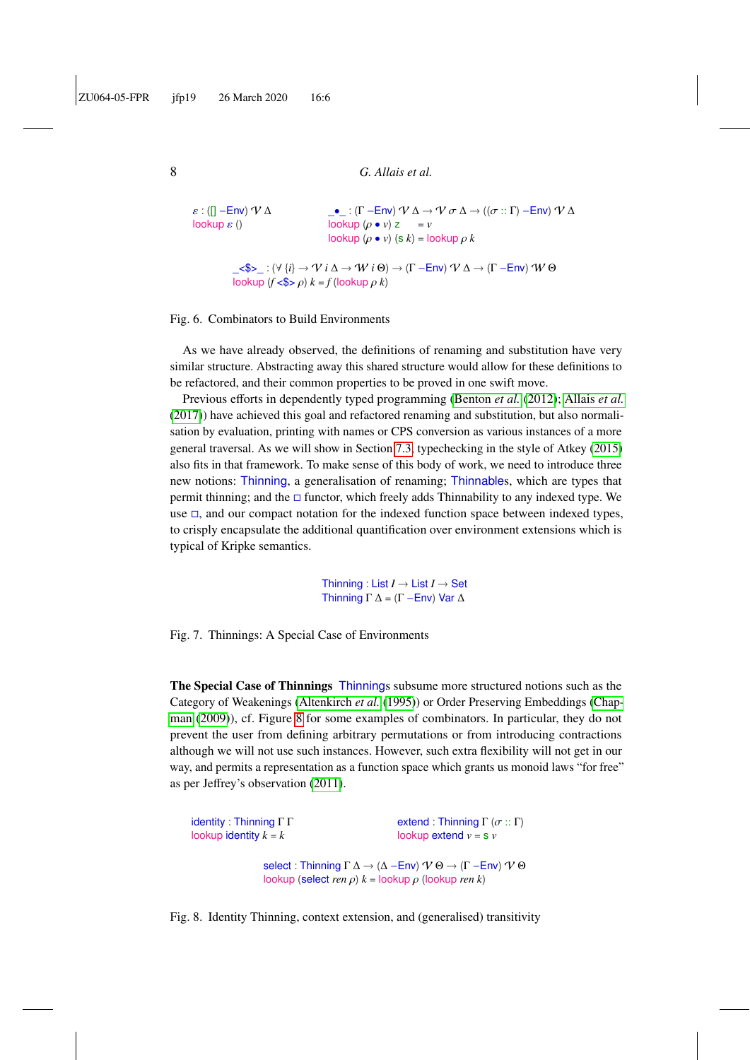```
8 G. Allais et al.
```

```
ε : ([] – Env) V Δ
lookup \varepsilon ()
                                                            \frac{1}{\pi} : (Γ – Env) \mathcal{V} \Delta \rightarrow \mathcal{V} \sigma \Delta \rightarrow ((\sigma :: \Gamma) - \text{Env}) \mathcal{V} \Delta<br>lookup (\rho \bullet v) z = vlookup (ρ • v) zlookup (ρ • v) (s k) = lookup ρ k
```

```
_<$>_ : (∀ {i} → V i ∆ → W i Θ) → (Γ −Env) V ∆ → (Γ −Env) W Θ
lookup (f <$> ρ) k = f (lookup ρ k)
```
Fig. 6. Combinators to Build Environments

As we have already observed, the definitions of renaming and substitution have very similar structure. Abstracting away this shared structure would allow for these definitions to be refactored, and their common properties to be proved in one swift move.

Previous efforts in dependently typed programming [\(Benton](#page-55-2) *et al.* [\(2012\)](#page-55-2); [Allais](#page-55-6) *et al.* [\(2017\)](#page-55-6)) have achieved this goal and refactored renaming and substitution, but also normalisation by evaluation, printing with names or CPS conversion as various instances of a more general traversal. As we will show in Section [7.3,](#page-26-0) typechecking in the style of Atkey [\(2015\)](#page-55-7) also fits in that framework. To make sense of this body of work, we need to introduce three new notions: Thinning, a generalisation of renaming; Thinnables, which are types that permit thinning; and the  $\Box$  functor, which freely adds Thinnability to any indexed type. We use  $\Box$ , and our compact notation for the indexed function space between indexed types, to crisply encapsulate the additional quantification over environment extensions which is typical of Kripke semantics.

> <span id="page-7-0"></span>Thinning : List  $I \rightarrow$  List  $I \rightarrow$  Set Thinning  $\Gamma \Delta = (\Gamma - \text{Env}) \text{ Var } \Delta$

Fig. 7. Thinnings: A Special Case of Environments

The Special Case of Thinnings Thinnings subsume more structured notions such as the Category of Weakenings [\(Altenkirch](#page-55-8) *et al.* [\(1995\)](#page-55-8)) or Order Preserving Embeddings [\(Chap](#page-56-3)[man](#page-56-3) [\(2009\)](#page-56-3)), cf. Figure [8](#page-7-2) for some examples of combinators. In particular, they do not prevent the user from defining arbitrary permutations or from introducing contractions although we will not use such instances. However, such extra flexibility will not get in our way, and permits a representation as a function space which grants us monoid laws "for free" as per Jeffrey's observation [\(2011\)](#page-58-3).

```
identity : Thinning Γ Γ
lookup identity k = kextend : Thinning \Gamma (\sigma :: \Gamma)
                                                                    lookup extend v = s vselect : Thinning \Gamma \Delta \rightarrow (\Delta - \text{Env}) \, \mathcal{V} \, \Theta \rightarrow (\Gamma - \text{Env}) \, \mathcal{V} \, \Thetalookup (select ren ρ) k = lookup ρ (lookup ren k)
```
Fig. 8. Identity Thinning, context extension, and (generalised) transitivity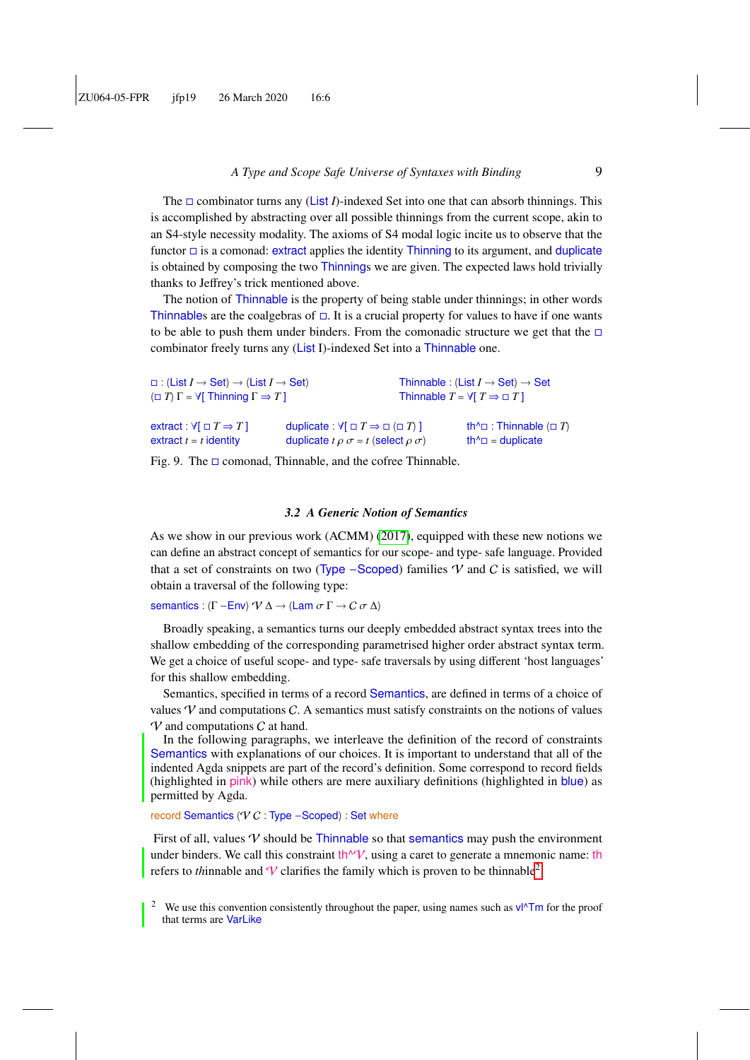The  $\Box$  combinator turns any (List *I*)-indexed Set into one that can absorb thinnings. This is accomplished by abstracting over all possible thinnings from the current scope, akin to an S4-style necessity modality. The axioms of S4 modal logic incite us to observe that the functor  $\Box$  is a comonad: extract applies the identity Thinning to its argument, and duplicate is obtained by composing the two Thinnings we are given. The expected laws hold trivially thanks to Jeffrey's trick mentioned above.

The notion of Thinnable is the property of being stable under thinnings; in other words Thinnables are the coalgebras of  $\Box$ . It is a crucial property for values to have if one wants to be able to push them under binders. From the comonadic structure we get that the  $\Box$ combinator freely turns any (List I)-indexed Set into a Thinnable one.

| $\Box$ : (List $I \rightarrow$ Set) $\rightarrow$ (List $I \rightarrow$ Set)<br>$(\Box T)$ $\Gamma = \forall$ Thinning $\Gamma \Rightarrow T$ T |                                                                     | Thinnable $T = \forall T \Rightarrow \Box T$ | Thinnable: (List $I \rightarrow$ Set) $\rightarrow$ Set   |
|-------------------------------------------------------------------------------------------------------------------------------------------------|---------------------------------------------------------------------|----------------------------------------------|-----------------------------------------------------------|
| extract: $\forall$ [ $\Box$ $T \Rightarrow T$ ]                                                                                                 | duplicate : $\forall$ [ $\Box$ $T \Rightarrow \Box$ ( $\Box$ $T$ )] |                                              | th <sup><math>\wedge</math></sup> : Thinnable ( $\Box$ T) |
| extract $t = t$ identity                                                                                                                        | duplicate $t \rho \sigma = t$ (select $\rho \sigma$ )               |                                              | th $\Delta$ = duplicate                                   |

<span id="page-8-2"></span>Fig. 9. The  $\Box$  comonad, Thinnable, and the cofree Thinnable.

#### *3.2 A Generic Notion of Semantics*

<span id="page-8-0"></span>As we show in our previous work (ACMM) [\(2017\)](#page-55-6), equipped with these new notions we can define an abstract concept of semantics for our scope- and type- safe language. Provided that a set of constraints on two (Type –Scoped) families  $\mathcal V$  and C is satisfied, we will obtain a traversal of the following type:

#### semantics : (Γ – Env)  $\mathcal{V} \Delta \rightarrow$  (Lam  $\sigma \Gamma \rightarrow C \sigma \Delta$ )

Broadly speaking, a semantics turns our deeply embedded abstract syntax trees into the shallow embedding of the corresponding parametrised higher order abstract syntax term. We get a choice of useful scope- and type- safe traversals by using different 'host languages' for this shallow embedding.

Semantics, specified in terms of a record Semantics, are defined in terms of a choice of values  $\mathcal V$  and computations C. A semantics must satisfy constraints on the notions of values  $\mathcal V$  and computations  $\mathcal C$  at hand.

In the following paragraphs, we interleave the definition of the record of constraints Semantics with explanations of our choices. It is important to understand that all of the indented Agda snippets are part of the record's definition. Some correspond to record fields (highlighted in pink) while others are mere auxiliary definitions (highlighted in blue) as permitted by Agda.

#### record Semantics ( $VC$  : Type  $-$ Scoped) : Set where

First of all, values  $\mathcal V$  should be Thinnable so that semantics may push the environment under binders. We call this constraint th $\wedge^{\prime}V$ , using a caret to generate a mnemonic name: the refers to *th*innable and  $\mathcal V$  clarifies the family which is proven to be thinnable<sup>[2](#page-8-1)</sup>.

<span id="page-8-1"></span>We use this convention consistently throughout the paper, using names such as  $vl^{\Delta}Tm$  for the proof that terms are VarLike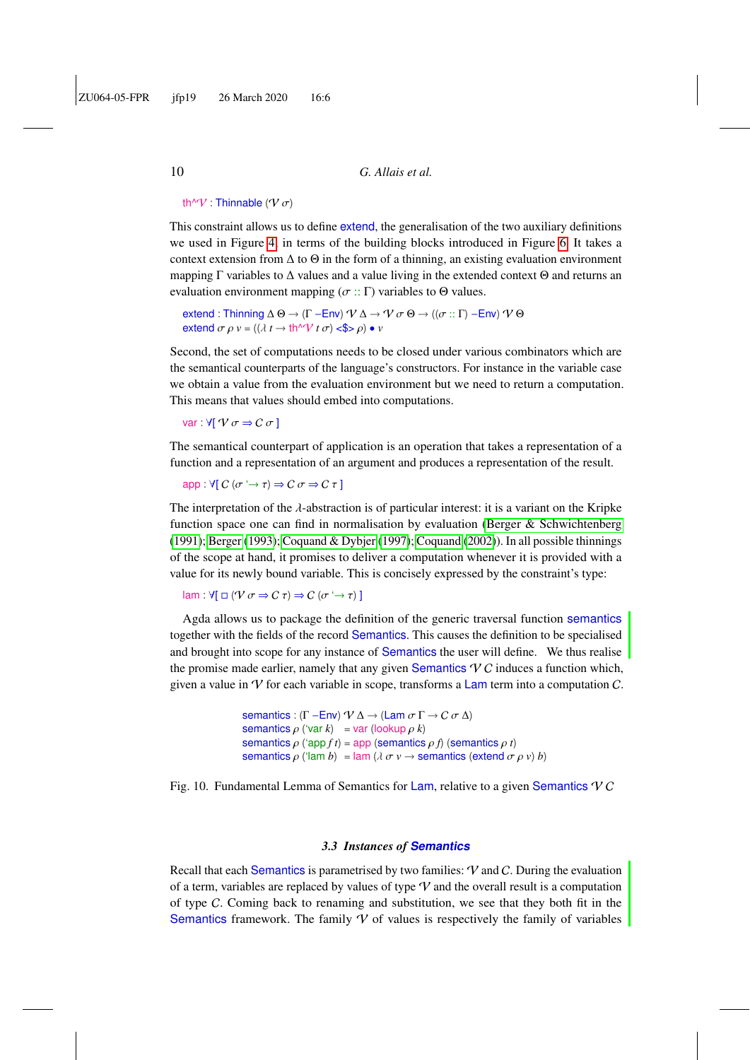#### th $\sqrt{\mathcal{V}}$  : Thinnable ( $\mathcal{V}$   $\sigma$ )

This constraint allows us to define extend, the generalisation of the two auxiliary definitions we used in Figure [4,](#page-6-0) in terms of the building blocks introduced in Figure [6.](#page-7-1) It takes a context extension from  $\Delta$  to  $\Theta$  in the form of a thinning, an existing evaluation environment mapping Γ variables to  $\Delta$  values and a value living in the extended context  $\Theta$  and returns an evaluation environment mapping ( $\sigma$  :: Γ) variables to  $\Theta$  values.

extend : Thinning  $\Delta \Theta \to (\Gamma - \text{Env}) \, \mathcal{V} \, \Delta \to \mathcal{V} \, \sigma \, \Theta \to ((\sigma :: \Gamma) - \text{Env}) \, \mathcal{V} \, \Theta$ extend  $\sigma \rho v = ((\lambda t \rightarrow th \sqrt{\nu} t \sigma) \ll \sqrt{2} \rho) \bullet v$ 

Second, the set of computations needs to be closed under various combinators which are the semantical counterparts of the language's constructors. For instance in the variable case we obtain a value from the evaluation environment but we need to return a computation. This means that values should embed into computations.

var :  $\forall$ [  $\forall$   $\sigma \Rightarrow C \sigma$  ]

The semantical counterpart of application is an operation that takes a representation of a function and a representation of an argument and produces a representation of the result.

app :  $\forall [ C (\sigma \rightarrow \tau) \Rightarrow C \sigma \Rightarrow C \tau ]$ 

The interpretation of the  $\lambda$ -abstraction is of particular interest: it is a variant on the Kripke function space one can find in normalisation by evaluation [\(Berger & Schwichtenberg](#page-56-4) [\(1991\)](#page-56-4); [Berger](#page-56-5) [\(1993\)](#page-56-5); [Coquand & Dybjer](#page-56-6) [\(1997\)](#page-56-6); [Coquand](#page-56-7) [\(2002\)](#page-56-7)). In all possible thinnings of the scope at hand, it promises to deliver a computation whenever it is provided with a value for its newly bound variable. This is concisely expressed by the constraint's type:

lam :  $\forall [\Box (\mathcal{V} \sigma \Rightarrow \mathcal{C} \tau) \Rightarrow \mathcal{C} (\sigma \rightarrow \tau)]$ 

Agda allows us to package the definition of the generic traversal function semantics together with the fields of the record Semantics. This causes the definition to be specialised and brought into scope for any instance of Semantics the user will define. We thus realise the promise made earlier, namely that any given Semantics  $\vee C$  induces a function which, given a value in  $\mathcal V$  for each variable in scope, transforms a Lam term into a computation  $\mathcal C$ .

```
semantics : (Γ – Env) \mathcal{V} \Delta \rightarrow (Lam \sigma \Gamma \rightarrow C \sigma \Delta)
semantics \rho ('var k) = var (lookup \rho k)
semantics \rho ('app f t) = app (semantics \rho f) (semantics \rho t)
semantics \rho ('lam b) = lam (\lambda \sigma v \rightarrow semantics (extend \sigma \rho v) b)
```
Fig. 10. Fundamental Lemma of Semantics for Lam, relative to a given Semantics  $VC$ 

#### *3.3 Instances of* **Semantics**

Recall that each Semantics is parametrised by two families:  $V$  and  $C$ . During the evaluation of a term, variables are replaced by values of type  $V$  and the overall result is a computation of type C. Coming back to renaming and substitution, we see that they both fit in the Semantics framework. The family  $V$  of values is respectively the family of variables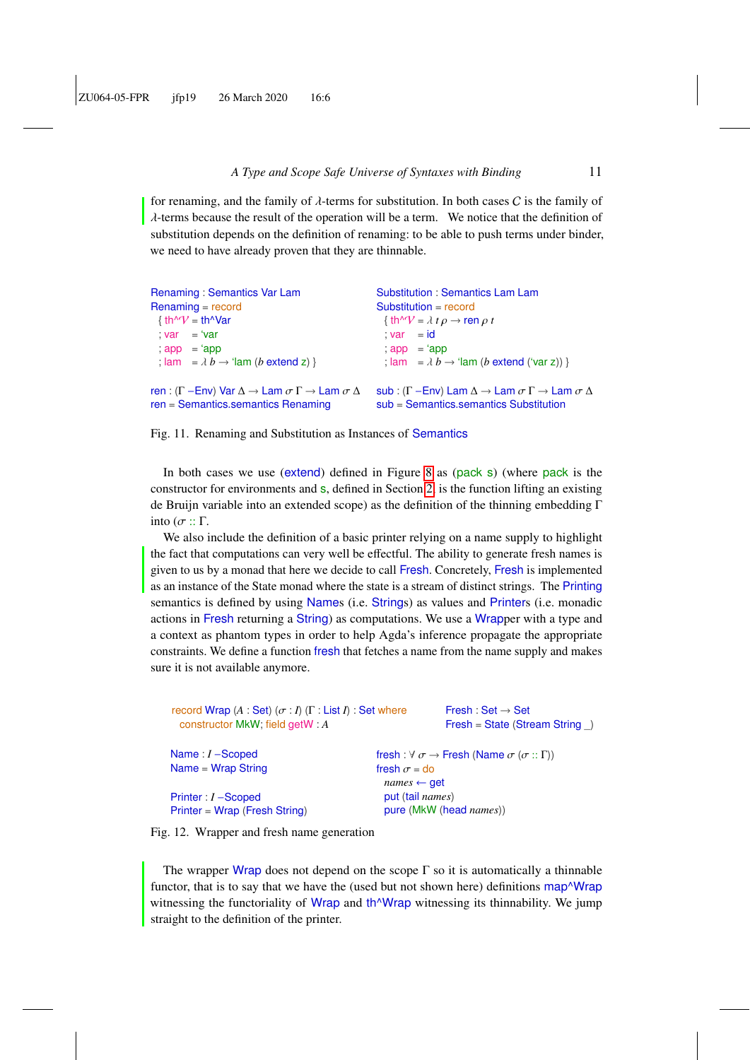for renaming, and the family of  $\lambda$ -terms for substitution. In both cases C is the family of  $\lambda$ -terms because the result of the operation will be a term. We notice that the definition of substitution depends on the definition of renaming: to be able to push terms under binder, we need to have already proven that they are thinnable.

```
Renaming : Semantics Var Lam
Renaming = record
  \{ \text{ th}^{\wedge}V = \text{ th}^{\wedge}Var; var = 'var; app = 'app
  ; lam = \lambda b \rightarrow 'lam (b extend z) }
ren : (Γ −Env) Var \Delta \rightarrow Lam \sigma \Gamma \rightarrow Lam \sigma \Deltaren = Semantics.semantics Renaming
                                                                     Substitution : Semantics Lam Lam
                                                                     Substitution = record
                                                                       \{ \text{th}^{\wedge} \mathcal{V} = \lambda \ t \rho \rightarrow \text{ren } \rho \ t; var = id; app = 'app
                                                                       ; \lvert \text{am} \rvert = \lambda b \rightarrow \text{ 'lam} (b \text{ extend ('var z)})sub : (Γ –Env) Lam \Delta \to Lam \sigma \Gamma \to Lam \sigma \Deltasub = Semantics.semantics Substitution
```


<span id="page-10-0"></span>In both cases we use (extend) defined in Figure [8](#page-7-2) as (pack s) (where pack is the constructor for environments and s, defined in Section [2,](#page-3-0) is the function lifting an existing de Bruijn variable into an extended scope) as the definition of the thinning embedding Γ into ( $\sigma$  :: Γ.

We also include the definition of a basic printer relying on a name supply to highlight the fact that computations can very well be effectful. The ability to generate fresh names is given to us by a monad that here we decide to call Fresh. Concretely, Fresh is implemented as an instance of the State monad where the state is a stream of distinct strings. The Printing semantics is defined by using Names (i.e. Strings) as values and Printers (i.e. monadic actions in Fresh returning a String) as computations. We use a Wrapper with a type and a context as phantom types in order to help Agda's inference propagate the appropriate constraints. We define a function fresh that fetches a name from the name supply and makes sure it is not available anymore.

<span id="page-10-1"></span>

| record Wrap $(A : Set)$ $(\sigma : I)$ $(\Gamma : List I)$ : Set where<br>constructor MkW; field getW : A |                          | Fresh: Set $\rightarrow$ Set<br>$Fresh = State (Stream String )$                   |
|-----------------------------------------------------------------------------------------------------------|--------------------------|------------------------------------------------------------------------------------|
| Name: $I$ –Scoped                                                                                         |                          | fresh: $\forall \sigma \rightarrow$ Fresh (Name $\sigma$ ( $\sigma$ :: $\Gamma$ )) |
| $Name = Wrap String$                                                                                      | fresh $\sigma$ = do      |                                                                                    |
|                                                                                                           | $names \leftarrow get$   |                                                                                    |
| Printer : $I$ –Scoped                                                                                     | put (tail <i>names</i> ) |                                                                                    |
| $Printer = Wrap$ (Fresh String)                                                                           |                          | pure (MkW (head <i>names</i> ))                                                    |

Fig. 12. Wrapper and fresh name generation

The wrapper Wrap does not depend on the scope  $\Gamma$  so it is automatically a thinnable functor, that is to say that we have the (used but not shown here) definitions map<sup> $\Delta$ </sup>Wrap witnessing the functoriality of Wrap and th<sup>o</sup>Wrap witnessing its thinnability. We jump straight to the definition of the printer.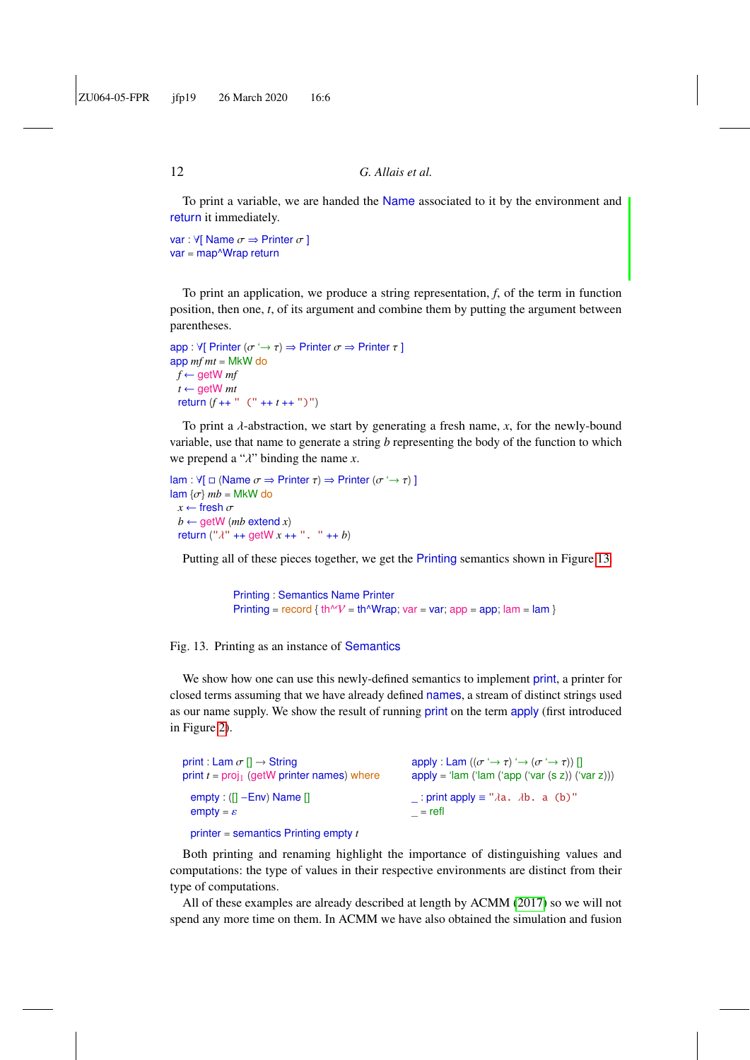To print a variable, we are handed the Name associated to it by the environment and return it immediately.

```
var : \forall[ Name \sigma \Rightarrow Printer \sigma ]
var = map^Wrap return
```
To print an application, we produce a string representation, *f*, of the term in function position, then one, *t*, of its argument and combine them by putting the argument between parentheses.

```
app : \forall[ Printer (\sigma \rightarrow \tau) \Rightarrow Printer \sigma \Rightarrow Printer \tau]
app mf mt = MkW do
 f \leftarrow getW mf
  t \leftarrow getW mtreturn (f ++ " (" ++ t ++ ")")
```
To print a λ-abstraction, we start by generating a fresh name, *<sup>x</sup>*, for the newly-bound variable, use that name to generate a string *b* representing the body of the function to which we prepend a "λ" binding the name *<sup>x</sup>*.

```
lam : \forall[ \Box (Name \sigma \Rightarrow Printer \tau) \Rightarrow Printer (\sigma \rightarrow \tau) ]
\text{lam } \{\sigma\} mb = MkW do
 x \leftarrow fresh \sigmab \leftarrow getW (mb extend x)
  return ("λ" ++ getW x ++ ". " ++ b)
```
Putting all of these pieces together, we get the Printing semantics shown in Figure [13.](#page-11-0)

```
Printing : Semantics Name Printer
Printing = record { th^V = th^Wrap; var = var; app = app; lam = lam }
```
Fig. 13. Printing as an instance of Semantics

We show how one can use this newly-defined semantics to implement print, a printer for closed terms assuming that we have already defined names, a stream of distinct strings used as our name supply. We show the result of running print on the term apply (first introduced in Figure [2\)](#page-5-2).

| print : Lam $\sigma$ $\Pi \rightarrow$ String        | apply : Lam $((\sigma \rightarrow \tau) \rightarrow (\sigma \rightarrow \tau))$ [] |
|------------------------------------------------------|------------------------------------------------------------------------------------|
| print $t = \text{proj}_1$ (getW printer names) where | $apply = 'lam ('lam ('app ('var (s z)) ('var z)))$                                 |
| empty: $(1 - Env)$ Name $1$                          | : print apply $\equiv$ " $\lambda$ a. $\lambda$ b. a (b)"                          |
| $empty = \varepsilon$                                | $=$ refl                                                                           |
| printer = semantics Printing empty $t$               |                                                                                    |

Both printing and renaming highlight the importance of distinguishing values and computations: the type of values in their respective environments are distinct from their type of computations.

All of these examples are already described at length by ACMM [\(2017\)](#page-55-6) so we will not spend any more time on them. In ACMM we have also obtained the simulation and fusion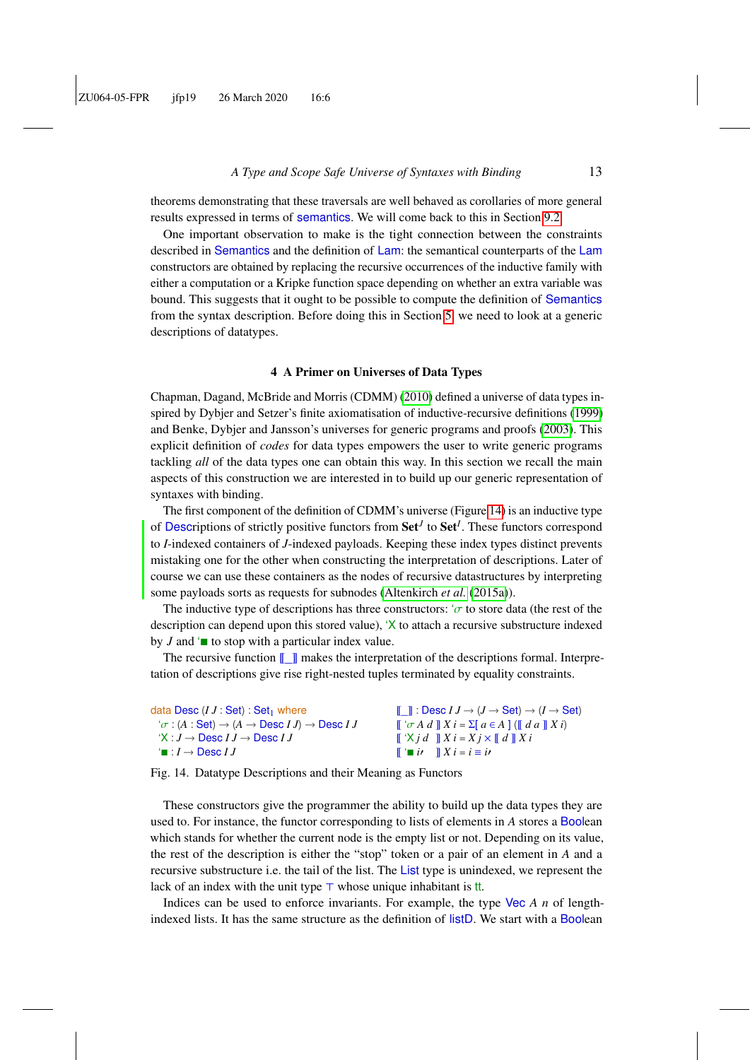theorems demonstrating that these traversals are well behaved as corollaries of more general results expressed in terms of semantics. We will come back to this in Section [9.2.](#page-43-0)

One important observation to make is the tight connection between the constraints described in Semantics and the definition of Lam: the semantical counterparts of the Lam constructors are obtained by replacing the recursive occurrences of the inductive family with either a computation or a Kripke function space depending on whether an extra variable was bound. This suggests that it ought to be possible to compute the definition of Semantics from the syntax description. Before doing this in Section [5,](#page-14-0) we need to look at a generic descriptions of datatypes.

#### 4 A Primer on Universes of Data Types

<span id="page-12-0"></span>Chapman, Dagand, McBride and Morris (CDMM) [\(2010\)](#page-56-8) defined a universe of data types inspired by Dybjer and Setzer's finite axiomatisation of inductive-recursive definitions [\(1999\)](#page-57-4) and Benke, Dybjer and Jansson's universes for generic programs and proofs [\(2003\)](#page-55-9). This explicit definition of *codes* for data types empowers the user to write generic programs tackling *all* of the data types one can obtain this way. In this section we recall the main aspects of this construction we are interested in to build up our generic representation of syntaxes with binding.

The first component of the definition of CDMM's universe (Figure [14\)](#page-12-1) is an inductive type of Descriptions of strictly positive functors from Set*<sup>J</sup>* to Set*<sup>I</sup>* . These functors correspond to *I*-indexed containers of *J*-indexed payloads. Keeping these index types distinct prevents mistaking one for the other when constructing the interpretation of descriptions. Later of course we can use these containers as the nodes of recursive datastructures by interpreting some payloads sorts as requests for subnodes [\(Altenkirch](#page-55-10) *et al.* [\(2015a\)](#page-55-10)).

The inductive type of descriptions has three constructors:  $\sigma$  to store data (the rest of the description can depend upon this stored value), 'X to attach a recursive substructure indexed by  $J$  and  $\bullet$  to stop with a particular index value.

The recursive function  $\llbracket \quad \rrbracket$  makes the interpretation of the descriptions formal. Interpretation of descriptions give rise right-nested tuples terminated by equality constraints.

<span id="page-12-1"></span>

| data Desc $(IJ:Set):Set_1$ where                                                                                    | $\mathbb{F}$ 1: Desc $IJ \to (J \to \mathsf{Set}) \to (I \to \mathsf{Set})$           |
|---------------------------------------------------------------------------------------------------------------------|---------------------------------------------------------------------------------------|
| $\forall \sigma : (A : \mathsf{Set}) \rightarrow (A \rightarrow \mathsf{Desc}\, IJ) \rightarrow \mathsf{Desc}\, IJ$ | $\int \int \sigma A d \parallel X i = \sum a \in A \mid (\parallel da \parallel X i)$ |
| $\forall X: J \rightarrow$ Desc $IJ \rightarrow$ Desc $IJ$                                                          | $\mathbf{X} \times \mathbf{i}$ $d \mathbf{X} \times \mathbf{j} \times \mathbf{k}$     |
| $\mathsf{I} \blacksquare : I \rightarrow \mathsf{Desc}\, I\, J$                                                     | $\mathbf{X} \mathbf{i} = i \mathbf{i}$                                                |

Fig. 14. Datatype Descriptions and their Meaning as Functors

These constructors give the programmer the ability to build up the data types they are used to. For instance, the functor corresponding to lists of elements in *A* stores a Boolean which stands for whether the current node is the empty list or not. Depending on its value, the rest of the description is either the "stop" token or a pair of an element in *A* and a recursive substructure i.e. the tail of the list. The List type is unindexed, we represent the lack of an index with the unit type  $\top$  whose unique inhabitant is tt.

Indices can be used to enforce invariants. For example, the type Vec *A n* of lengthindexed lists. It has the same structure as the definition of listD. We start with a Boolean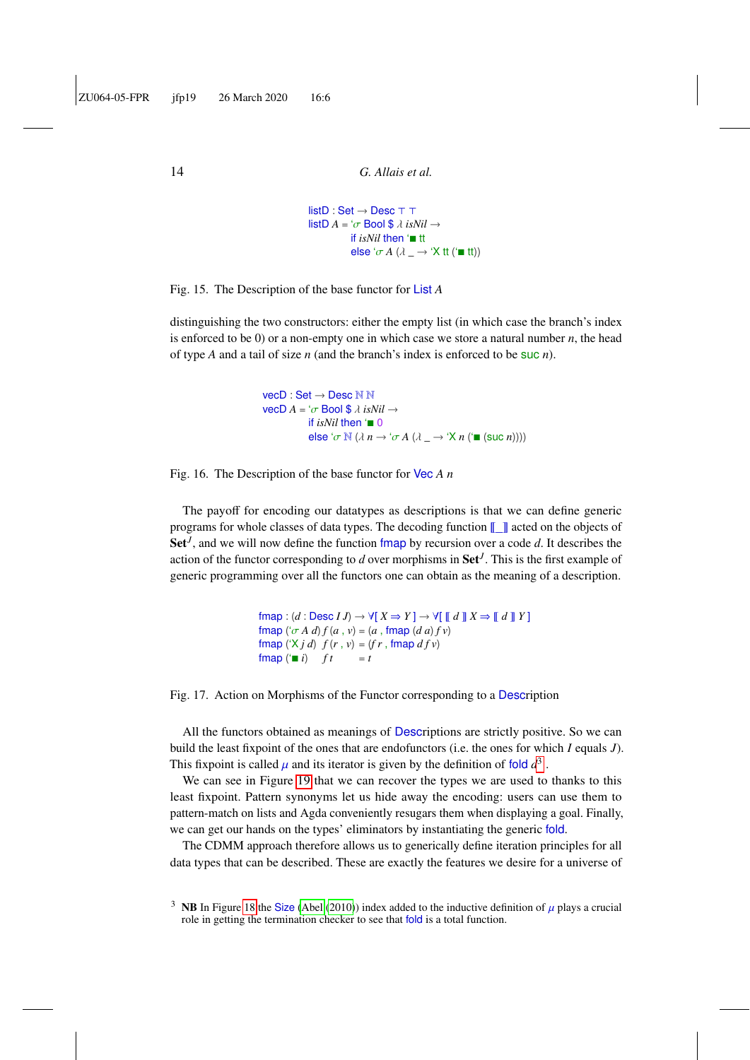```
listD : Set \rightarrow Desc \top \toplistD A = ' \sigma Bool $ \lambda isNil \rightarrowif isNil then '■ tt
               else '\sigma A (\lambda \rightarrow Y tt ('\blacksquare tt))
```
Fig. 15. The Description of the base functor for List *A*

distinguishing the two constructors: either the empty list (in which case the branch's index is enforced to be 0) or a non-empty one in which case we store a natural number *n*, the head of type *A* and a tail of size *n* (and the branch's index is enforced to be suc *n*).

```
vecD : Set → Desc N N
\text{vec} \mathsf{D} \, A = \text{d} \sigma \, \text{Bool} \, \text{S} \, \lambda \, \text{isNil} \rightarrowif isNil then \blacksquare 0
                      else '\sigma \mathbb{N} (\lambda n \rightarrow ' \sigma A (\lambda \rightarrow ' X n ('\blacksquare (suc n))))
```
Fig. 16. The Description of the base functor for Vec *A n*

The payoff for encoding our datatypes as descriptions is that we can define generic programs for whole classes of data types. The decoding function  $\llbracket \cdot \rrbracket$  acted on the objects of Set<sup>*I*</sup>, and we will now define the function fmap by recursion over a code *d*. It describes the action of the functor corresponding to  $d$  over morphisms in  $\mathbf{Set}^J$ . This is the first example of generic programming over all the functors one can obtain as the meaning of a description.

```
fmap : (d : \text{Desc } I J) \rightarrow \forall [X \Rightarrow Y] \rightarrow \forall [M \mathbb{Z} \Rightarrow M \mathbb{Z}]fmap ({^{\circ}\sigma A} d) f(a, v) = (a, \text{fmap } (d a) f v)fmap (X j d) f(r, v) = (fr, f) f(r, v)fmap (' \blacksquare i) ft = t
```
Fig. 17. Action on Morphisms of the Functor corresponding to a Description

All the functors obtained as meanings of Descriptions are strictly positive. So we can build the least fixpoint of the ones that are endofunctors (i.e. the ones for which *I* equals *J*). This fixpoint is called  $\mu$  and its iterator is given by the definition of fold  $d^3$  $d^3$ .<br>We can see in Figure 10 that we can recover the types we are used to

We can see in Figure [19](#page-14-1) that we can recover the types we are used to thanks to this least fixpoint. Pattern synonyms let us hide away the encoding: users can use them to pattern-match on lists and Agda conveniently resugars them when displaying a goal. Finally, we can get our hands on the types' eliminators by instantiating the generic fold.

The CDMM approach therefore allows us to generically define iteration principles for all data types that can be described. These are exactly the features we desire for a universe of

<span id="page-13-0"></span><sup>&</sup>lt;sup>3</sup> NB In Figure [18](#page-14-2) the Size [\(Abel](#page-54-1) [\(2010\)](#page-54-1)) index added to the inductive definition of  $\mu$  plays a crucial role in getting the termination checker to see that fold is a total function.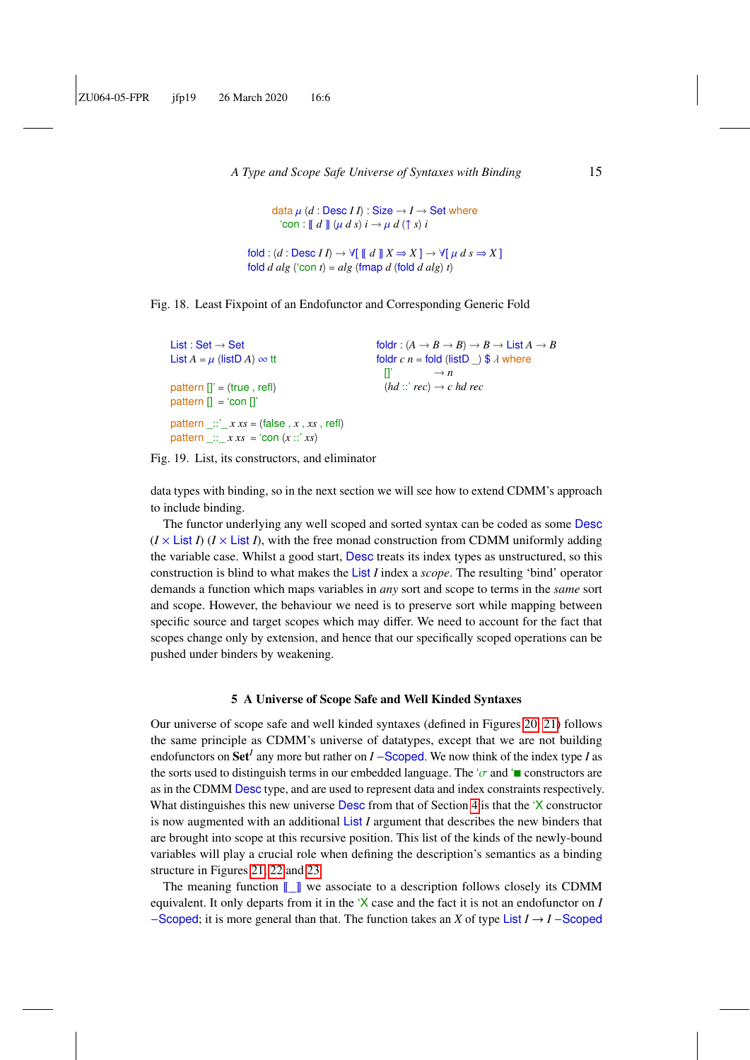<span id="page-14-2"></span>data  $\mu$  (*d* : Desc *II*) : Size  $\rightarrow$  *I*  $\rightarrow$  Set where  $\text{`con} : \llbracket d \rrbracket (\mu \, d \, s) \, i \rightarrow \mu \, d \, (\uparrow s) \, i$ 

 $\text{fold}: (d : \text{Desc } II) \rightarrow \forall \text{ } \text{ } \text{ } \text{ } \text{ } d \text{ } \text{ } \text{ } \text{ } \text{ } X \Rightarrow X \text{ } \text{ } \rightarrow \text{ } \forall \text{ } \text{ } \text{ } \text{ } \mu \text{ } d \text{ } s \Rightarrow X \text{ } \text{ } \text{ }$ fold  $d$   $alg$  ('con  $t$ ) =  $alg$  (fmap  $d$  (fold  $d$   $alg$ )  $t$ )



```
List : Set → Set
List A = \mu (list D A) \infty tt
pattern []' = (true, refI)pattern \left[\right] = \text{`con } \left[\right]pattern \therefore \therefore x \, xs = (false, \therefore xs, refl)
pattern :: x xs = 'con (x :: 'xs)foldr : (A \rightarrow B \rightarrow B) \rightarrow B \rightarrow List A \rightarrow Bfoldr c n = fold (listD \Box) $ \lambda where<br>[]' \longrightarrow n\rightarrow n(hd :: 'rec) \rightarrow c hd rec
```
Fig. 19. List, its constructors, and eliminator

data types with binding, so in the next section we will see how to extend CDMM's approach to include binding.

The functor underlying any well scoped and sorted syntax can be coded as some Desc  $(I \times$  List *I*)  $(I \times$  List *I*), with the free monad construction from CDMM uniformly adding the variable case. Whilst a good start, Desc treats its index types as unstructured, so this construction is blind to what makes the List *I* index a *scope*. The resulting 'bind' operator demands a function which maps variables in *any* sort and scope to terms in the *same* sort and scope. However, the behaviour we need is to preserve sort while mapping between specific source and target scopes which may differ. We need to account for the fact that scopes change only by extension, and hence that our specifically scoped operations can be pushed under binders by weakening.

#### 5 A Universe of Scope Safe and Well Kinded Syntaxes

<span id="page-14-0"></span>Our universe of scope safe and well kinded syntaxes (defined in Figures [20,](#page-15-0) [21\)](#page-15-1) follows the same principle as CDMM's universe of datatypes, except that we are not building endofunctors on Set<sup>*I*</sup> any more but rather on *I* −Scoped. We now think of the index type *I* as the sorts used to distinguish terms in our embedded language. The ' $\sigma$  and ' $\blacksquare$  constructors are as in the CDMM Desc type, and are used to represent data and index constraints respectively. What distinguishes this new universe **Desc** from that of Section [4](#page-12-0) is that the 'X constructor is now augmented with an additional List *I* argument that describes the new binders that are brought into scope at this recursive position. This list of the kinds of the newly-bound variables will play a crucial role when defining the description's semantics as a binding structure in Figures [21,](#page-15-1) [22](#page-15-2) and [23.](#page-16-0)

The meaning function  $\llbracket \cdot \rrbracket$  we associate to a description follows closely its CDMM equivalent. It only departs from it in the 'X case and the fact it is not an endofunctor on *I* −Scoped; it is more general than that. The function takes an *X* of type List *I* → *I* −Scoped

<span id="page-14-1"></span>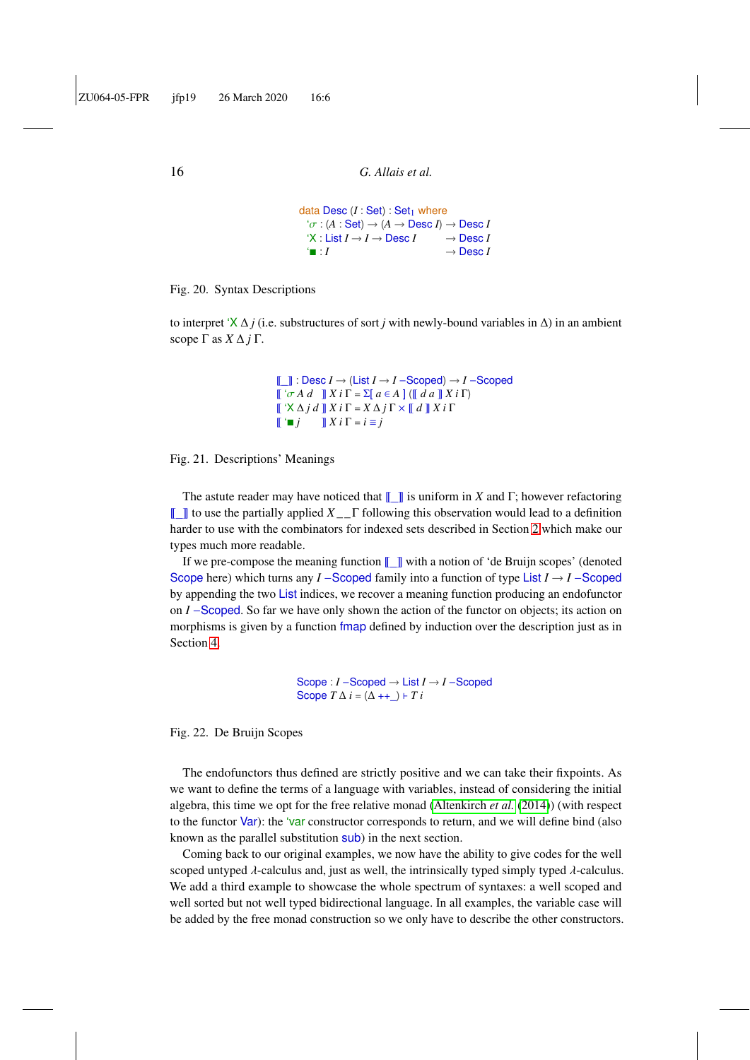```
data Desc (I : Set) : Set<sub>1</sub> where
    f \sigma : (A : \mathsf{Set}) \to (A \to \mathsf{Desc}\, I) \to \mathsf{Desc}\, I<br>f \times f \text{ list } I \to I \to \mathsf{Desc}\, I \longrightarrow \mathsf{Desc}\, I'X: List I \rightarrow I \rightarrow Desc I' = \cdot I \rightarrow Desc I
```
Fig. 20. Syntax Descriptions

to interpret 'X ∆ *j* (i.e. substructures of sort *j* with newly-bound variables in ∆) in an ambient scope Γ as *X* ∆ *j* Γ.

```
~_ : Desc I → (List I → I −Scoped) → I −Scoped
\int_a^b \sigma A d \quad \rVert X i \Gamma = \sum [a \in A] (\int d a \cdot \rVert X i \Gamma)\llbracket \forall X \Delta j d \rrbracket X i \Gamma = X \Delta j \Gamma \times \llbracket d \rrbracket X i \Gamma\llbracket \cdot \blacksquare j \rrbracket X i \Gamma = i \equiv j
```
### Fig. 21. Descriptions' Meanings

The astute reader may have noticed that  $\llbracket \quad \rrbracket$  is uniform in *X* and Γ; however refactoring ~\_ to use the partially applied *X* \_ \_Γ following this observation would lead to a definition harder to use with the combinators for indexed sets described in Section [2](#page-3-0) which make our types much more readable.

If we pre-compose the meaning function  $\llbracket \quad \rrbracket$  with a notion of 'de Bruijn scopes' (denoted Scope here) which turns any *I* −Scoped family into a function of type List *I* → *I* −Scoped by appending the two List indices, we recover a meaning function producing an endofunctor on *I* −Scoped. So far we have only shown the action of the functor on objects; its action on morphisms is given by a function fmap defined by induction over the description just as in Section [4.](#page-12-0)

> <span id="page-15-2"></span>Scope : *I* −Scoped → List *I* → *I* −Scoped Scope  $T \Delta i = (\Delta + \Delta) + T i$

Fig. 22. De Bruijn Scopes

The endofunctors thus defined are strictly positive and we can take their fixpoints. As we want to define the terms of a language with variables, instead of considering the initial algebra, this time we opt for the free relative monad [\(Altenkirch](#page-55-5) *et al.* [\(2014\)](#page-55-5)) (with respect to the functor Var): the 'var constructor corresponds to return, and we will define bind (also known as the parallel substitution sub) in the next section.

Coming back to our original examples, we now have the ability to give codes for the well scoped untyped  $\lambda$ -calculus and, just as well, the intrinsically typed simply typed  $\lambda$ -calculus. We add a third example to showcase the whole spectrum of syntaxes: a well scoped and well sorted but not well typed bidirectional language. In all examples, the variable case will be added by the free monad construction so we only have to describe the other constructors.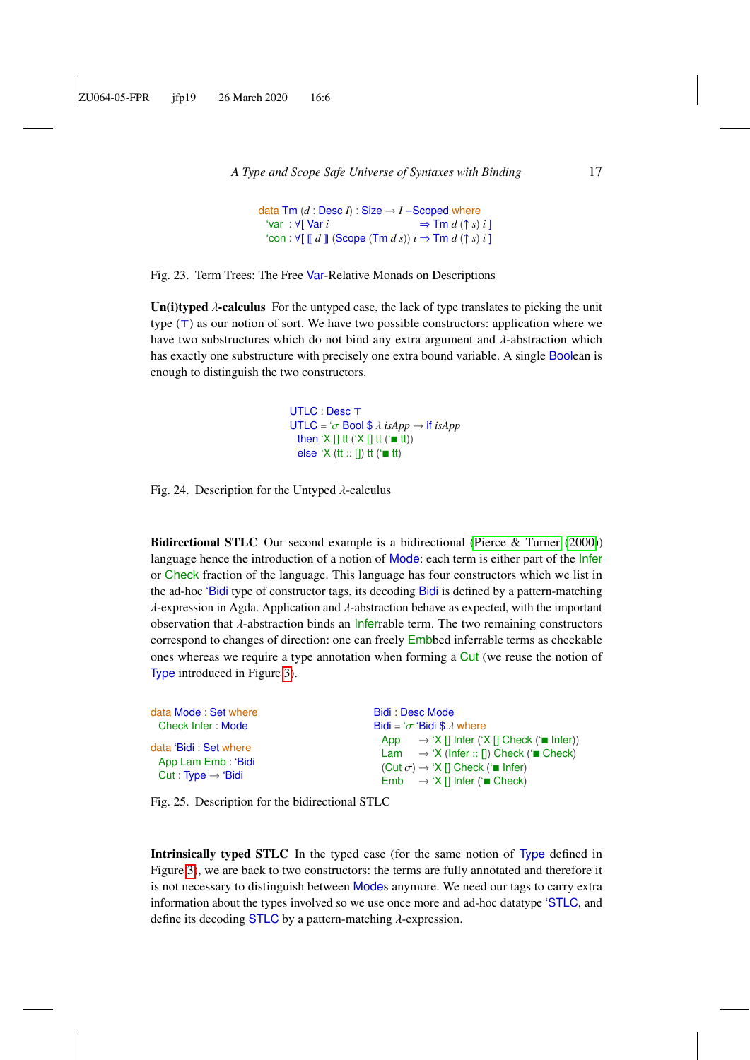```
A Type and Scope Safe Universe of Syntaxes with Binding 17
```

```
data Tm (d : Desc I) : Size \rightarrow I - Scoped where'var : \forall[ Var i ⇒ Tm d (↑ s) i ]
  \text{`con} : \forall [\llbracket d \rrbracket \text{ (Scope (Tm d s)) } i \Rightarrow \text{Tm d (} \uparrow s) i ]
```
Fig. 23. Term Trees: The Free Var-Relative Monads on Descriptions

Un(i)typed  $\lambda$ -calculus For the untyped case, the lack of type translates to picking the unit type  $(T)$  as our notion of sort. We have two possible constructors: application where we have two substructures which do not bind any extra argument and  $\lambda$ -abstraction which has exactly one substructure with precisely one extra bound variable. A single Boolean is enough to distinguish the two constructors.

> UTLC : Desc T UTLC =  $\sigma$  Bool \$  $\lambda$  *isApp*  $\rightarrow$  *if isApp* then 'X [] tt ('X [] tt ( $\equiv$  tt)) else ' $X$  (tt  $::$  []) tt ( $'$  tt)

Fig. 24. Description for the Untyped  $\lambda$ -calculus

<span id="page-16-1"></span>Bidirectional STLC Our second example is a bidirectional [\(Pierce & Turner](#page-59-4) [\(2000\)](#page-59-4)) language hence the introduction of a notion of Mode: each term is either part of the *Infer* or Check fraction of the language. This language has four constructors which we list in the ad-hoc 'Bidi type of constructor tags, its decoding Bidi is defined by a pattern-matching  $\lambda$ -expression in Agda. Application and  $\lambda$ -abstraction behave as expected, with the important observation that  $\lambda$ -abstraction binds an Inferrable term. The two remaining constructors correspond to changes of direction: one can freely Embbed inferrable terms as checkable ones whereas we require a type annotation when forming a Cut (we reuse the notion of Type introduced in Figure [3\)](#page-5-2).

| data Mode: Set where                                                          | Bidi: Desc Mode                                                                                                                                                                                                                                           |
|-------------------------------------------------------------------------------|-----------------------------------------------------------------------------------------------------------------------------------------------------------------------------------------------------------------------------------------------------------|
| Check Infer: Mode                                                             | Bidi = ' $\sigma$ 'Bidi \$ $\lambda$ where                                                                                                                                                                                                                |
| data 'Bidi : Set where<br>App Lam Emb: 'Bidi<br>Cut: Type $\rightarrow$ 'Bidi | App $\rightarrow$ 'X [] Infer ('X [] Check (' $\blacksquare$ Infer))<br>Lam $\rightarrow$ 'X (Infer :: []) Check ( $\equiv$ Check)<br>$(Cut \sigma) \rightarrow 'X \Pi$ Check (' $\blacksquare$ Infer)<br>Emb $\rightarrow$ 'X [] Infer ( $\equiv$ Check) |

Fig. 25. Description for the bidirectional STLC

<span id="page-16-2"></span>Intrinsically typed STLC In the typed case (for the same notion of Type defined in Figure [3\)](#page-5-2), we are back to two constructors: the terms are fully annotated and therefore it is not necessary to distinguish between Modes anymore. We need our tags to carry extra information about the types involved so we use once more and ad-hoc datatype 'STLC, and define its decoding STLC by a pattern-matching  $\lambda$ -expression.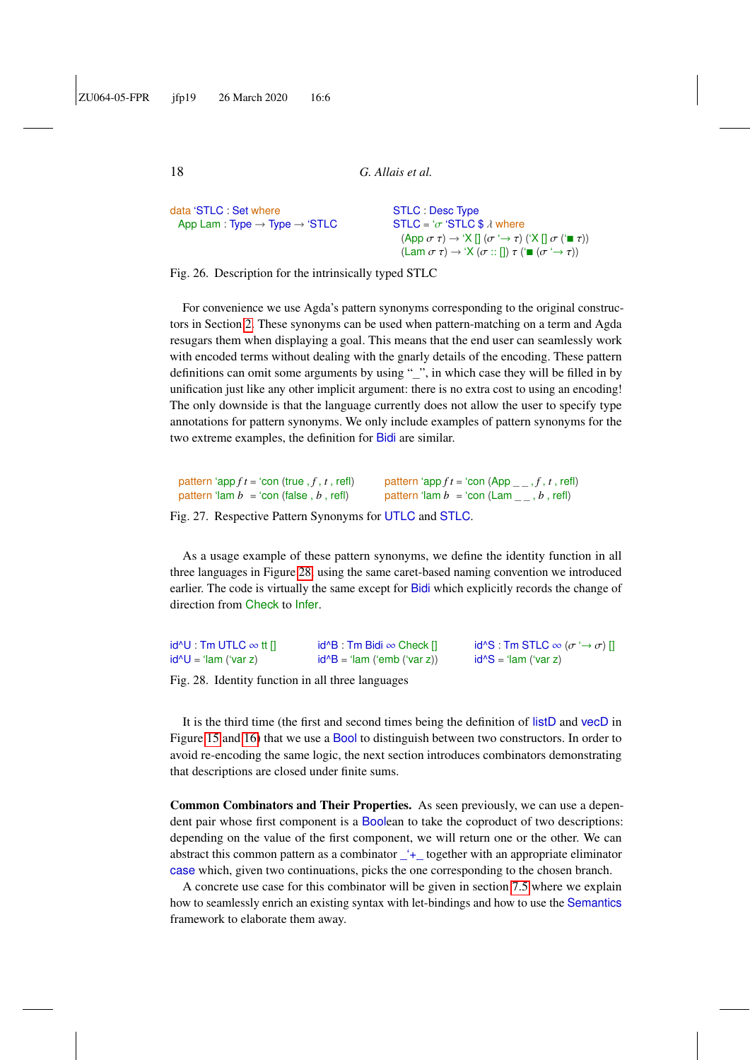```
data 'STLC : Set where
 App Lam : Type → Type → 'STLC
```
STLC : Desc Type  $STLC = 'σ 'STLC $ \lambda$  where  $(\mathsf{App}\; \sigma\; \tau) \rightarrow \mathsf{X} \mathsf{[]}\; (\sigma \hookrightarrow \tau) \; (\mathsf{X} \mathsf{[]}\; \sigma \; (\mathsf{I} \; \tau))$ (Lam  $\sigma \tau$ )  $\rightarrow$  'X ( $\sigma$  :: [])  $\tau$  (' $\blacksquare$  ( $\sigma \rightarrow \tau$ ))

Fig. 26. Description for the intrinsically typed STLC

For convenience we use Agda's pattern synonyms corresponding to the original constructors in Section [2.](#page-3-0) These synonyms can be used when pattern-matching on a term and Agda resugars them when displaying a goal. This means that the end user can seamlessly work with encoded terms without dealing with the gnarly details of the encoding. These pattern definitions can omit some arguments by using "\_", in which case they will be filled in by unification just like any other implicit argument: there is no extra cost to using an encoding! The only downside is that the language currently does not allow the user to specify type annotations for pattern synonyms. We only include examples of pattern synonyms for the two extreme examples, the definition for Bidi are similar.

| pattern 'app $ft = 'con$ (true , $f$ , $t$ , refl) | pattern 'app $ft =$ 'con (App _ _ , f, t, refl)   |
|----------------------------------------------------|---------------------------------------------------|
| pattern 'lam $b =$ 'con (false, b, refl)           | pattern 'lam $b =$ 'con (Lam $\_\_$ , $b$ , refl) |

Fig. 27. Respective Pattern Synonyms for UTLC and STLC.

As a usage example of these pattern synonyms, we define the identity function in all three languages in Figure [28,](#page-17-0) using the same caret-based naming convention we introduced earlier. The code is virtually the same except for Bidi which explicitly records the change of direction from Check to Infer.

<span id="page-17-0"></span>

| id^U : Tm UTLC $\infty$ tt [] | $id^B$ : Tm Bidi $\infty$ Check $[]$ | $id^{\wedge}S$ : Tm STLC $\infty$ ( $\sigma \rightarrow \sigma$ ) [] |
|-------------------------------|--------------------------------------|----------------------------------------------------------------------|
| id^U = 'lam ('var z)          | $id^B = 'lam ('emb ('var z))'$       | $id^S = 'lam ('var z)$                                               |

Fig. 28. Identity function in all three languages

It is the third time (the first and second times being the definition of listD and vecD in Figure [15](#page-13-1) and [16\)](#page-13-2) that we use a Bool to distinguish between two constructors. In order to avoid re-encoding the same logic, the next section introduces combinators demonstrating that descriptions are closed under finite sums.

<span id="page-17-1"></span>Common Combinators and Their Properties. As seen previously, we can use a dependent pair whose first component is a Boolean to take the coproduct of two descriptions: depending on the value of the first component, we will return one or the other. We can abstract this common pattern as a combinator \_'+\_ together with an appropriate eliminator case which, given two continuations, picks the one corresponding to the chosen branch.

A concrete use case for this combinator will be given in section [7.5](#page-31-0) where we explain how to seamlessly enrich an existing syntax with let-bindings and how to use the Semantics framework to elaborate them away.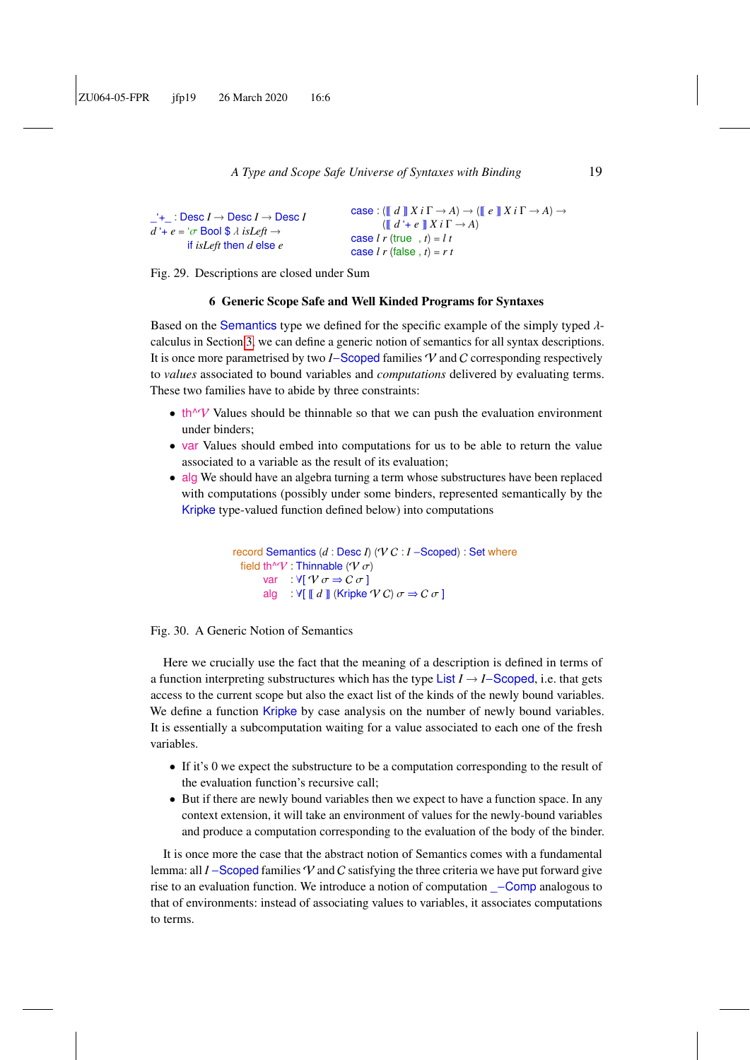```
\rightarrow : Desc I \rightarrow Desc I \rightarrow Desc I
d^4 + e = \sigma Bool $ \lambda is Left \rightarrowif isLeft then d else e
                                                                                        \case : (\ulcorner d \urcorner X \urcorner i \urcorner \rightarrow A) \rightarrow (\ulcorner e \urcorner X \urcorner i \urcorner \rightarrow A) \rightarrow(\llbracket d' + e \rrbracket X i \Gamma \rightarrow A)case l \, r (true , t) = l \, tcase l \, r (false, t) = r \, t
```
Fig. 29. Descriptions are closed under Sum

#### 6 Generic Scope Safe and Well Kinded Programs for Syntaxes

<span id="page-18-0"></span>Based on the Semantics type we defined for the specific example of the simply typed  $\lambda$ calculus in Section [3,](#page-5-0) we can define a generic notion of semantics for all syntax descriptions. It is once more parametrised by two *I*−Scoped families V and C corresponding respectively to *values* associated to bound variables and *computations* delivered by evaluating terms. These two families have to abide by three constraints:

- $\bullet$  th<sup> $\land\gamma$ </sup> Values should be thinnable so that we can push the evaluation environment under binders;
- var Values should embed into computations for us to be able to return the value associated to a variable as the result of its evaluation;
- alg We should have an algebra turning a term whose substructures have been replaced with computations (possibly under some binders, represented semantically by the Kripke type-valued function defined below) into computations

```
record Semantics (d : Desc I) (V C : I −Scoped) : Set where
 field th^V : Thinnable (V \sigma)
        var : \forall [\nabla \sigma \Rightarrow C \sigma]alg : \forall[ d ]] (Kripke \forall C) \sigma \Rightarrow C \sigma ]
```


Here we crucially use the fact that the meaning of a description is defined in terms of a function interpreting substructures which has the type List *I* → *I*−Scoped, i.e. that gets access to the current scope but also the exact list of the kinds of the newly bound variables. We define a function Kripke by case analysis on the number of newly bound variables. It is essentially a subcomputation waiting for a value associated to each one of the fresh variables.

- If it's 0 we expect the substructure to be a computation corresponding to the result of the evaluation function's recursive call;
- But if there are newly bound variables then we expect to have a function space. In any context extension, it will take an environment of values for the newly-bound variables and produce a computation corresponding to the evaluation of the body of the binder.

It is once more the case that the abstract notion of Semantics comes with a fundamental lemma: all *I* −Scoped families V and C satisfying the three criteria we have put forward give rise to an evaluation function. We introduce a notion of computation \_−Comp analogous to that of environments: instead of associating values to variables, it associates computations to terms.

<span id="page-18-1"></span>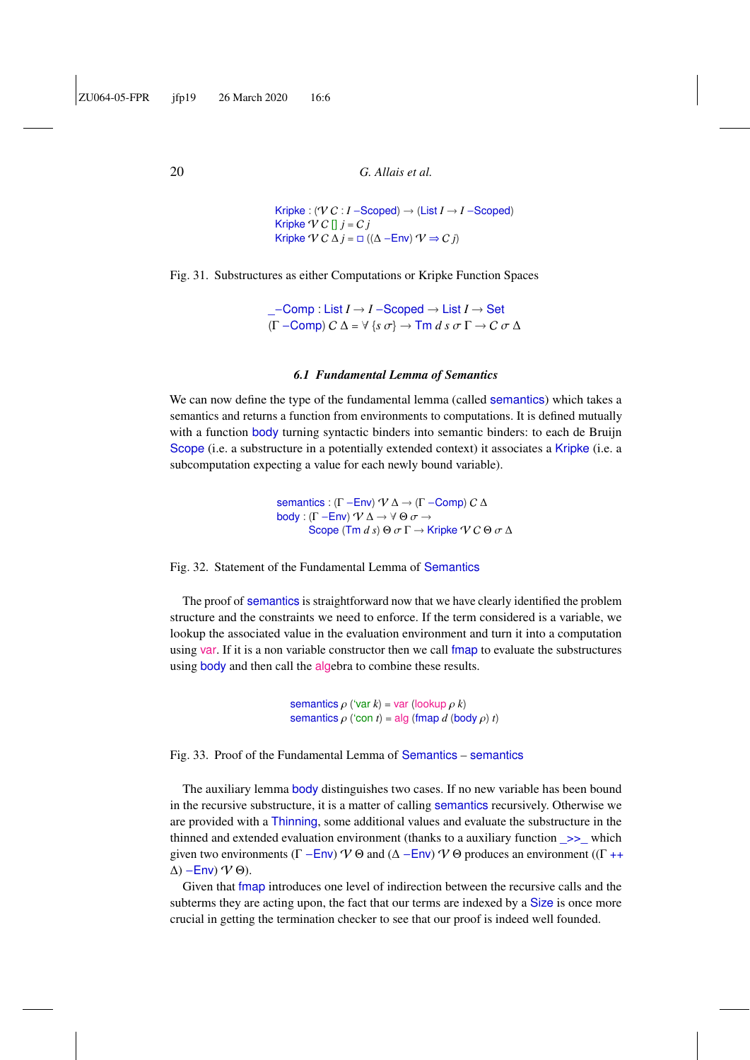Kripke :  $(\forall C : I - \text{Scoped}) \rightarrow (\text{List } I \rightarrow I - \text{Scoped})$ Kripke  $\forall C$   $\parallel$   $j = Cj$ Kripke  $\forall C \Delta j = \Box ((\Delta - \text{Env}) \, \forall \Rightarrow C j)$ 

Fig. 31. Substructures as either Computations or Kripke Function Spaces

\_−Comp : List *I* → *I* −Scoped → List *I* → Set (<sup>Γ</sup> <sup>−</sup>Comp) <sup>C</sup> <sup>∆</sup> <sup>=</sup> <sup>∀</sup> {*<sup>s</sup>* σ} <sup>→</sup> Tm *<sup>d</sup> <sup>s</sup>* σ <sup>Γ</sup> <sup>→</sup> <sup>C</sup> σ <sup>∆</sup>

#### *6.1 Fundamental Lemma of Semantics*

We can now define the type of the fundamental lemma (called semantics) which takes a semantics and returns a function from environments to computations. It is defined mutually with a function body turning syntactic binders into semantic binders: to each de Bruijn Scope (i.e. a substructure in a potentially extended context) it associates a Kripke (i.e. a subcomputation expecting a value for each newly bound variable).

> semantics : (Γ – Env)  $\mathcal{V} \Delta \rightarrow (\Gamma$  – Comp)  $C \Delta$ body : (Γ – Env)  $\mathcal{V} \Delta \rightarrow \forall \Theta \sigma \rightarrow$ Scope (Tm  $d$  *s*)  $\Theta$   $\sigma \Gamma \rightarrow$  Kripke  $\mathcal{V} \mathcal{C} \Theta$   $\sigma \Delta$

Fig. 32. Statement of the Fundamental Lemma of Semantics

The proof of semantics is straightforward now that we have clearly identified the problem structure and the constraints we need to enforce. If the term considered is a variable, we lookup the associated value in the evaluation environment and turn it into a computation using var. If it is a non variable constructor then we call fmap to evaluate the substructures using **body** and then call the **algebra** to combine these results.

> semantics  $\rho$  ('var  $k$ ) = var (lookup  $\rho$   $k$ ) semantics  $\rho$  ('con  $t$ ) = alg (fmap  $d$  (body  $\rho$ )  $t$ )

Fig. 33. Proof of the Fundamental Lemma of Semantics – semantics

The auxiliary lemma body distinguishes two cases. If no new variable has been bound in the recursive substructure, it is a matter of calling semantics recursively. Otherwise we are provided with a Thinning, some additional values and evaluate the substructure in the thinned and extended evaluation environment (thanks to a auxiliary function  $\gg$  which given two environments ( $\Gamma$  −Env)  $\mathcal V \Theta$  and ( $\Delta$  −Env)  $\mathcal V \Theta$  produces an environment (( $\Gamma$ ++  $\Delta$ ) –Env)  $\mathcal V$   $\Theta$ ).

Given that fmap introduces one level of indirection between the recursive calls and the subterms they are acting upon, the fact that our terms are indexed by a Size is once more crucial in getting the termination checker to see that our proof is indeed well founded.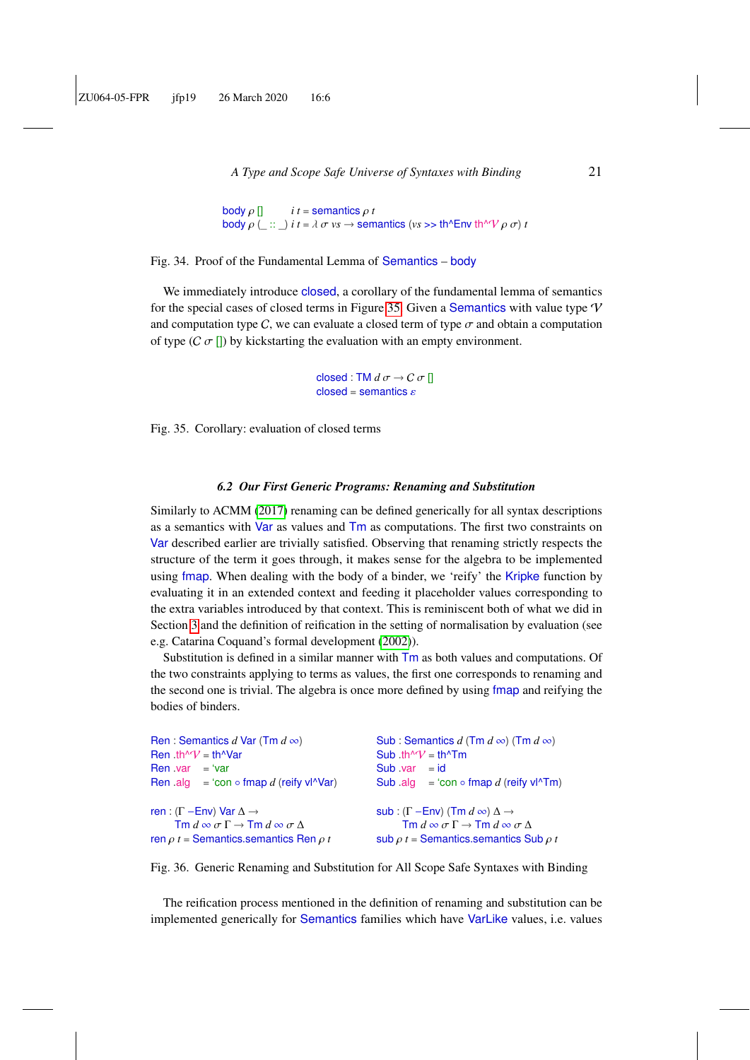```
body \rho [] i t = semantics \rho t hody \rho ( \cdots ) i t = \lambda \sigma v s \rightarrow sem
body \rho (_ :: _) i t = \lambda \sigma vs \rightarrow semantics (vs \gg th^Env th^V \rho \sigma) t
```
Fig. 34. Proof of the Fundamental Lemma of Semantics – body

We immediately introduce closed, a corollary of the fundamental lemma of semantics for the special cases of closed terms in Figure [35.](#page-20-1) Given a Semantics with value type  $V$ and computation type C, we can evaluate a closed term of type  $\sigma$  and obtain a computation of type  $(C \sigma ||)$  by kickstarting the evaluation with an empty environment.

> <span id="page-20-2"></span><span id="page-20-1"></span>closed : TM  $d \sigma \rightarrow C \sigma$  []  $closed =$ semantics  $\varepsilon$

Fig. 35. Corollary: evaluation of closed terms

#### *6.2 Our First Generic Programs: Renaming and Substitution*

<span id="page-20-0"></span>Similarly to ACMM [\(2017\)](#page-55-6) renaming can be defined generically for all syntax descriptions as a semantics with Var as values and Tm as computations. The first two constraints on Var described earlier are trivially satisfied. Observing that renaming strictly respects the structure of the term it goes through, it makes sense for the algebra to be implemented using fmap. When dealing with the body of a binder, we 'reify' the Kripke function by evaluating it in an extended context and feeding it placeholder values corresponding to the extra variables introduced by that context. This is reminiscent both of what we did in Section [3](#page-5-0) and the definition of reification in the setting of normalisation by evaluation (see e.g. Catarina Coquand's formal development [\(2002\)](#page-56-7)).

Substitution is defined in a similar manner with Tm as both values and computations. Of the two constraints applying to terms as values, the first one corresponds to renaming and the second one is trivial. The algebra is once more defined by using fmap and reifying the bodies of binders.

```
Ren : Semantics d Var (Tm d ∞)
Ren .th\sqrt{V} = th\sqrt{V}ar
Ren .var = 'varRen .alg = 'con ∘ fmap d (reify vl^Var)
ren : (Γ – Env) Var \Delta \rightarrow\overline{\text{Im } d} \otimes \sigma \Gamma \to \overline{\text{Im } d} \otimes \sigma \Deltaren ρ t = Semantics.semantics Ren ρ t
                                                                   Sub : Semantics d (Tm d \infty) (Tm d \infty)
                                                                   Sub .th\mathcal{W} = th\mathcal{T}m
                                                                   Sub .var = idSub .alg = 'con ∘ fmap d (reify vl^Tm)
                                                                   sub : (Γ −Env) (Tm d ∞) ∆ →
                                                                           \mathsf{Tm}\,d \infty \sigma\,\Gamma \rightarrow \mathsf{Tm}\,d \infty \sigma\,\Deltasub \rho t = Semantics.semantics Sub \rho t
```
Fig. 36. Generic Renaming and Substitution for All Scope Safe Syntaxes with Binding

The reification process mentioned in the definition of renaming and substitution can be implemented generically for Semantics families which have VarLike values, i.e. values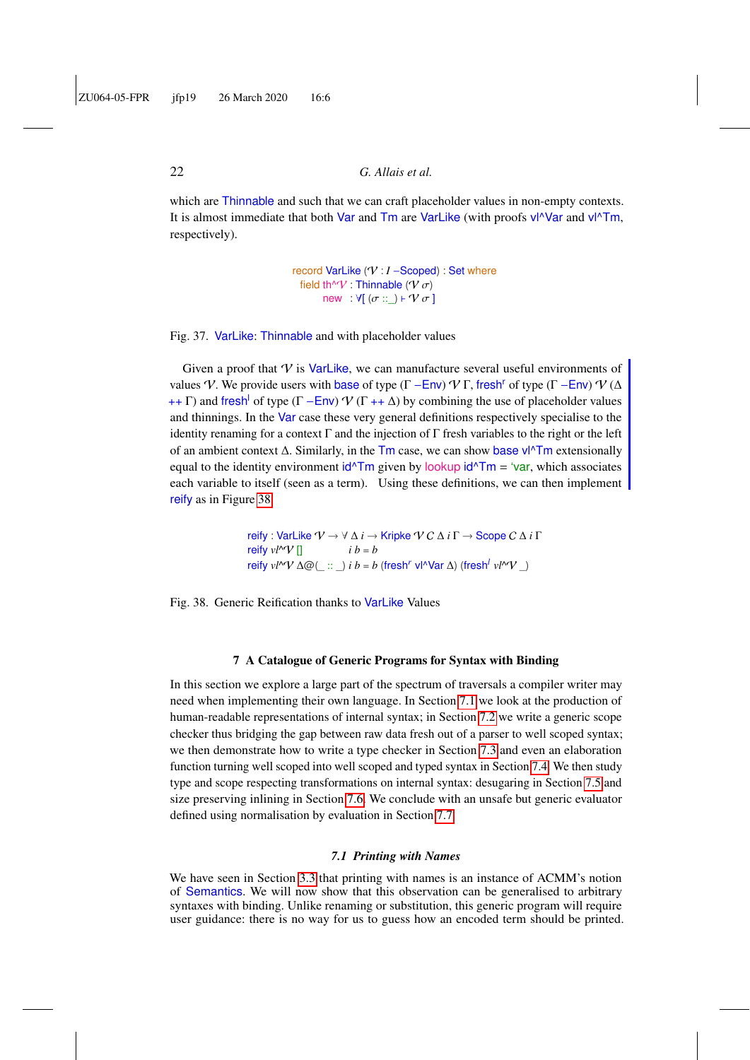which are Thinnable and such that we can craft placeholder values in non-empty contexts. It is almost immediate that both Var and Tm are VarLike (with proofs vl^Var and vl^Tm, respectively).

> <span id="page-21-3"></span>record VarLike (V : *I* −Scoped) : Set where field th^V : Thinnable ( $V \sigma$ ) new :  $\forall$ [ ( $\sigma$  :: \_)  $\vdash \mathcal{V} \sigma$  ]

#### Fig. 37. VarLike: Thinnable and with placeholder values

Given a proof that  $V$  is VarLike, we can manufacture several useful environments of values V. We provide users with base of type (Γ − Env)  $\mathcal V$  Γ, fresh<sup>r</sup> of type (Γ − Env)  $\mathcal V$  ( $\Delta$ ++ Γ) and fresh of type (Γ – Env)  $\mathcal V$  (Γ ++  $\Delta$ ) by combining the use of placeholder values and thinnings. In the Var case these very general definitions respectively specialise to the identity renaming for a context  $\Gamma$  and the injection of  $\Gamma$  fresh variables to the right or the left of an ambient context ∆. Similarly, in the Tm case, we can show base vl^Tm extensionally equal to the identity environment  $\frac{d}{Tm}$  given by lookup  $\frac{d}{Tm} = \frac{v}{r}$ , which associates each variable to itself (seen as a term). Using these definitions, we can then implement reify as in Figure [38.](#page-21-2)

> <span id="page-21-2"></span>reify : VarLike V → ∀ ∆ *i* → Kripke V C ∆ *i* Γ → Scope C ∆ *i* Γ reify  $v l^{\wedge} V$  []  $i b = b$ reify *vl*<sup>^</sup>V ∆@(\_ :: \_) *i b* = *b* (fresh<sup>*r*</sup> vl<sup>∧</sup>Var ∆) (fresh<sup>*l*</sup> *vl*<sup>∧</sup>V \_)

Fig. 38. Generic Reification thanks to VarLike Values

#### 7 A Catalogue of Generic Programs for Syntax with Binding

<span id="page-21-0"></span>In this section we explore a large part of the spectrum of traversals a compiler writer may need when implementing their own language. In Section [7.1](#page-21-1) we look at the production of human-readable representations of internal syntax; in Section [7.2](#page-24-0) we write a generic scope checker thus bridging the gap between raw data fresh out of a parser to well scoped syntax; we then demonstrate how to write a type checker in Section [7.3](#page-26-0) and even an elaboration function turning well scoped into well scoped and typed syntax in Section [7.4.](#page-28-0) We then study type and scope respecting transformations on internal syntax: desugaring in Section [7.5](#page-31-0) and size preserving inlining in Section [7.6.](#page-33-0) We conclude with an unsafe but generic evaluator defined using normalisation by evaluation in Section [7.7.](#page-36-0)

#### *7.1 Printing with Names*

<span id="page-21-1"></span>We have seen in Section [3.3](#page-10-0) that printing with names is an instance of ACMM's notion of Semantics. We will now show that this observation can be generalised to arbitrary syntaxes with binding. Unlike renaming or substitution, this generic program will require user guidance: there is no way for us to guess how an encoded term should be printed.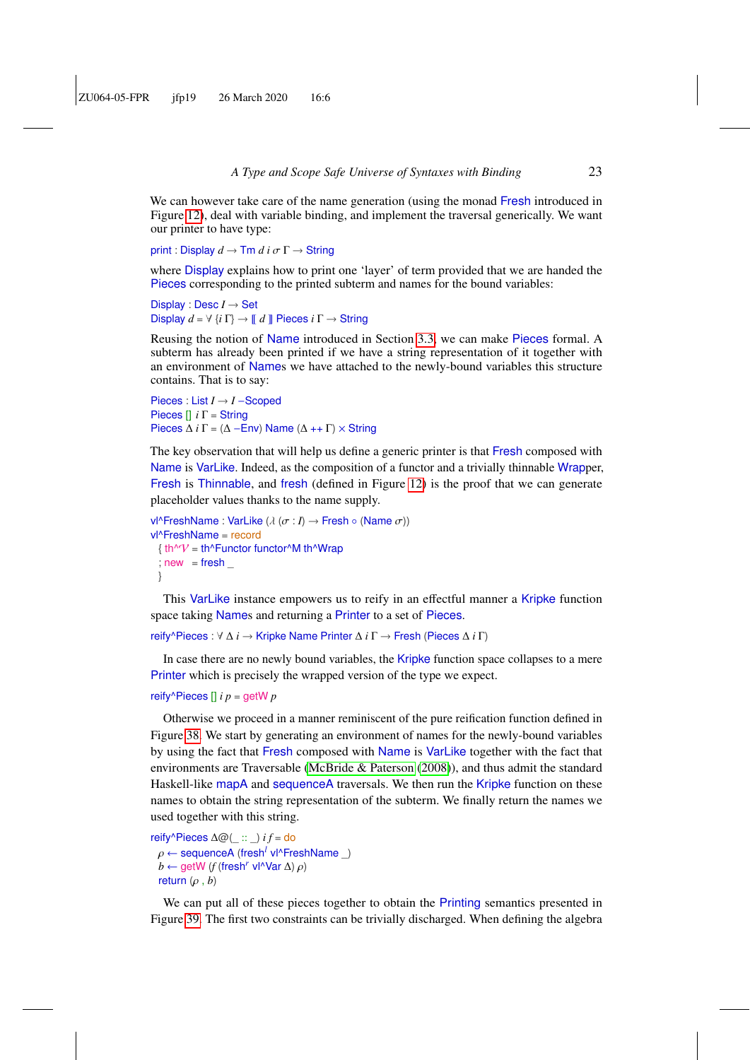We can however take care of the name generation (using the monad Fresh introduced in Figure [12\)](#page-10-1), deal with variable binding, and implement the traversal generically. We want our printer to have type:

print : Display  $d \to \text{Im } d$  *i*  $\sigma \Gamma \to \text{String }$ 

where Display explains how to print one 'layer' of term provided that we are handed the Pieces corresponding to the printed subterm and names for the bound variables:

Display : Desc *I* → Set Display  $d = \forall$   $\{i \Gamma\} \rightarrow \llbracket d \rrbracket$  Pieces  $i \Gamma \rightarrow$  String

Reusing the notion of Name introduced in Section [3.3,](#page-10-0) we can make Pieces formal. A subterm has already been printed if we have a string representation of it together with an environment of Names we have attached to the newly-bound variables this structure contains. That is to say:

Pieces : List *I* → *I* −Scoped Pieces [] *i* Γ = String Pieces  $\Delta i \Gamma = (\Delta - \text{Env})$  Name  $(\Delta + \Gamma) \times$  String

The key observation that will help us define a generic printer is that Fresh composed with Name is VarLike. Indeed, as the composition of a functor and a trivially thinnable Wrapper, Fresh is Thinnable, and fresh (defined in Figure [12\)](#page-10-1) is the proof that we can generate placeholder values thanks to the name supply.

```
vl^FreshName : VarLike (\lambda \ (\sigma : I) \rightarrow Fresh ◦ (Name \sigma))
vl^FreshName = record
  \{ \text{ th}^{\wedge}V = \text{ th}^{\wedge}Functor functor^{\wedge}M th^{\wedge}Wrap
  ; new = fresh}
```
This VarLike instance empowers us to reify in an effectful manner a Kripke function space taking Names and returning a Printer to a set of Pieces.

```
reify^Pieces : ∀ ∆ i → Kripke Name Printer ∆ i Γ → Fresh (Pieces ∆ i Γ)
```
In case there are no newly bound variables, the Kripke function space collapses to a mere Printer which is precisely the wrapped version of the type we expect.

reify^Pieces [] *i p* = getW *p*

Otherwise we proceed in a manner reminiscent of the pure reification function defined in Figure [38.](#page-21-2) We start by generating an environment of names for the newly-bound variables by using the fact that Fresh composed with Name is VarLike together with the fact that environments are Traversable [\(McBride & Paterson](#page-59-5) [\(2008\)](#page-59-5)), and thus admit the standard Haskell-like mapA and sequenceA traversals. We then run the Kripke function on these names to obtain the string representation of the subterm. We finally return the names we used together with this string.

reify^Pieces ∆@(\_ :: \_) *i f* = do *ρ* ← sequenceA (fresh<sup>*l*</sup> vl^FreshName \_)<br>b ← getW (f (fresh<sup>r</sup> vl^Var Δ) o)  $b \leftarrow$  getW (*f* (fresh<sup>r</sup> vl^Var  $\Delta$ )  $\rho$ ) return (ρ , *<sup>b</sup>*)

We can put all of these pieces together to obtain the Printing semantics presented in Figure [39.](#page-23-0) The first two constraints can be trivially discharged. When defining the algebra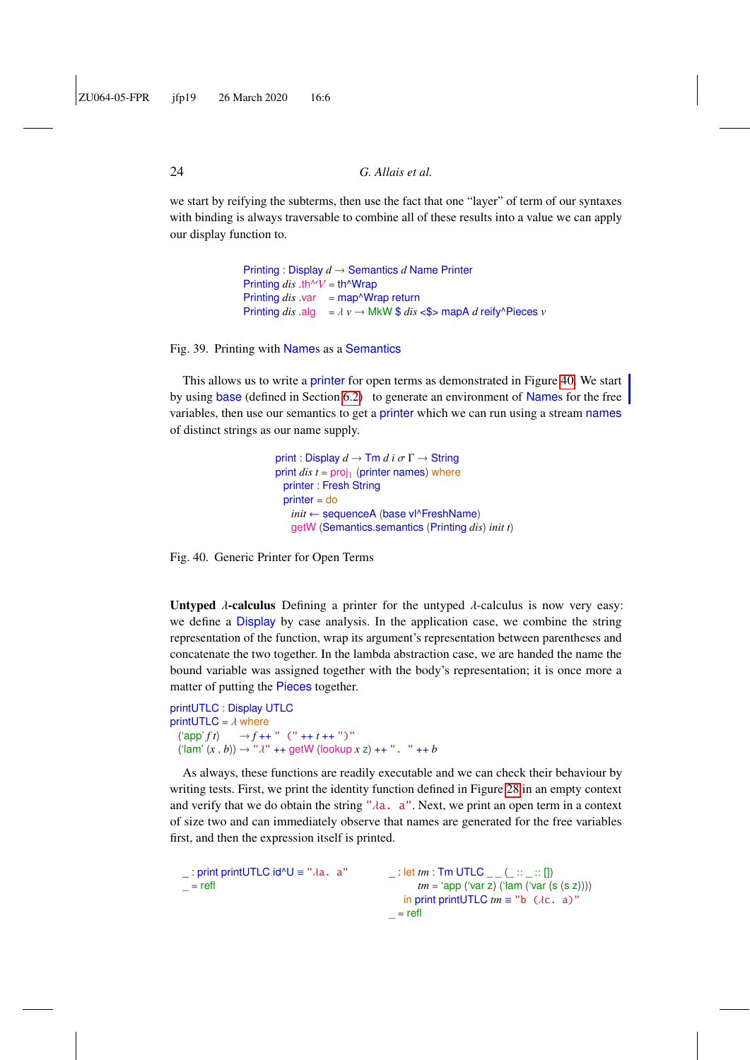we start by reifying the subterms, then use the fact that one "layer" of term of our syntaxes with binding is always traversable to combine all of these results into a value we can apply our display function to.

> <span id="page-23-0"></span>Printing : Display *d* → Semantics *d* Name Printer Printing  $dis$  .th^V = th^Wrap Printing *dis* .var = map<sup>^</sup>Wrap return Printing *dis* .alg =  $\lambda$  *v*  $\rightarrow$  MkW \$ *dis* <\$> mapA *d* reify^Pieces *v*

Fig. 39. Printing with Names as a Semantics

This allows us to write a printer for open terms as demonstrated in Figure [40.](#page-23-1) We start by using base (defined in Section [6.2\)](#page-21-3) to generate an environment of Names for the free variables, then use our semantics to get a printer which we can run using a stream names of distinct strings as our name supply.

> <span id="page-23-1"></span>print : Display  $d \to \text{Tm } d$  *i*  $\sigma \Gamma \to \text{String}$ print  $dis$   $t = \text{proj}_1$  (printer names) where printer : Fresh String printer = do *init* ← sequenceA (base vl^FreshName) getW (Semantics.semantics (Printing *dis*) *init t*)

Fig. 40. Generic Printer for Open Terms

Untyped  $\lambda$ -calculus Defining a printer for the untyped  $\lambda$ -calculus is now very easy: we define a Display by case analysis. In the application case, we combine the string representation of the function, wrap its argument's representation between parentheses and concatenate the two together. In the lambda abstraction case, we are handed the name the bound variable was assigned together with the body's representation; it is once more a matter of putting the Pieces together.

```
printUTLC : Display UTLC
printUTLC = \lambda where<br>('app' f t) \rightarrow f++
                    \rightarrow f ++ " (" ++ t ++ ")"
  (\text{lam}'(x, b)) \to " \lambda" + \text{getW} (\text{lookup } x z) +^{\dots} " +^{\dots} b
```
As always, these functions are readily executable and we can check their behaviour by writing tests. First, we print the identity function defined in Figure [28](#page-17-0) in an empty context and verify that we do obtain the string " $\lambda a$ . a". Next, we print an open term in a context of size two and can immediately observe that names are generated for the free variables first, and then the expression itself is printed.

```
_ : print printUTLC id^U ≡ "λa. a"
= refl
                                                   \Box: let tm : Tm UTLC \Box \Box \Box \Box \Box ||tm = 'app ('var z) ('lam ('var (s (s z))))
                                                      in print print UTLC tm \equiv "b (\lambdac. a)"
                                                   = refl
```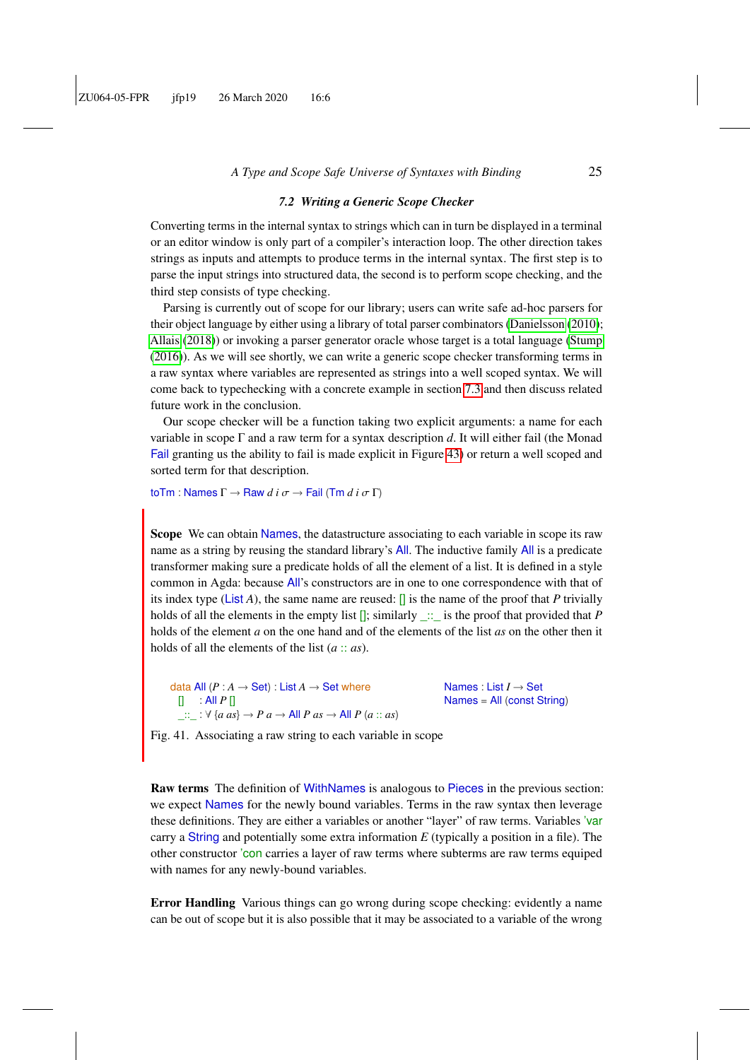### *7.2 Writing a Generic Scope Checker*

<span id="page-24-0"></span>Converting terms in the internal syntax to strings which can in turn be displayed in a terminal or an editor window is only part of a compiler's interaction loop. The other direction takes strings as inputs and attempts to produce terms in the internal syntax. The first step is to parse the input strings into structured data, the second is to perform scope checking, and the third step consists of type checking.

Parsing is currently out of scope for our library; users can write safe ad-hoc parsers for their object language by either using a library of total parser combinators [\(Danielsson](#page-57-5) [\(2010\)](#page-57-5); [Allais](#page-55-11) [\(2018\)](#page-55-11)) or invoking a parser generator oracle whose target is a total language [\(Stump](#page-59-6) [\(2016\)](#page-59-6)). As we will see shortly, we can write a generic scope checker transforming terms in a raw syntax where variables are represented as strings into a well scoped syntax. We will come back to typechecking with a concrete example in section [7.3](#page-26-0) and then discuss related future work in the conclusion.

Our scope checker will be a function taking two explicit arguments: a name for each variable in scope Γ and a raw term for a syntax description *d*. It will either fail (the Monad Fail granting us the ability to fail is made explicit in Figure [43\)](#page-25-0) or return a well scoped and sorted term for that description.

toTm : Names <sup>Γ</sup> <sup>→</sup> Raw *<sup>d</sup> <sup>i</sup>* σ <sup>→</sup> Fail (Tm *<sup>d</sup> <sup>i</sup>* σ <sup>Γ</sup>)

Scope We can obtain Names, the datastructure associating to each variable in scope its raw name as a string by reusing the standard library's All. The inductive family All is a predicate transformer making sure a predicate holds of all the element of a list. It is defined in a style common in Agda: because All's constructors are in one to one correspondence with that of its index type (List *A*), the same name are reused:  $\prod$  is the name of the proof that *P* trivially holds of all the elements in the empty list  $[]$ ; similarly  $\therefore$  is the proof that provided that *P* holds of the element *a* on the one hand and of the elements of the list *as* on the other then it holds of all the elements of the list (*a* :: *as*).

data All  $(P : A \rightarrow Set) : List A \rightarrow Set$  where  $\Box$  : All  $P \Box$  $\therefore$ :  $\forall$  {*a as*}  $\rightarrow$  *P a*  $\rightarrow$  **A**ll *P as*  $\rightarrow$  **A**ll *P* (*a* :: *as*) Names : List *I* → Set Names = All (const String)

Fig. 41. Associating a raw string to each variable in scope

Raw terms The definition of WithNames is analogous to Pieces in the previous section: we expect Names for the newly bound variables. Terms in the raw syntax then leverage these definitions. They are either a variables or another "layer" of raw terms. Variables 'var carry a String and potentially some extra information *E* (typically a position in a file). The other constructor 'con carries a layer of raw terms where subterms are raw terms equiped with names for any newly-bound variables.

Error Handling Various things can go wrong during scope checking: evidently a name can be out of scope but it is also possible that it may be associated to a variable of the wrong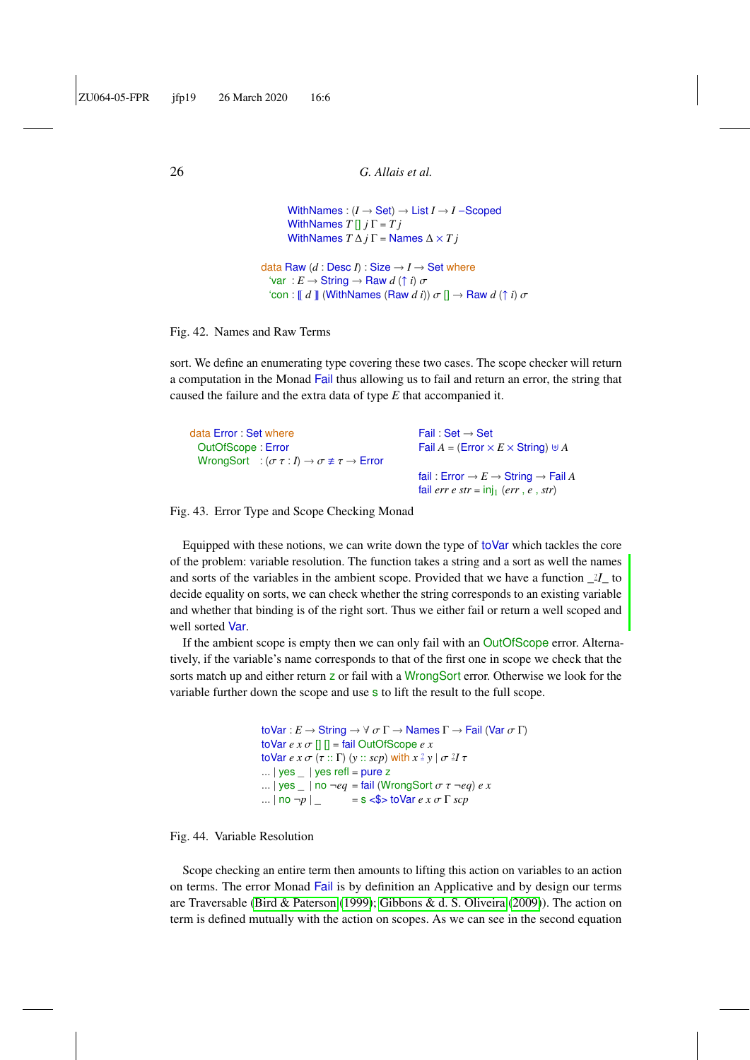```
WithNames : (I → Set) → List I → I −Scoped
        WithNames T[] j \Gamma = TjWithNames T \Delta j \Gamma = Names \Delta \times T jdata Raw (d : Desc I) : Size \rightarrow I \rightarrow Set where
   'var : E \rightarrow String \rightarrow Raw d \uparrow i \sigma'con : \llbracket d \rrbracket (WithNames (Raw d i)) \sigma \llbracket \rightarrow Raw d \rvert \uparrow i) \sigma
```
Fig. 42. Names and Raw Terms

sort. We define an enumerating type covering these two cases. The scope checker will return a computation in the Monad Fail thus allowing us to fail and return an error, the string that caused the failure and the extra data of type *E* that accompanied it.

| data Error: Set where<br>OutOfScope: Error<br>WrongSort : $(\sigma \tau : I) \rightarrow \sigma \not\equiv \tau \rightarrow$ Error | Fail: Set $\rightarrow$ Set<br>Fail $A = (Error \times E \times String) \cup A$                                          |
|------------------------------------------------------------------------------------------------------------------------------------|--------------------------------------------------------------------------------------------------------------------------|
|                                                                                                                                    | fail: Error $\rightarrow E \rightarrow$ String $\rightarrow$ Fail A<br>fail err e str = $\overline{inj_1}$ (err, e, str) |

Fig. 43. Error Type and Scope Checking Monad

Equipped with these notions, we can write down the type of toVar which tackles the core of the problem: variable resolution. The function takes a string and a sort as well the names and sorts of the variables in the ambient scope. Provided that we have a function  $\frac{1}{2}$  to decide equality on sorts, we can check whether the string corresponds to an existing variable and whether that binding is of the right sort. Thus we either fail or return a well scoped and well sorted Var.

If the ambient scope is empty then we can only fail with an OutOfScope error. Alternatively, if the variable's name corresponds to that of the first one in scope we check that the sorts match up and either return z or fail with a WrongSort error. Otherwise we look for the variable further down the scope and use s to lift the result to the full scope.

```
\text{toVar}: E \to \text{String} \to \forall \sigma \Gamma \to \text{Names } \Gamma \to \text{Fall } (\text{Var } \sigma \Gamma)\text{toVar } e \times \sigma [] \Box = fail OutOfScope e \timestoVar e x \sigma (\tau :: \Gamma) (y :: scp) with x \stackrel{?}{=} y \mid \sigma \stackrel{?}{=} I \tau... \vert yes \vert \vert yes refl = pure z
... |\text{yes} | no \text{-}eq = fail (WrongSort \sigma \tau \text{-}eq) e x<br>... |\text{no} \text{-}p| | = s <$> toVar e x \sigma \Gamma scp
                                         = s \lt$ > toVar e x \sigma \Gamma scp
```
Fig. 44. Variable Resolution

Scope checking an entire term then amounts to lifting this action on variables to an action on terms. The error Monad Fail is by definition an Applicative and by design our terms are Traversable [\(Bird & Paterson](#page-56-2) [\(1999\)](#page-56-2); [Gibbons & d. S. Oliveira](#page-57-6) [\(2009\)](#page-57-6)). The action on term is defined mutually with the action on scopes. As we can see in the second equation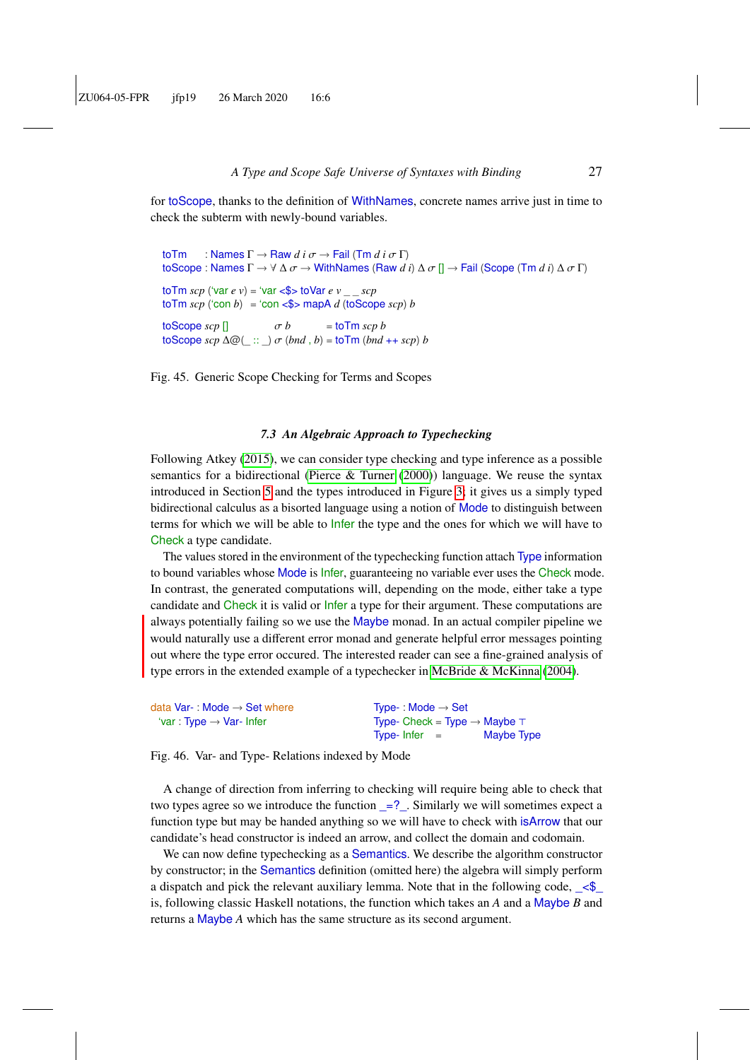for toScope, thanks to the definition of WithNames, concrete names arrive just in time to check the subterm with newly-bound variables.

```
toTm : Names Γ → Raw d i σ → Fail (Tm d i σ Γ)
toScope : Names Γ → ∀ ∆ σ → WithNames (Raw d i) ∆ σ [] → Fail (Scope (Tm d i) ∆ σ Γ)
\text{to}\text{Tm} scp ('var e v) = 'var <$> toVar e v _ _ scp
\text{to}\text{Tm} scp ('con b) = 'con <$> mapA d (toScope scp) b
\frac{1}{\cos \theta} \frac{\cos \theta}{\cos \theta} = \frac{\cos \theta}{\cos \theta}<br>
\frac{\cos \theta}{\cos \theta} = \frac{\cos \theta}{\cos \theta}toScope scp ∆@(_ :: _) σ (bnd , b) = toTm (bnd ++ scp) b
```
Fig. 45. Generic Scope Checking for Terms and Scopes

#### *7.3 An Algebraic Approach to Typechecking*

<span id="page-26-0"></span>Following Atkey [\(2015\)](#page-55-7), we can consider type checking and type inference as a possible semantics for a bidirectional [\(Pierce & Turner](#page-59-4)  $(2000)$ ) language. We reuse the syntax introduced in Section [5](#page-16-1) and the types introduced in Figure [3;](#page-5-2) it gives us a simply typed bidirectional calculus as a bisorted language using a notion of Mode to distinguish between terms for which we will be able to Infer the type and the ones for which we will have to Check a type candidate.

The values stored in the environment of the typechecking function attach Type information to bound variables whose Mode is Infer, guaranteeing no variable ever uses the Check mode. In contrast, the generated computations will, depending on the mode, either take a type candidate and Check it is valid or Infer a type for their argument. These computations are always potentially failing so we use the Maybe monad. In an actual compiler pipeline we would naturally use a different error monad and generate helpful error messages pointing out where the type error occured. The interested reader can see a fine-grained analysis of type errors in the extended example of a typechecker in [McBride & McKinna](#page-59-7) [\(2004\)](#page-59-7).

| data Var-: Mode $\rightarrow$ Set where | Type-: Mode $\rightarrow$ Set                 |
|-----------------------------------------|-----------------------------------------------|
| 'var : Type $\rightarrow$ Var- Infer    | Type- Check = Type $\rightarrow$ Maybe $\top$ |
|                                         | Maybe Type<br>Type- Infer $=$                 |

Fig. 46. Var- and Type- Relations indexed by Mode

A change of direction from inferring to checking will require being able to check that two types agree so we introduce the function  $=$ ?... Similarly we will sometimes expect a function type but may be handed anything so we will have to check with isArrow that our candidate's head constructor is indeed an arrow, and collect the domain and codomain.

We can now define typechecking as a Semantics. We describe the algorithm constructor by constructor; in the Semantics definition (omitted here) the algebra will simply perform a dispatch and pick the relevant auxiliary lemma. Note that in the following code,  $\leq$ is, following classic Haskell notations, the function which takes an *A* and a Maybe *B* and returns a Maybe *A* which has the same structure as its second argument.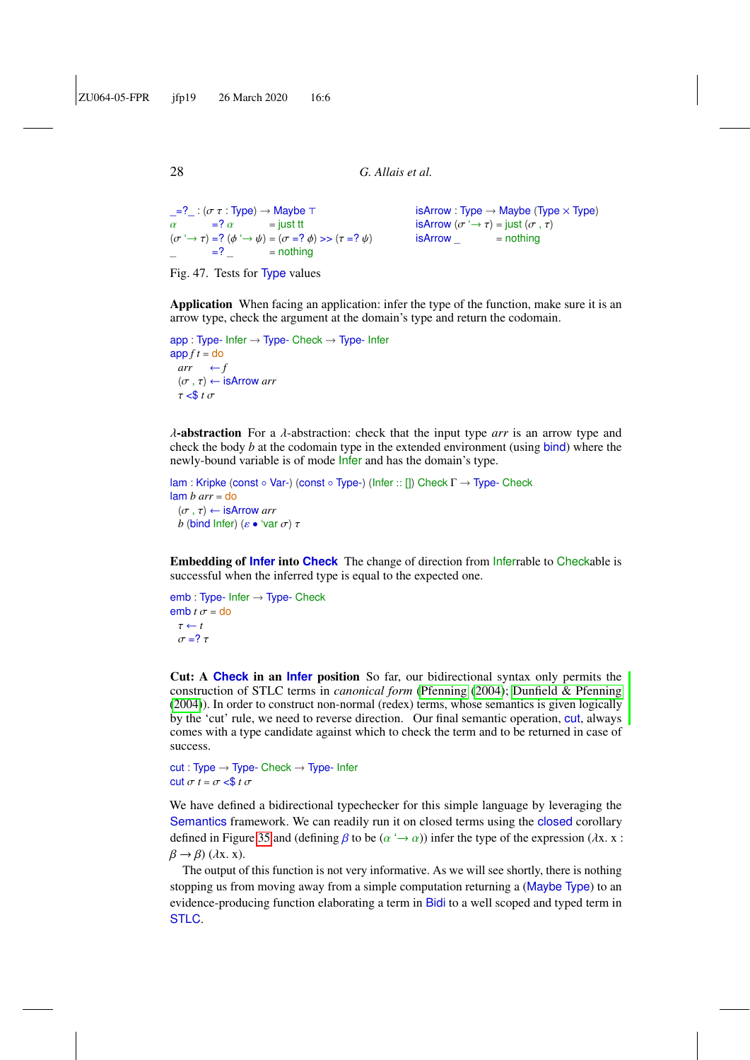```
\frac{-2}{\alpha} : (\sigma \tau : Type) \rightarrow Maybe \tau<br>\alpha =? \alpha = just tt
\alpha =? \alpha = just tt<br>
(\alpha \rightarrow \pi) -? (\alpha \rightarrow \pi) - (\alpha - 3)(\sigma \rightarrow \tau) = ? (\phi \rightarrow \psi) = (\sigma = ? \phi) >> (\tau = ? \psi)<br>-2 pothing
                  = ? = nothing
                                                                                                                   isArrow : Type \rightarrow Maybe (Type \times Type)isArrow (\sigma \rightarrow \tau) = \text{just} (\sigma, \tau)<br>isArrow = nothing
                                                                                                                   isArrow
```


Application When facing an application: infer the type of the function, make sure it is an arrow type, check the argument at the domain's type and return the codomain.

```
app : Type- Infer → Type- Check → Type- Infer
app f t =do
 arr \leftarrow f(\sigma, \tau) \leftarrow isArrow arr
 \tau < \frac{6}{5} t \sigma
```
λ-abstraction For a λ-abstraction: check that the input type *arr* is an arrow type and check the body *b* at the codomain type in the extended environment (using bind) where the newly-bound variable is of mode Infer and has the domain's type.

```
lam : Kripke (const ∘ Var-) (const ∘ Type-) (Infer :: []) Check Γ → Type- Check
lam b arr = do
 (\sigma, \tau) \leftarrow is Arrow arr
 b (bind Infer) (\varepsilon \bullet 'var \sigma) τ
```
Embedding of **Infer** into **Check** The change of direction from Inferrable to Checkable is successful when the inferred type is equal to the expected one.

```
emb : Type- Infer → Type- Check
emb t \sigma =do
 \tau \leftarrow tσ = ? τ
```
Cut: A **Check** in an **Infer** position So far, our bidirectional syntax only permits the construction of STLC terms in *canonical form* [\(Pfenning](#page-59-8) [\(2004\)](#page-59-8); [Dunfield & Pfenning](#page-57-7) [\(2004\)](#page-57-7)). In order to construct non-normal (redex) terms, whose semantics is given logically by the 'cut' rule, we need to reverse direction. Our final semantic operation, cut, always comes with a type candidate against which to check the term and to be returned in case of success.

```
cut: Type \rightarrow Type- Check \rightarrow Type- Intercut \sigma t = \sigma \leq s \tau \sigma
```
We have defined a bidirectional typechecker for this simple language by leveraging the Semantics framework. We can readily run it on closed terms using the closed corollary defined in Figure [35](#page-20-1) and (defining  $\beta$  to be  $(\alpha \rightarrow \alpha)$ ) infer the type of the expression ( $\lambda$ x. x :  $\beta \rightarrow \beta$ ) ( $\lambda$ x. x).

The output of this function is not very informative. As we will see shortly, there is nothing stopping us from moving away from a simple computation returning a (Maybe Type) to an evidence-producing function elaborating a term in Bidi to a well scoped and typed term in STLC.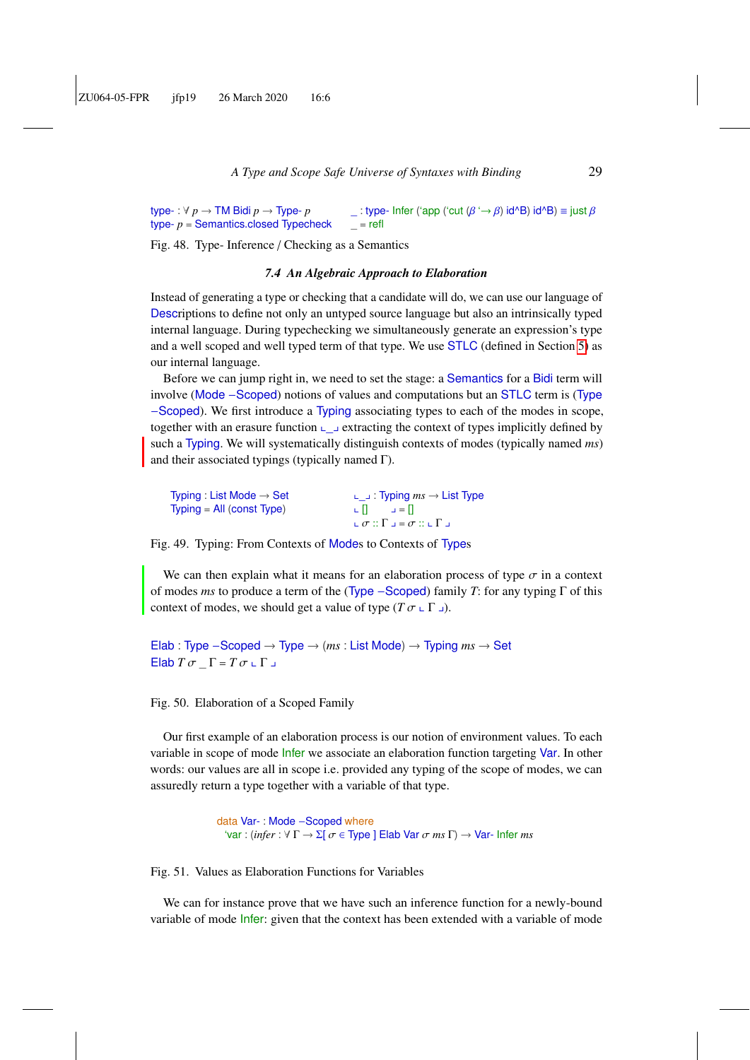type- : ∀ *p* → TM Bidi *p* → Type- *p* type- *p* = Semantics.closed Typecheck  $\therefore$  type- Infer ('app ('cut (β '→ β) id^B) id^B) ≡ just β  $=$  refl

Fig. 48. Type- Inference / Checking as a Semantics

#### *7.4 An Algebraic Approach to Elaboration*

<span id="page-28-0"></span>Instead of generating a type or checking that a candidate will do, we can use our language of Descriptions to define not only an untyped source language but also an intrinsically typed internal language. During typechecking we simultaneously generate an expression's type and a well scoped and well typed term of that type. We use STLC (defined in Section [5\)](#page-16-2) as our internal language.

Before we can jump right in, we need to set the stage: a Semantics for a Bidi term will involve (Mode −Scoped) notions of values and computations but an STLC term is (Type −Scoped). We first introduce a Typing associating types to each of the modes in scope, together with an erasure function  $\Box$  extracting the context of types implicitly defined by such a Typing. We will systematically distinguish contexts of modes (typically named *ms*) and their associated typings (typically named Γ).

| Typing : List Mode $\rightarrow$ Set | ∟ ⊥: Typing $ms \rightarrow$ List Type                                                   |
|--------------------------------------|------------------------------------------------------------------------------------------|
| $T$ vping = All (const $T$ vpe)      | $L  L   =  L  $<br>$L \sigma :: \Gamma \lrcorner = \sigma :: \llcorner \Gamma \lrcorner$ |
|                                      |                                                                                          |

Fig. 49. Typing: From Contexts of Modes to Contexts of Types

We can then explain what it means for an elaboration process of type  $\sigma$  in a context of modes *ms* to produce a term of the (Type −Scoped) family *T*: for any typing Γ of this context of modes, we should get a value of type  $(T \sigma \sqcup \Gamma \sqcup)$ .

Elab : Type −Scoped → Type → (*ms* : List Mode) → Typing *ms* → Set  $E$ lab *T* σ <sub>-</sub> Γ = *T* σ <sub>+</sub> Γ <sub>→</sub>

Fig. 50. Elaboration of a Scoped Family

Our first example of an elaboration process is our notion of environment values. To each variable in scope of mode Infer we associate an elaboration function targeting Var. In other words: our values are all in scope i.e. provided any typing of the scope of modes, we can assuredly return a type together with a variable of that type.

> data Var- : Mode −Scoped where 'var : (*infer* : <sup>∀</sup> <sup>Γ</sup> <sup>→</sup> <sup>Σ</sup>[ σ <sup>∈</sup> Type ] Elab Var σ *ms* <sup>Γ</sup>) <sup>→</sup> Var- Infer *ms*

Fig. 51. Values as Elaboration Functions for Variables

We can for instance prove that we have such an inference function for a newly-bound variable of mode Infer: given that the context has been extended with a variable of mode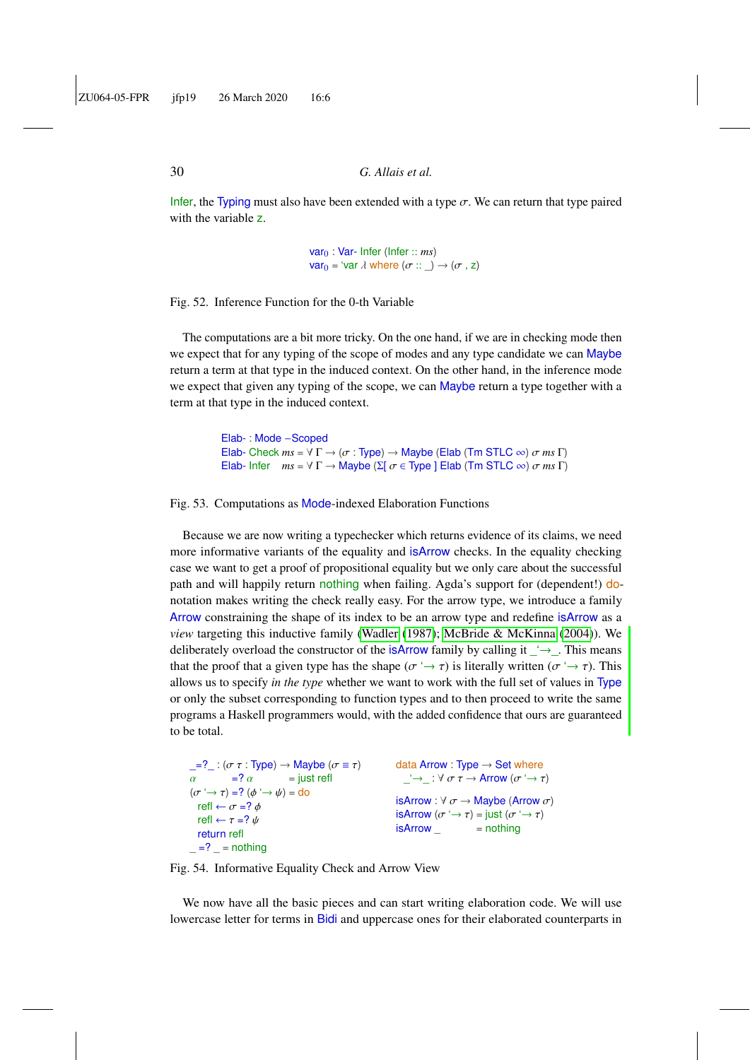Infer, the Typing must also have been extended with a type  $\sigma$ . We can return that type paired with the variable z.

> var<sup>0</sup> : Var- Infer (Infer :: *ms*) var<sub>0</sub> = 'var  $\lambda$  where  $(\sigma :: \_) \rightarrow (\sigma , z)$

Fig. 52. Inference Function for the 0-th Variable

The computations are a bit more tricky. On the one hand, if we are in checking mode then we expect that for any typing of the scope of modes and any type candidate we can Maybe return a term at that type in the induced context. On the other hand, in the inference mode we expect that given any typing of the scope, we can Maybe return a type together with a term at that type in the induced context.

```
Elab- : Mode −Scoped
Elab- Check ms = \forall \Gamma \rightarrow (\sigma : \text{Type}) \rightarrow \text{Maybe} (Elab (Tm STLC \infty) \sigma ms \Gamma)
Elab- Infer ms = ∀ Γ → Maybe (Σ[ σ ∈ Type ] Elab (Tm STLC ∞) σ ms Γ)
```
Fig. 53. Computations as Mode-indexed Elaboration Functions

Because we are now writing a typechecker which returns evidence of its claims, we need more informative variants of the equality and isArrow checks. In the equality checking case we want to get a proof of propositional equality but we only care about the successful path and will happily return nothing when failing. Agda's support for (dependent!) donotation makes writing the check really easy. For the arrow type, we introduce a family Arrow constraining the shape of its index to be an arrow type and redefine isArrow as a *view* targeting this inductive family [\(Wadler](#page-59-9) [\(1987\)](#page-59-9); [McBride & McKinna](#page-59-7) [\(2004\)](#page-59-7)). We deliberately overload the constructor of the isArrow family by calling it  $\rightarrow$ . This means that the proof that a given type has the shape ( $\sigma \rightarrow \tau$ ) is literally written ( $\sigma \rightarrow \tau$ ). This allows us to specify *in the type* whether we want to work with the full set of values in Type or only the subset corresponding to function types and to then proceed to write the same programs a Haskell programmers would, with the added confidence that ours are guaranteed to be total.

```
\frac{1}{\alpha} =? \frac{1}{\alpha} : (\sigma \tau : Type) \rightarrow Maybe (\sigma \equiv \tau)<br>\frac{\alpha}{\alpha} = \frac{1}{\alpha} = just refl
\alpha =? \alpha = just refl<br>
(\alpha \rightarrow \pi) -? (A \rightarrow B) - do
(\sigma \rightarrow \tau) = ? (\phi \rightarrow \psi) =do
   refl \leftarrow \sigma = ? \phirefl \leftarrow \tau = ? \psireturn refl
=? = nothing
                                                                                                       data Arrow : Type \rightarrow Set where
                                                                                                           \therefore \rightarrow \therefore \forall \sigma \tau \rightarrow Arrow (\sigma \rightarrow \tau)isArrow : \forall \sigma \rightarrow \text{Maybe (Arrow } \sigma)isArrow (\sigma \rightarrow \tau) = just (\sigma \rightarrow \tau)<br>isArrow = nothing
                                                                                                       isArrow
```
Fig. 54. Informative Equality Check and Arrow View

We now have all the basic pieces and can start writing elaboration code. We will use lowercase letter for terms in Bidi and uppercase ones for their elaborated counterparts in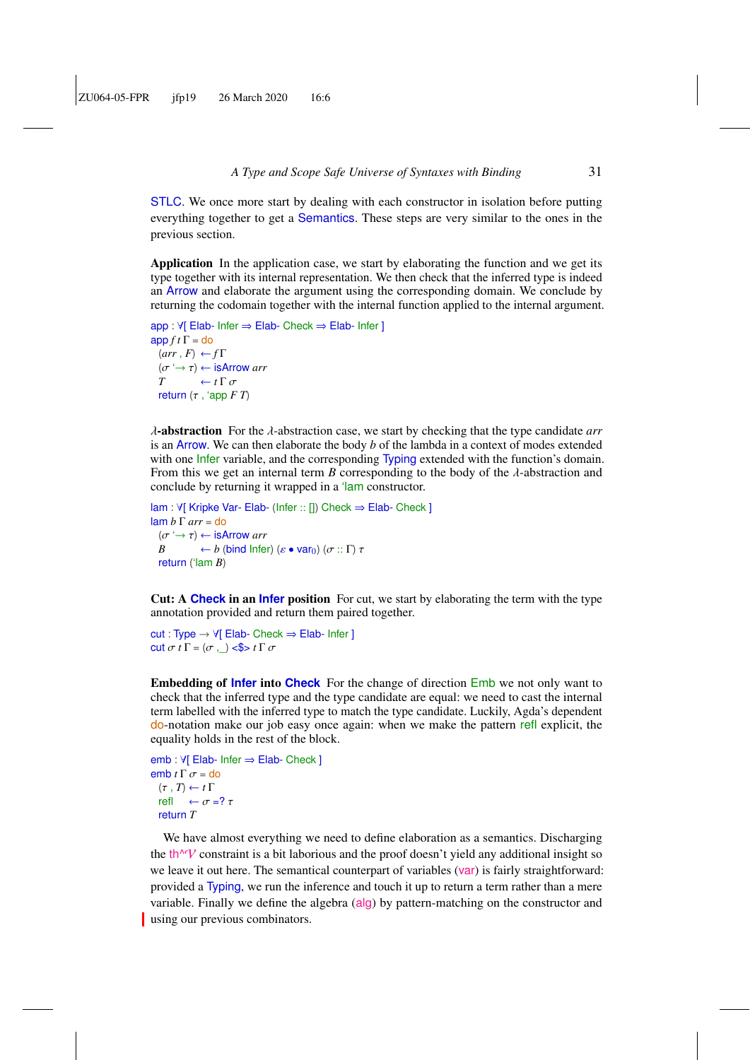STLC. We once more start by dealing with each constructor in isolation before putting everything together to get a Semantics. These steps are very similar to the ones in the previous section.

Application In the application case, we start by elaborating the function and we get its type together with its internal representation. We then check that the inferred type is indeed an Arrow and elaborate the argument using the corresponding domain. We conclude by returning the codomain together with the internal function applied to the internal argument.

```
app : ∀[ Elab- Infer ⇒ Elab- Check ⇒ Elab- Infer ]
\frac{app f t \Gamma}{d} = do
   (arr, F) \leftarrow f\Gamma(\sigma \rightarrow \tau) \leftarrow is Arrow arr<br>
T \leftarrow t \Gamma \sigmaT \leftarrow t \Gamma \sigma<br>return (\tau 'ann Freturn (τ , 'app F T)
```
<sup>λ</sup>-abstraction For the λ-abstraction case, we start by checking that the type candidate *arr* is an Arrow. We can then elaborate the body *b* of the lambda in a context of modes extended with one *Infer variable*, and the corresponding Typing extended with the function's domain. From this we get an internal term *B* corresponding to the body of the  $\lambda$ -abstraction and conclude by returning it wrapped in a 'lam constructor.

```
lam : ∀[ Kripke Var- Elab- (Infer :: []) Check ⇒ Elab- Check ]
lam b Γ arr = do
  (\sigma \rightarrow \tau) \leftarrow is Arrow arr<br>B \leftarrow b (bind Infer
           \theta (bind Infer) (ε • var<sub>0</sub>) (σ :: Γ) τ
  return ('lam B)
```
Cut: A **Check** in an **Infer** position For cut, we start by elaborating the term with the type annotation provided and return them paired together.

cut : Type → ∀[ Elab- Check ⇒ Elab- Infer ] cut  $\sigma$  *t*  $\Gamma = (\sigma, \Box) \le \phi$  *t*  $\Gamma \sigma$ 

Embedding of **Infer** into **Check** For the change of direction Emb we not only want to check that the inferred type and the type candidate are equal: we need to cast the internal term labelled with the inferred type to match the type candidate. Luckily, Agda's dependent do-notation make our job easy once again: when we make the pattern refl explicit, the equality holds in the rest of the block.

```
emb : ∀[ Elab- Infer ⇒ Elab- Check ]
emb t Γ σ = do
 (\tau, T) \leftarrow t \Gammarefl \leftarrow \sigma = ? \taureturn T
```
We have almost everything we need to define elaboration as a semantics. Discharging the th $\gamma$  constraint is a bit laborious and the proof doesn't yield any additional insight so we leave it out here. The semantical counterpart of variables (var) is fairly straightforward: provided a Typing, we run the inference and touch it up to return a term rather than a mere variable. Finally we define the algebra (alg) by pattern-matching on the constructor and using our previous combinators.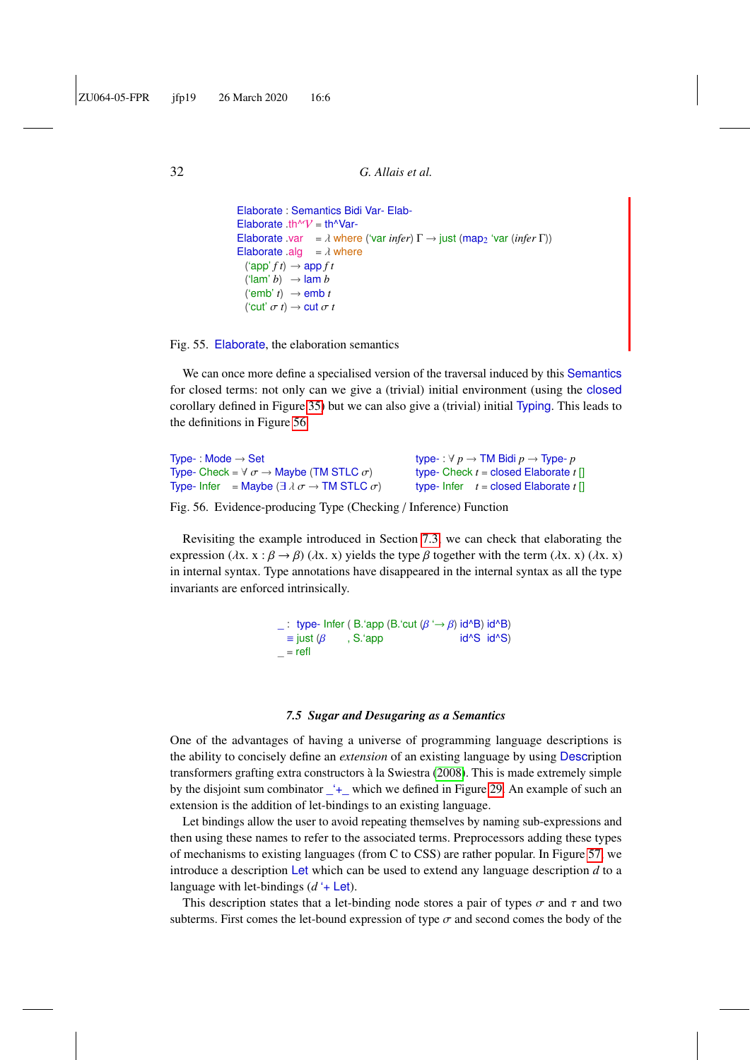```
Elaborate : Semantics Bidi Var- Elab-
Elaborate .th^V = th^Var-
Elaborate .var = \lambda where ('var infer) \Gamma \rightarrow just (map<sub>2</sub> 'var (infer \Gamma))
Elaborate .alg = \lambda where
  ({\rm \text{'app'}\,} f\, t) \rightarrow {\rm \text{app\,} f\,} t(\text{Iam'}\;b) \rightarrow \text{Iam}\;b('emb' t) \rightarrow emb t('cut' \sigma t) \rightarrow cut \sigma t
```
Fig. 55. Elaborate, the elaboration semantics

We can once more define a specialised version of the traversal induced by this Semantics for closed terms: not only can we give a (trivial) initial environment (using the closed corollary defined in Figure [35\)](#page-20-1) but we can also give a (trivial) initial Typing. This leads to the definitions in Figure [56.](#page-31-1)

| Type-: Mode $\rightarrow$ Set                                                   | type-: $\forall p \rightarrow TM$ Bidi $p \rightarrow Type-p$ |
|---------------------------------------------------------------------------------|---------------------------------------------------------------|
| Type- Check = $\forall \sigma \rightarrow$ Maybe (TM STLC $\sigma$ )            | type- Check $t =$ closed Elaborate $t \upharpoonright$        |
| Type- Infer = Maybe $(\exists \lambda \sigma \rightarrow TM \, STLC \, \sigma)$ | type- Infer $t =$ closed Elaborate $t \in$                    |

Fig. 56. Evidence-producing Type (Checking / Inference) Function

Revisiting the example introduced in Section [7.3,](#page-26-0) we can check that elaborating the expression ( $\lambda$ x. x :  $\beta \rightarrow \beta$ ) ( $\lambda$ x. x) yields the type  $\beta$  together with the term ( $\lambda$ x. x) ( $\lambda$ x. x) in internal syntax. Type annotations have disappeared in the internal syntax as all the type invariants are enforced intrinsically.

> <span id="page-31-1"></span> $\therefore$  type- Infer ( B.'app (B.'cut (β '→ β) id^B) id^B) = just (β , S.'app id^S id^S)  $\blacksquare$ , S.'app  $=$  refl

#### *7.5 Sugar and Desugaring as a Semantics*

<span id="page-31-0"></span>One of the advantages of having a universe of programming language descriptions is the ability to concisely define an *extension* of an existing language by using Description transformers grafting extra constructors à la Swiestra [\(2008\)](#page-59-10). This is made extremely simple by the disjoint sum combinator \_'+\_ which we defined in Figure [29.](#page-18-1) An example of such an extension is the addition of let-bindings to an existing language.

Let bindings allow the user to avoid repeating themselves by naming sub-expressions and then using these names to refer to the associated terms. Preprocessors adding these types of mechanisms to existing languages (from C to CSS) are rather popular. In Figure [57,](#page-32-0) we introduce a description Let which can be used to extend any language description *d* to a language with let-bindings (*d* '+ Let).

This description states that a let-binding node stores a pair of types  $\sigma$  and  $\tau$  and two subterms. First comes the let-bound expression of type  $\sigma$  and second comes the body of the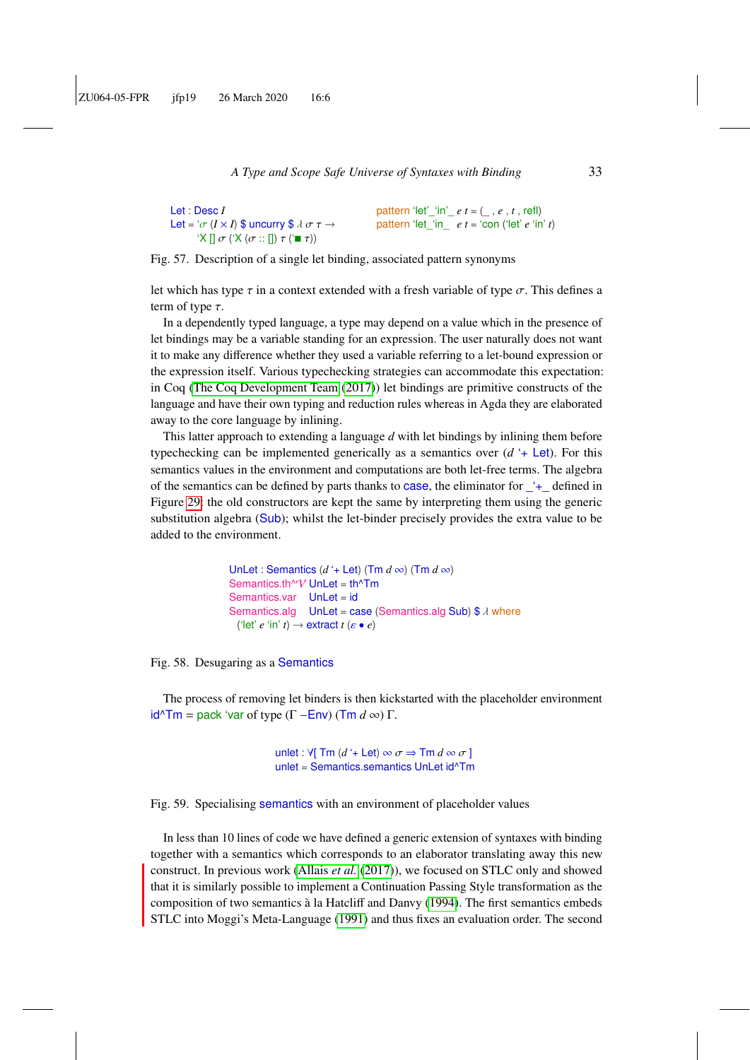```
Let : Desc I
Let = '\sigma (I \times I) $ uncurry $ \lambda \sigma \tau \rightarrow\mathcal{I}(\mathsf{X} \mathcal{I}) \sigma (\mathcal{I} \mathcal{I} \mathcal{I} \mathcal{I}) = \mathcal{I}(\mathsf{X} \mathcal{I})pattern 'let'_'in'_ e t = (_ , e , t , refl)
                                                                                          pattern 'let_'in_ e t = 'con ('let' e 'in' t)
```
Fig. 57. Description of a single let binding, associated pattern synonyms

let which has type  $\tau$  in a context extended with a fresh variable of type  $\sigma$ . This defines a term of type  $\tau$ .

In a dependently typed language, a type may depend on a value which in the presence of let bindings may be a variable standing for an expression. The user naturally does not want it to make any difference whether they used a variable referring to a let-bound expression or the expression itself. Various typechecking strategies can accommodate this expectation: in Coq [\(The Coq Development Team](#page-59-2) [\(2017\)](#page-59-2)) let bindings are primitive constructs of the language and have their own typing and reduction rules whereas in Agda they are elaborated away to the core language by inlining.

This latter approach to extending a language *d* with let bindings by inlining them before typechecking can be implemented generically as a semantics over  $(d + \text{Let})$ . For this semantics values in the environment and computations are both let-free terms. The algebra of the semantics can be defined by parts thanks to case, the eliminator for  $+$  defined in Figure [29:](#page-18-1) the old constructors are kept the same by interpreting them using the generic substitution algebra (Sub); whilst the let-binder precisely provides the extra value to be added to the environment.

```
UnLet : Semantics (d + \text{Let}) (Tm d \infty) (Tm d \infty)
Semantics.th^V UnLet = th^Tm
Semantics.var UnLet = id
Semantics.alg UnLet = case (Semantics.alg Sub) \frac{1}{2} where
 ('let' e 'in' t) \rightarrow extract t (\varepsilon \bullet e)
```
Fig. 58. Desugaring as a Semantics

The process of removing let binders is then kickstarted with the placeholder environment  $id^{\wedge}Tm =$  pack 'var of type (Γ – Env) (Tm *d* ∞) Γ.

> unlet :  $\forall$ [ Tm (d '+ Let)  $\infty \sigma \Rightarrow$  Tm  $d \infty \sigma$  ] unlet = Semantics.semantics UnLet id^Tm

Fig. 59. Specialising semantics with an environment of placeholder values

In less than 10 lines of code we have defined a generic extension of syntaxes with binding together with a semantics which corresponds to an elaborator translating away this new construct. In previous work [\(Allais](#page-55-6) *et al.* [\(2017\)](#page-55-6)), we focused on STLC only and showed that it is similarly possible to implement a Continuation Passing Style transformation as the composition of two semantics à la Hatcliff and Danvy [\(1994\)](#page-57-8). The first semantics embeds STLC into Moggi's Meta-Language [\(1991\)](#page-59-11) and thus fixes an evaluation order. The second

<span id="page-32-0"></span>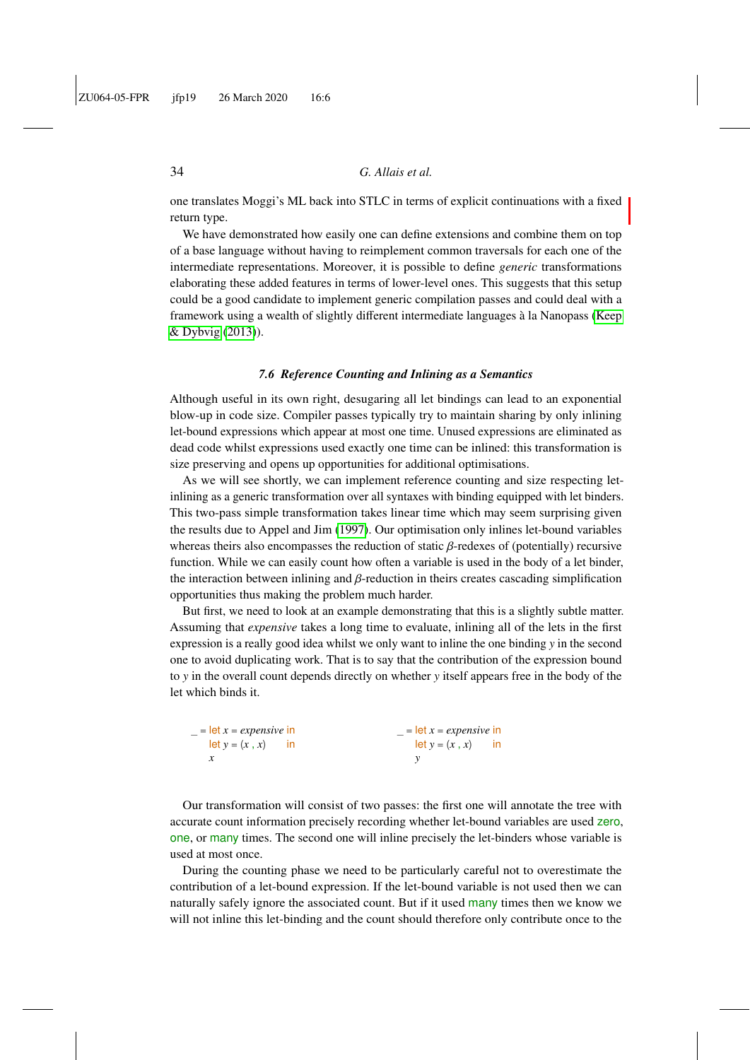one translates Moggi's ML back into STLC in terms of explicit continuations with a fixed return type.

We have demonstrated how easily one can define extensions and combine them on top of a base language without having to reimplement common traversals for each one of the intermediate representations. Moreover, it is possible to define *generic* transformations elaborating these added features in terms of lower-level ones. This suggests that this setup could be a good candidate to implement generic compilation passes and could deal with a framework using a wealth of slightly different intermediate languages à la Nanopass [\(Keep](#page-58-4) [& Dybvig](#page-58-4) [\(2013\)](#page-58-4)).

#### *7.6 Reference Counting and Inlining as a Semantics*

<span id="page-33-0"></span>Although useful in its own right, desugaring all let bindings can lead to an exponential blow-up in code size. Compiler passes typically try to maintain sharing by only inlining let-bound expressions which appear at most one time. Unused expressions are eliminated as dead code whilst expressions used exactly one time can be inlined: this transformation is size preserving and opens up opportunities for additional optimisations.

As we will see shortly, we can implement reference counting and size respecting letinlining as a generic transformation over all syntaxes with binding equipped with let binders. This two-pass simple transformation takes linear time which may seem surprising given the results due to Appel and Jim [\(1997\)](#page-55-12). Our optimisation only inlines let-bound variables whereas theirs also encompasses the reduction of static  $\beta$ -redexes of (potentially) recursive function. While we can easily count how often a variable is used in the body of a let binder, the interaction between inlining and  $\beta$ -reduction in theirs creates cascading simplification opportunities thus making the problem much harder.

But first, we need to look at an example demonstrating that this is a slightly subtle matter. Assuming that *expensive* takes a long time to evaluate, inlining all of the lets in the first expression is a really good idea whilst we only want to inline the one binding *y* in the second one to avoid duplicating work. That is to say that the contribution of the expression bound to *y* in the overall count depends directly on whether *y* itself appears free in the body of the let which binds it.

| $=$ let $x =$ <i>expensive</i> in | $=$ let $x =$ <i>expensive</i> in |  |
|-----------------------------------|-----------------------------------|--|
| $let y = (x, x)$ in               | $let y = (x, x)$ in               |  |
|                                   |                                   |  |

Our transformation will consist of two passes: the first one will annotate the tree with accurate count information precisely recording whether let-bound variables are used zero, one, or many times. The second one will inline precisely the let-binders whose variable is used at most once.

During the counting phase we need to be particularly careful not to overestimate the contribution of a let-bound expression. If the let-bound variable is not used then we can naturally safely ignore the associated count. But if it used many times then we know we will not inline this let-binding and the count should therefore only contribute once to the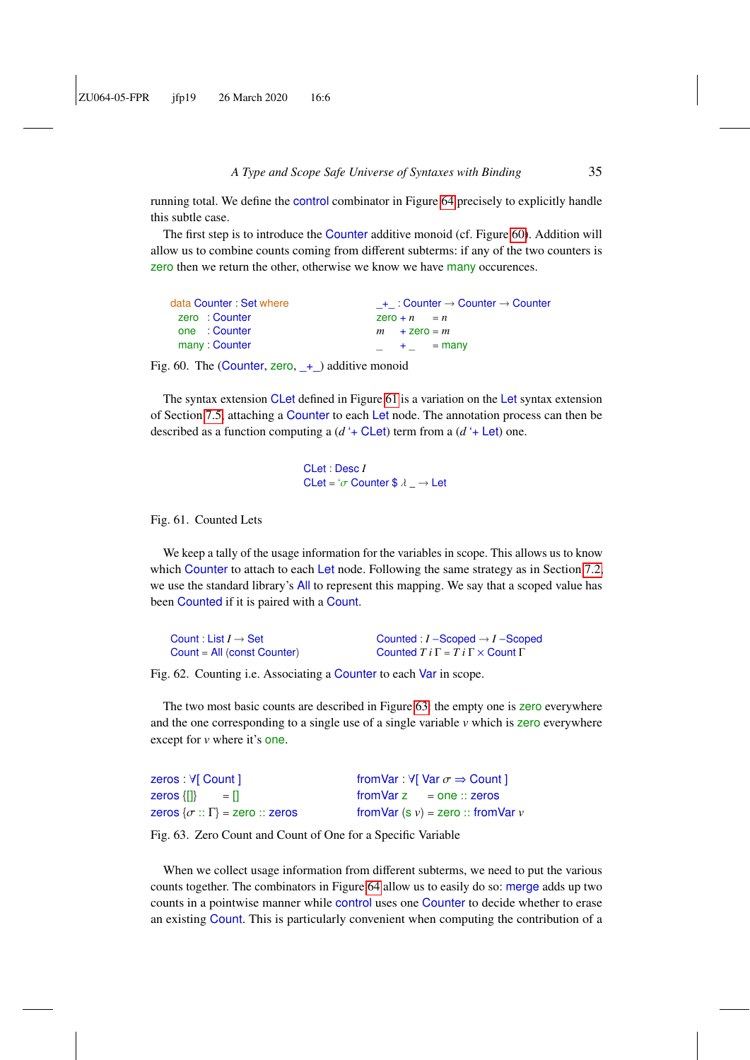running total. We define the control combinator in Figure [64](#page-35-0) precisely to explicitly handle this subtle case.

The first step is to introduce the Counter additive monoid (cf. Figure [60\)](#page-34-0). Addition will allow us to combine counts coming from different subterms: if any of the two counters is zero then we return the other, otherwise we know we have many occurences.

| data Counter: Set where | $+$ : Counter $\rightarrow$ Counter $\rightarrow$ Counter |
|-------------------------|-----------------------------------------------------------|
| zero: Counter           | $2e$ ro + n = n                                           |
| one : Counter           | $m + 2$ ero = m                                           |
| many: Counter           | $-$ + $-$ = many                                          |

Fig. 60. The (Counter, zero,  $+$ ) additive monoid

The syntax extension CLet defined in Figure [61](#page-34-1) is a variation on the Let syntax extension of Section [7.5,](#page-31-0) attaching a Counter to each Let node. The annotation process can then be described as a function computing a (*d* '+ CLet) term from a (*d* '+ Let) one.

> <span id="page-34-2"></span><span id="page-34-1"></span><span id="page-34-0"></span>CLet : Desc *I* CLet = ' $\sigma$  Counter \$  $\lambda$  *\_*  $\rightarrow$  Let

#### Fig. 61. Counted Lets

We keep a tally of the usage information for the variables in scope. This allows us to know which Counter to attach to each Let node. Following the same strategy as in Section [7.2,](#page-24-0) we use the standard library's All to represent this mapping. We say that a scoped value has been Counted if it is paired with a Count.

| Count: List $I \rightarrow$ Set | Counted : $I$ –Scoped $\rightarrow$ I –Scoped           |
|---------------------------------|---------------------------------------------------------|
| $Count = All (const Counter)$   | Counted $T i \Gamma = T i \Gamma \times$ Count $\Gamma$ |

Fig. 62. Counting i.e. Associating a Counter to each Var in scope.

The two most basic counts are described in Figure [63:](#page-34-2) the empty one is zero everywhere and the one corresponding to a single use of a single variable *v* which is zero everywhere except for *v* where it's one.

| zeros : V[ Count ]                          | from Var: $\forall$ [ Var $\sigma \Rightarrow$ Count ] |
|---------------------------------------------|--------------------------------------------------------|
| zeros $\{ \}$ = $ $                         | $from \text{Var } z = one :: zeros$                    |
| zeros $\{\sigma : \Gamma\}$ = zero :: zeros | from Var $(s, v)$ = zero :: from Var $v$               |

Fig. 63. Zero Count and Count of One for a Specific Variable

When we collect usage information from different subterms, we need to put the various counts together. The combinators in Figure [64](#page-35-0) allow us to easily do so: merge adds up two counts in a pointwise manner while control uses one Counter to decide whether to erase an existing Count. This is particularly convenient when computing the contribution of a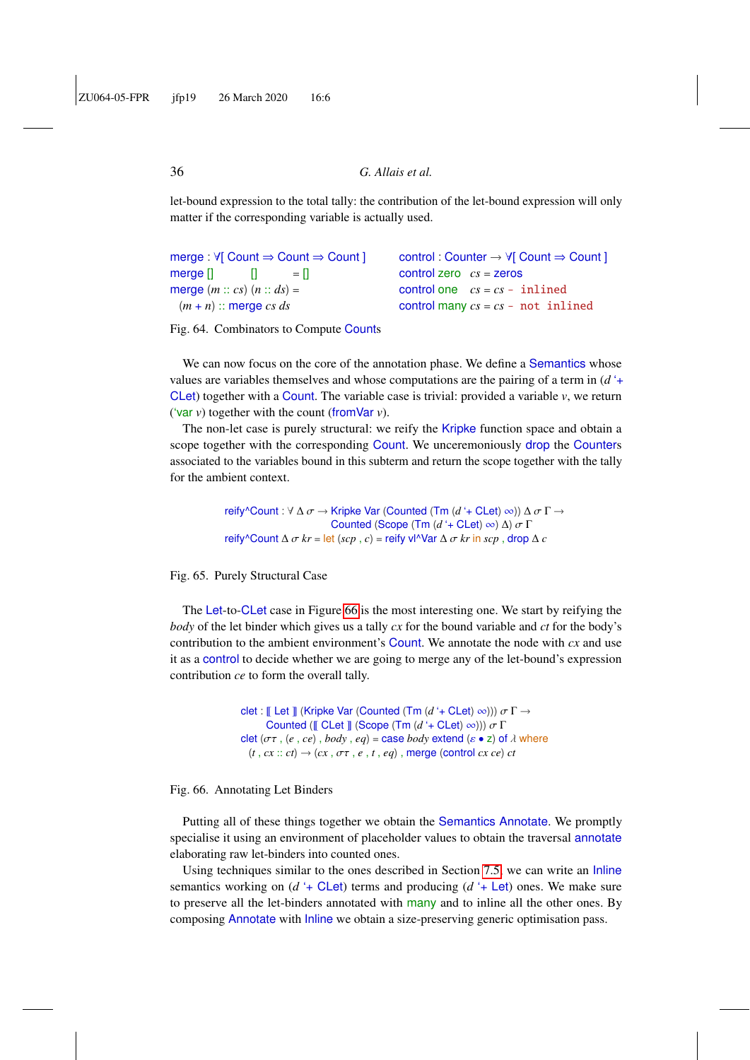let-bound expression to the total tally: the contribution of the let-bound expression will only matter if the corresponding variable is actually used.

merge : ∀[ Count ⇒ Count ⇒ Count ]  $\text{merge} []$   $[]$   $= []$ merge  $(m:: cs)$   $(n:: ds)$  =  $(m + n)$ : merge *cs ds* 

<span id="page-35-0"></span>control : Counter → ∀[ Count ⇒ Count ] control zero *cs* = zeros control one  $cs = cs - inlined$ control many  $cs = cs - \text{not } \text{inlined}$ 

Fig. 64. Combinators to Compute Counts

We can now focus on the core of the annotation phase. We define a Semantics whose values are variables themselves and whose computations are the pairing of a term in (*d* '+ CLet) together with a Count. The variable case is trivial: provided a variable *v*, we return ('var *v*) together with the count (fromVar *v*).

The non-let case is purely structural: we reify the Kripke function space and obtain a scope together with the corresponding Count. We unceremoniously drop the Counters associated to the variables bound in this subterm and return the scope together with the tally for the ambient context.

> reify^Count : <sup>∀</sup> <sup>∆</sup> σ <sup>→</sup> Kripke Var (Counted (Tm (*<sup>d</sup>* '+ CLet) <sup>∞</sup>)) <sup>∆</sup> σ <sup>Γ</sup> <sup>→</sup> Counted (Scope (Tm  $(d + \text{CLet}) \infty$ ) Δ)  $\sigma \Gamma$ reify^Count  $\Delta \sigma kr = \text{let}(scp, c) = \text{reify v} \vee \text{Var} \Delta \sigma kr$  in  $scp$ , drop  $\Delta c$

Fig. 65. Purely Structural Case

The Let-to-CLet case in Figure [66](#page-35-1) is the most interesting one. We start by reifying the *body* of the let binder which gives us a tally *cx* for the bound variable and *ct* for the body's contribution to the ambient environment's Count. We annotate the node with *cx* and use it as a control to decide whether we are going to merge any of the let-bound's expression contribution *ce* to form the overall tally.

```
clet : \mathbb{I} Let \mathbb{I} (Kripke Var (Counted (Tm (d' + CLet) \infty))) \sigma \Gamma \rightarrowCounted (\mathbb{F} CLet \mathbb{F} (Scope (Tm (d'+ CLet) \infty))) \sigma \Gammaclet (\sigma \tau, (e, ce), body, eq) = \text{case } body \text{ extend } (ε \cdot z) \text{ of } \lambda \text{ where}(t, cx :: ct) \rightarrow (cx, \sigma\tau, e, t, eq), merge (control cx ce) ct
```
#### Fig. 66. Annotating Let Binders

Putting all of these things together we obtain the Semantics Annotate. We promptly specialise it using an environment of placeholder values to obtain the traversal annotate elaborating raw let-binders into counted ones.

Using techniques similar to the ones described in Section [7.5,](#page-31-0) we can write an Inline semantics working on  $(d + \text{C}$ Let) terms and producing  $(d + \text{Let})$  ones. We make sure to preserve all the let-binders annotated with many and to inline all the other ones. By composing Annotate with Inline we obtain a size-preserving generic optimisation pass.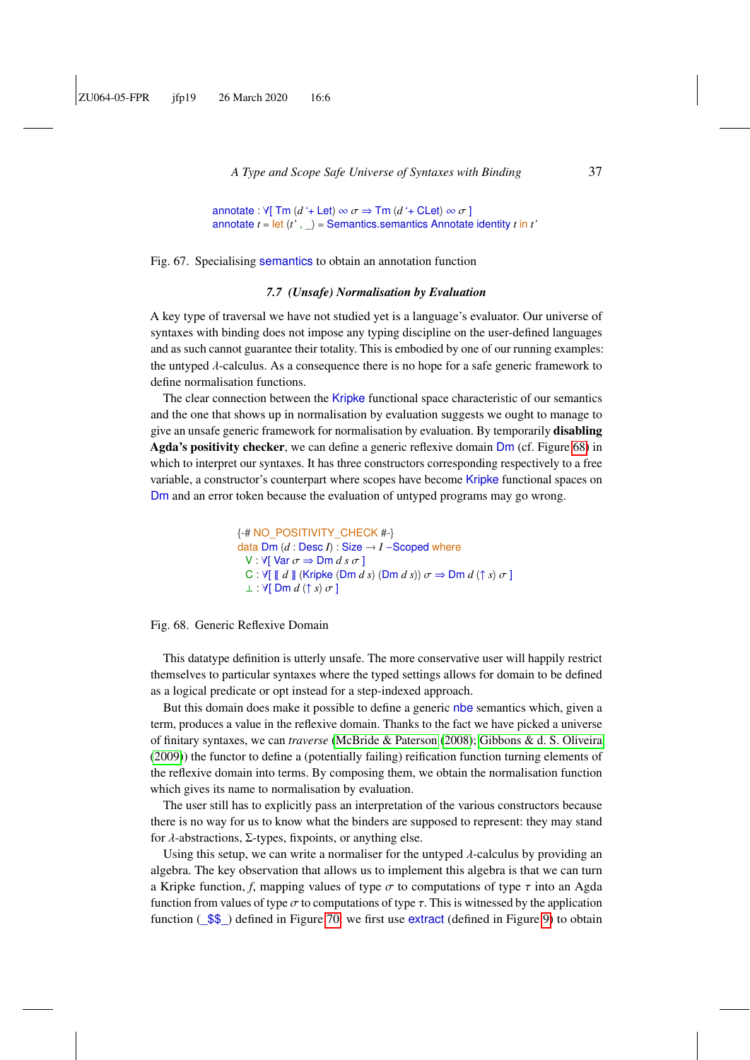annotate :  $\forall$ [ Tm (d '+ Let)  $\infty \sigma \Rightarrow$  Tm (d '+ CLet)  $\infty \sigma$  ] annotate *t* = let (*t'* , \_) = Semantics.semantics Annotate identity *t* in *t'*

Fig. 67. Specialising semantics to obtain an annotation function

#### *7.7 (Unsafe) Normalisation by Evaluation*

<span id="page-36-0"></span>A key type of traversal we have not studied yet is a language's evaluator. Our universe of syntaxes with binding does not impose any typing discipline on the user-defined languages and as such cannot guarantee their totality. This is embodied by one of our running examples: the untyped  $\lambda$ -calculus. As a consequence there is no hope for a safe generic framework to define normalisation functions.

The clear connection between the Kripke functional space characteristic of our semantics and the one that shows up in normalisation by evaluation suggests we ought to manage to give an unsafe generic framework for normalisation by evaluation. By temporarily disabling Agda's positivity checker, we can define a generic reflexive domain Dm (cf. Figure [68\)](#page-36-1) in which to interpret our syntaxes. It has three constructors corresponding respectively to a free variable, a constructor's counterpart where scopes have become Kripke functional spaces on Dm and an error token because the evaluation of untyped programs may go wrong.

```
{-# NO_POSITIVITY_CHECK #-}
data Dm (d : Desc I) : Size \rightarrow I - Scoped whereV : \forall[ Var \sigma \Rightarrow Dm d s \sigma]
  C : \forall [\![d]\!] (Kripke (Dm d s) (Dm d s)) \sigma \Rightarrow Dm d (\uparrow s) \sigma]
  ⊥ : V[ Dm d (↑ s) \sigma ]
```
#### Fig. 68. Generic Reflexive Domain

This datatype definition is utterly unsafe. The more conservative user will happily restrict themselves to particular syntaxes where the typed settings allows for domain to be defined as a logical predicate or opt instead for a step-indexed approach.

But this domain does make it possible to define a generic nbe semantics which, given a term, produces a value in the reflexive domain. Thanks to the fact we have picked a universe of finitary syntaxes, we can *traverse* [\(McBride & Paterson](#page-59-5) [\(2008\)](#page-59-5); [Gibbons & d. S. Oliveira](#page-57-6) [\(2009\)](#page-57-6)) the functor to define a (potentially failing) reification function turning elements of the reflexive domain into terms. By composing them, we obtain the normalisation function which gives its name to normalisation by evaluation.

The user still has to explicitly pass an interpretation of the various constructors because there is no way for us to know what the binders are supposed to represent: they may stand for λ-abstractions, <sup>Σ</sup>-types, fixpoints, or anything else.

Using this setup, we can write a normaliser for the untyped  $\lambda$ -calculus by providing an algebra. The key observation that allows us to implement this algebra is that we can turn a Kripke function, *f*, mapping values of type  $\sigma$  to computations of type  $\tau$  into an Agda function from values of type  $\sigma$  to computations of type  $\tau$ . This is witnessed by the application function  $(\frac{$ \$}{\\$} ) defined in Figure [70:](#page-37-0) we first use extract (defined in Figure [9\)](#page-8-2) to obtain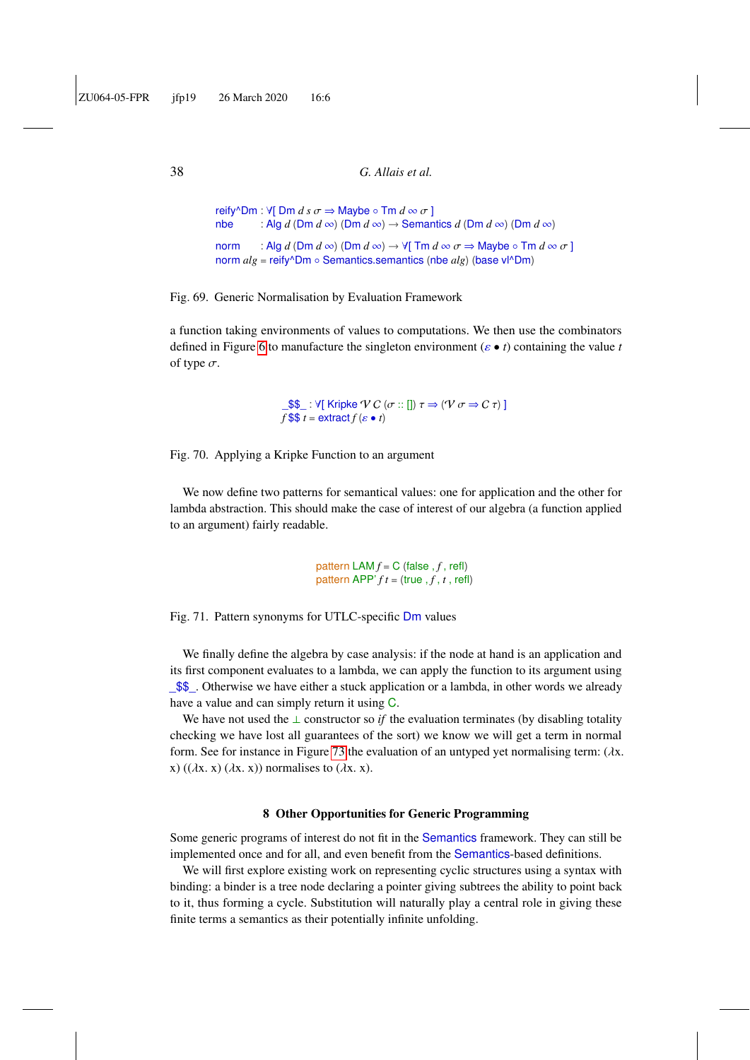```
reify^Dm : \forall[ Dm d s \sigma \Rightarrow Maybe ∘ Tm d ∞ \sigma ]<br>nbe : Alg d (Dm d ∞) (Dm d ∞) → Seman
              : Alg d (Dm d \infty) (Dm d \infty) \rightarrow Semantics d (Dm d \infty) (Dm d \infty)
norm : Alg d (Dm d \infty) (Dm d \infty) \rightarrow \forall[ Tm d \infty \sigma \Rightarrow Maybe \circ Tm d \infty \sigma ]
norm alg = reify^Dm ◦ Semantics.semantics (nbe alg) (base vl^Dm)
```
Fig. 69. Generic Normalisation by Evaluation Framework

a function taking environments of values to computations. We then use the combinators defined in Figure [6](#page-7-1) to manufacture the singleton environment ( $\varepsilon \bullet t$ ) containing the value *t* of type  $\sigma$ .

> <span id="page-37-0"></span> $\text{S}}$  :  $\forall$ [ Kripke  $\forall C$  ( $\sigma$  :: [])  $\tau \Rightarrow (\forall \sigma \Rightarrow C \tau)$ ]  $f$  \$\$  $t =$  extract  $f(\varepsilon \bullet t)$

Fig. 70. Applying a Kripke Function to an argument

We now define two patterns for semantical values: one for application and the other for lambda abstraction. This should make the case of interest of our algebra (a function applied to an argument) fairly readable.

> pattern  $LAM f = C$  (false ,  $f$ , refl) pattern APP'  $ft = (true, f, t, refl)$

Fig. 71. Pattern synonyms for UTLC-specific Dm values

We finally define the algebra by case analysis: if the node at hand is an application and its first component evaluates to a lambda, we can apply the function to its argument using \_\$\$\_. Otherwise we have either a stuck application or a lambda, in other words we already have a value and can simply return it using C.

We have not used the ⊥ constructor so *if* the evaluation terminates (by disabling totality checking we have lost all guarantees of the sort) we know we will get a term in normal form. See for instance in Figure [73](#page-38-0) the evaluation of an untyped yet normalising term:  $(\lambda x)$ . x) (( $\lambda$ x, x) ( $\lambda$ x, x)) normalises to ( $\lambda$ x, x).

### 8 Other Opportunities for Generic Programming

Some generic programs of interest do not fit in the Semantics framework. They can still be implemented once and for all, and even benefit from the Semantics-based definitions.

We will first explore existing work on representing cyclic structures using a syntax with binding: a binder is a tree node declaring a pointer giving subtrees the ability to point back to it, thus forming a cycle. Substitution will naturally play a central role in giving these finite terms a semantics as their potentially infinite unfolding.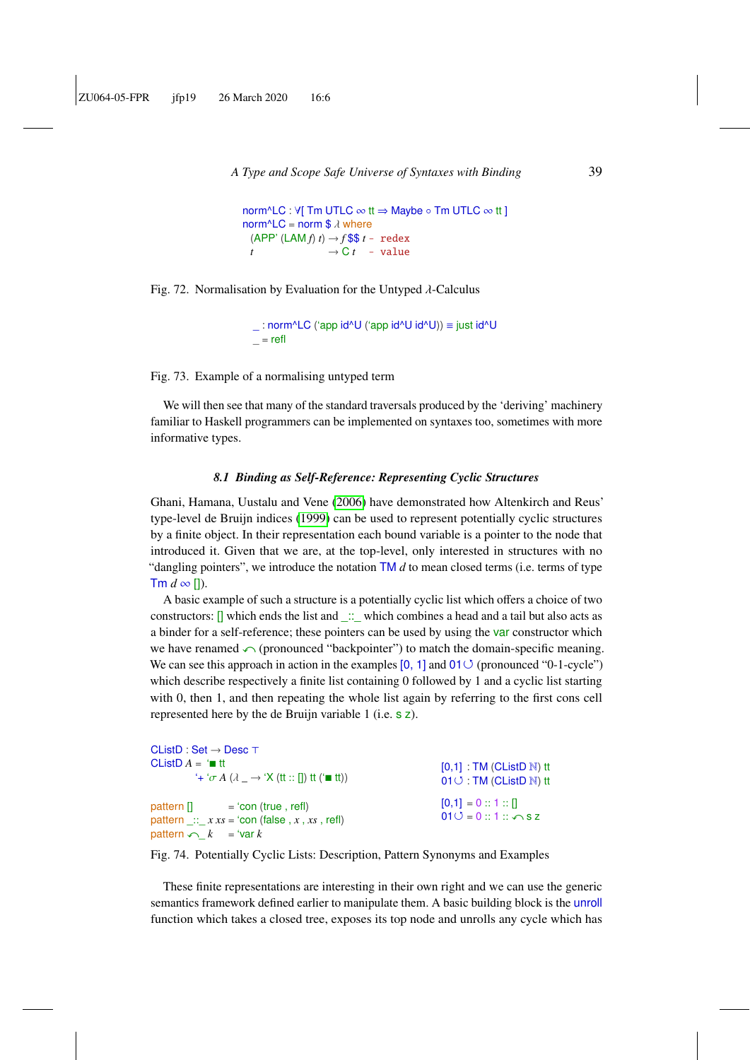```
A Type and Scope Safe Universe of Syntaxes with Binding 39
```

```
norm^LC : \forall[ Tm UTLC \infty tt \Rightarrow Maybe \circ Tm UTLC \infty tt ]
norm<sup>\triangle</sup>LC = norm $ \lambda where
  (APP' (LAM f) t) \rightarrow f $$ t - redex
  t \rightarrow C t - value
```
Fig. 72. Normalisation by Evaluation for the Untyped  $\lambda$ -Calculus

```
_ : norm^LC ('app id^U ('app id^U id^U)) ≡ just id^U
= refl
```
Fig. 73. Example of a normalising untyped term

We will then see that many of the standard traversals produced by the 'deriving' machinery familiar to Haskell programmers can be implemented on syntaxes too, sometimes with more informative types.

#### *8.1 Binding as Self-Reference: Representing Cyclic Structures*

<span id="page-38-2"></span>Ghani, Hamana, Uustalu and Vene [\(2006\)](#page-59-12) have demonstrated how Altenkirch and Reus' type-level de Bruijn indices [\(1999\)](#page-55-0) can be used to represent potentially cyclic structures by a finite object. In their representation each bound variable is a pointer to the node that introduced it. Given that we are, at the top-level, only interested in structures with no "dangling pointers", we introduce the notation TM *d* to mean closed terms (i.e. terms of type  $\mathsf{Tm}\,d\infty$  []).

A basic example of such a structure is a potentially cyclic list which offers a choice of two constructors:  $\Box$  which ends the list and  $\Box$  which combines a head and a tail but also acts as a binder for a self-reference; these pointers can be used by using the var constructor which we have renamed  $\curvearrowleft$  (pronounced "backpointer") to match the domain-specific meaning. We can see this approach in action in the examples  $[0, 1]$  and  $01 \circlearrowleft$  (pronounced "0-1-cycle") which describe respectively a finite list containing 0 followed by 1 and a cyclic list starting with 0, then 1, and then repeating the whole list again by referring to the first cons cell represented here by the de Bruijn variable 1 (i.e. s z).

<span id="page-38-1"></span>

| $CListD : Set \rightarrow Desc \top$                                                                                         |                                                                                              |
|------------------------------------------------------------------------------------------------------------------------------|----------------------------------------------------------------------------------------------|
| CListD $A = \mathbf{m}$ tt<br>$f + f \sigma A (\lambda \rightarrow Y)(t t :: [1]) t t (t = tt))$                             | $[0,1]$ : TM (CListD $\mathbb N$ ) tt<br>$01 \circlearrowleft$ : TM (CListD $\mathbb N$ ) tt |
| $pattern [] = 'con (true, refI)$<br>pattern :: $x xs = 'con$ (false, $x, xs$ , refl)<br>pattern $\curvearrowleft k = 'var k$ | $[0,1] = 0 :: 1 :: 1$<br>$010 = 0$ :: 1:: $\curvearrowleft$ s z                              |

Fig. 74. Potentially Cyclic Lists: Description, Pattern Synonyms and Examples

These finite representations are interesting in their own right and we can use the generic semantics framework defined earlier to manipulate them. A basic building block is the unroll function which takes a closed tree, exposes its top node and unrolls any cycle which has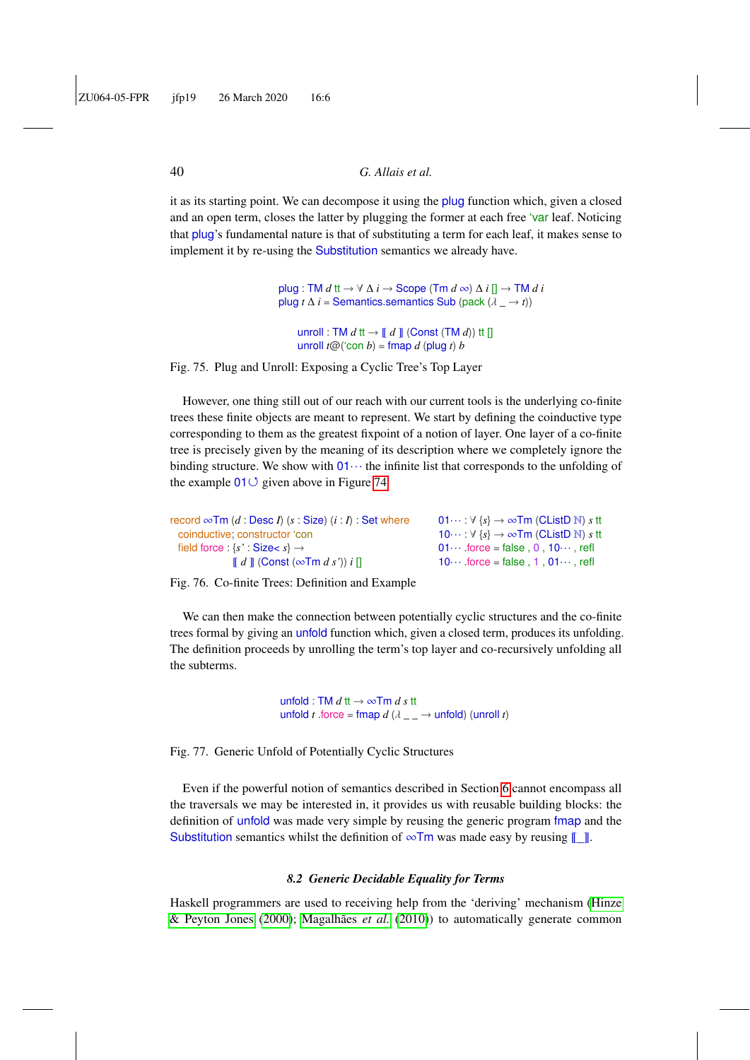it as its starting point. We can decompose it using the plug function which, given a closed and an open term, closes the latter by plugging the former at each free 'var leaf. Noticing that plug's fundamental nature is that of substituting a term for each leaf, it makes sense to implement it by re-using the Substitution semantics we already have.

> plug : TM *d* tt →  $\forall$   $\Delta$  *i* → Scope (Tm *d* ∞)  $\Delta$  *i*  $[]$  → TM *d i* plug *t*  $\Delta$  *i* = Semantics.semantics Sub (pack  $(\lambda \rightarrow t)$ )

unroll : TM  $d$  tt  $\rightarrow$   $\llbracket d \rrbracket$  (Const (TM  $d$ )) tt  $\llbracket$ unroll  $t@$ ('con  $b$ ) = fmap  $d$  (plug  $t$ )  $b$ 

Fig. 75. Plug and Unroll: Exposing a Cyclic Tree's Top Layer

However, one thing still out of our reach with our current tools is the underlying co-finite trees these finite objects are meant to represent. We start by defining the coinductive type corresponding to them as the greatest fixpoint of a notion of layer. One layer of a co-finite tree is precisely given by the meaning of its description where we completely ignore the binding structure. We show with  $01 \cdots$  the infinite list that corresponds to the unfolding of the example  $01 \circ$  given above in Figure [74.](#page-38-1)

| record $\infty$ Tm (d: Desc I) (s: Size) (i: I) : Set where          | $01\cdots$ : $\forall$ {s} $\rightarrow \infty$ Tm (CListD N) s tt |
|----------------------------------------------------------------------|--------------------------------------------------------------------|
| coinductive: constructor 'con                                        | 10: $\forall$ {s} $\rightarrow \infty$ Tm (CListD N) s tt          |
| field force : $\{s' : \text{Size} < s\} \rightarrow$                 | $01 \cdots$ force = false $0.10 \cdots$ refl                       |
| $\llbracket d \rrbracket$ (Const ( $\infty$ Tm d s')) i $\llbracket$ | $10 \cdots$ force = false, 1, $01 \cdots$ , refl                   |

Fig. 76. Co-finite Trees: Definition and Example

We can then make the connection between potentially cyclic structures and the co-finite trees formal by giving an unfold function which, given a closed term, produces its unfolding. The definition proceeds by unrolling the term's top layer and co-recursively unfolding all the subterms.

> unfold : TM *d* tt → ∞Tm *d s* tt unfold *t* .force = fmap  $d$  ( $\lambda$   $\_\_$   $\rightarrow$  unfold) (unroll *t*)

Fig. 77. Generic Unfold of Potentially Cyclic Structures

Even if the powerful notion of semantics described in Section [6](#page-18-0) cannot encompass all the traversals we may be interested in, it provides us with reusable building blocks: the definition of unfold was made very simple by reusing the generic program fmap and the Substitution semantics whilst the definition of  $\infty$ Tm was made easy by reusing  $\llbracket \cdot \rrbracket$ .

#### *8.2 Generic Decidable Equality for Terms*

Haskell programmers are used to receiving help from the 'deriving' mechanism [\(Hinze](#page-58-5) [& Peyton Jones](#page-58-5) [\(2000\)](#page-58-5); [Magalhães](#page-58-6) *et al.* [\(2010\)](#page-58-6)) to automatically generate common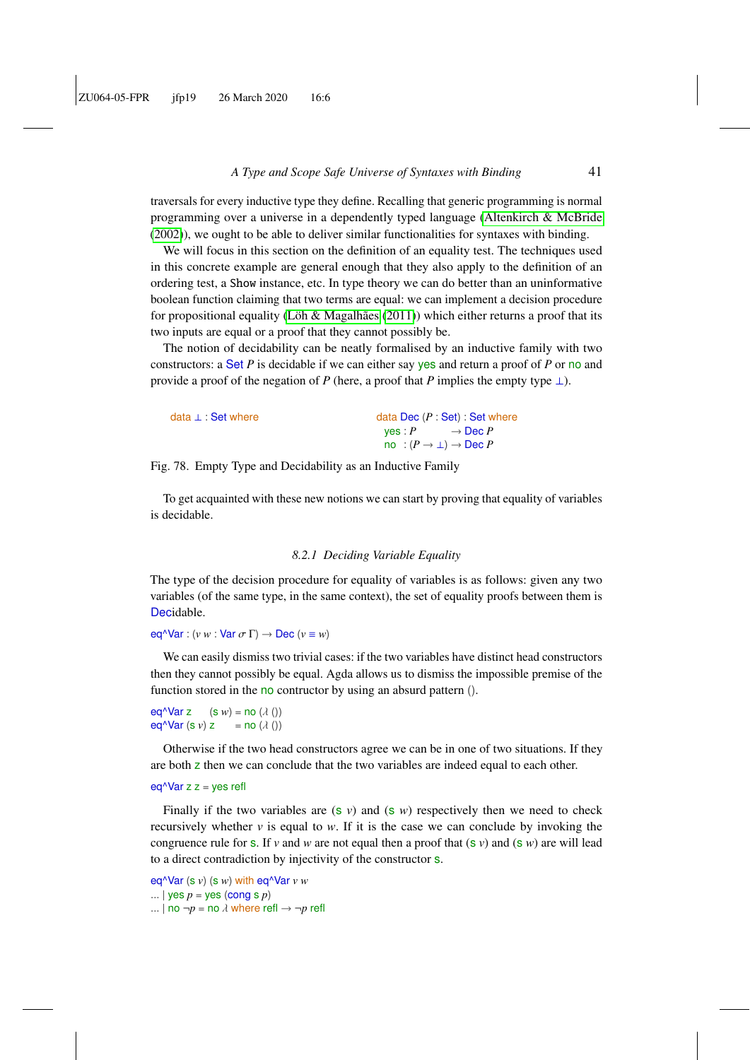traversals for every inductive type they define. Recalling that generic programming is normal programming over a universe in a dependently typed language [\(Altenkirch & McBride](#page-55-13) [\(2002\)](#page-55-13)), we ought to be able to deliver similar functionalities for syntaxes with binding.

We will focus in this section on the definition of an equality test. The techniques used in this concrete example are general enough that they also apply to the definition of an ordering test, a Show instance, etc. In type theory we can do better than an uninformative boolean function claiming that two terms are equal: we can implement a decision procedure for propositional equality [\(Löh & Magalhães](#page-58-7)  $(2011)$ ) which either returns a proof that its two inputs are equal or a proof that they cannot possibly be.

The notion of decidability can be neatly formalised by an inductive family with two constructors: a Set *P* is decidable if we can either say yes and return a proof of *P* or no and provide a proof of the negation of *P* (here, a proof that *P* implies the empty type  $\perp$ ).

| data ⊥ : Set where |         | data Dec $(P : Set) : Set$ where      |  |
|--------------------|---------|---------------------------------------|--|
|                    | ves : P | $\rightarrow$ Dec P                   |  |
|                    |         | no : $(P \to \bot) \to \text{Dec } P$ |  |

Fig. 78. Empty Type and Decidability as an Inductive Family

To get acquainted with these new notions we can start by proving that equality of variables is decidable.

#### *8.2.1 Deciding Variable Equality*

The type of the decision procedure for equality of variables is as follows: given any two variables (of the same type, in the same context), the set of equality proofs between them is Decidable.

eq^Var :  $(v w : \text{Var } \sigma \Gamma) \rightarrow \text{Dec } (v \equiv w)$ 

We can easily dismiss two trivial cases: if the two variables have distinct head constructors then they cannot possibly be equal. Agda allows us to dismiss the impossible premise of the function stored in the no contructor by using an absurd pattern ().

eq<sup> $\Delta$ </sup>Var z (s *w*) = no ( $\lambda$  ())<br>eq $\Delta$ Var (s *v*) z = no ( $\lambda$  ()) eq^Var (s *v*) z

Otherwise if the two head constructors agree we can be in one of two situations. If they are both z then we can conclude that the two variables are indeed equal to each other.

#### $eq^{\wedge}$ Var z z = yes refl

Finally if the two variables are  $(s \nu)$  and  $(s \nu)$  respectively then we need to check recursively whether  $v$  is equal to  $w$ . If it is the case we can conclude by invoking the congruence rule for **s**. If *v* and *w* are not equal then a proof that  $({\bf s} \, v)$  and  $({\bf s} \, w)$  are will lead to a direct contradiction by injectivity of the constructor s.

```
eq^Var (s v) (s w) with eq^Var v w
... | yes p = yes (cong s p)
```

```
... | no \neg p = no \lambda where refl \rightarrow \neg p refl
```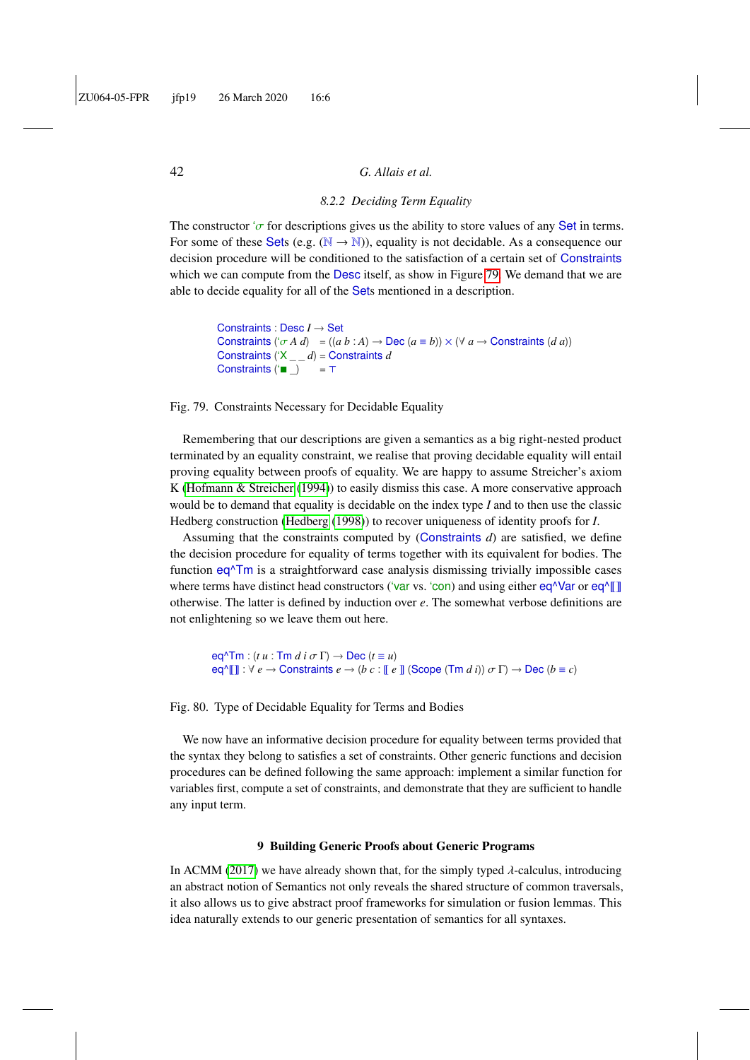# *8.2.2 Deciding Term Equality*

The constructor ' $\sigma$  for descriptions gives us the ability to store values of any Set in terms. For some of these Sets (e.g.  $(N \rightarrow N)$ ), equality is not decidable. As a consequence our decision procedure will be conditioned to the satisfaction of a certain set of Constraints which we can compute from the Desc itself, as show in Figure [79.](#page-41-0) We demand that we are able to decide equality for all of the Sets mentioned in a description.

```
Constraints : Desc I → Set
Constraints ({^t}\sigma A d) = ((a b : A) \rightarrow \text{Dec } (a \equiv b)) \times (\forall a \rightarrow \text{Constraints } (d a))Constraints ('X _ _ d) = Constraints d
Constraints (" \nightharpoonup ) = \top
```
Fig. 79. Constraints Necessary for Decidable Equality

Remembering that our descriptions are given a semantics as a big right-nested product terminated by an equality constraint, we realise that proving decidable equality will entail proving equality between proofs of equality. We are happy to assume Streicher's axiom K [\(Hofmann & Streicher](#page-58-8) [\(1994\)](#page-58-8)) to easily dismiss this case. A more conservative approach would be to demand that equality is decidable on the index type *I* and to then use the classic Hedberg construction [\(Hedberg](#page-57-9) [\(1998\)](#page-57-9)) to recover uniqueness of identity proofs for *I*.

Assuming that the constraints computed by (Constraints *d*) are satisfied, we define the decision procedure for equality of terms together with its equivalent for bodies. The function  $eq<sup>^</sup>$ Tm is a straightforward case analysis dismissing trivially impossible cases where terms have distinct head constructors ('var vs. 'con) and using either  $eq^{\wedge}Var$  or  $eq^{\wedge}\llbracket \rrbracket$ otherwise. The latter is defined by induction over *e*. The somewhat verbose definitions are not enlightening so we leave them out here.

 $eq^{\wedge} \text{Tm} : (t u : \text{Tm } d i \sigma \Gamma) \rightarrow \text{Dec } (t \equiv u)$  $eq^{\wedge}$   $|| || : \forall e \rightarrow$  Constraints  $e \rightarrow (b \ c : || e ||)$  (Scope (Tm *d i*))  $\sigma \Gamma$ )  $\rightarrow$  Dec ( $b \equiv c$ )

Fig. 80. Type of Decidable Equality for Terms and Bodies

We now have an informative decision procedure for equality between terms provided that the syntax they belong to satisfies a set of constraints. Other generic functions and decision procedures can be defined following the same approach: implement a similar function for variables first, compute a set of constraints, and demonstrate that they are sufficient to handle any input term.

#### 9 Building Generic Proofs about Generic Programs

In ACMM [\(2017\)](#page-55-6) we have already shown that, for the simply typed  $\lambda$ -calculus, introducing an abstract notion of Semantics not only reveals the shared structure of common traversals, it also allows us to give abstract proof frameworks for simulation or fusion lemmas. This idea naturally extends to our generic presentation of semantics for all syntaxes.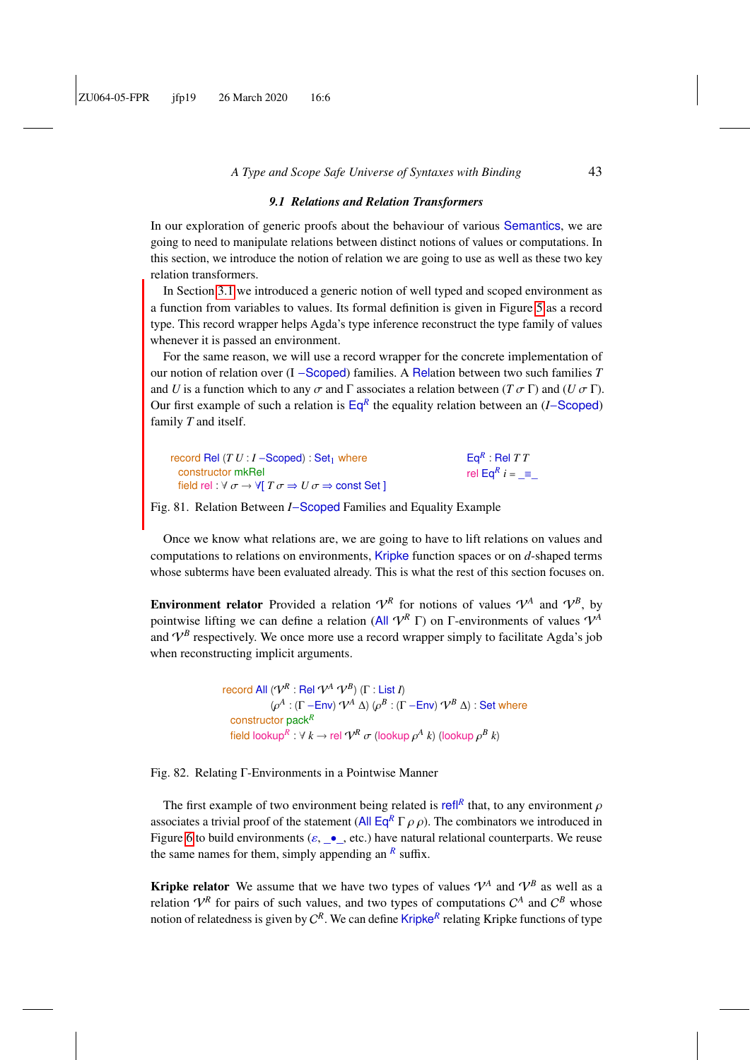#### *9.1 Relations and Relation Transformers*

In our exploration of generic proofs about the behaviour of various Semantics, we are going to need to manipulate relations between distinct notions of values or computations. In this section, we introduce the notion of relation we are going to use as well as these two key relation transformers.

In Section [3.1](#page-6-1) we introduced a generic notion of well typed and scoped environment as a function from variables to values. Its formal definition is given in Figure [5](#page-6-2) as a record type. This record wrapper helps Agda's type inference reconstruct the type family of values whenever it is passed an environment.

For the same reason, we will use a record wrapper for the concrete implementation of our notion of relation over (I −Scoped) families. A Relation between two such families *T* and *U* is a function which to any  $\sigma$  and  $\Gamma$  associates a relation between ( $T \sigma \Gamma$ ) and ( $U \sigma \Gamma$ ). Our first example of such a relation is Eq*<sup>R</sup>* the equality relation between an (*I*−Scoped) family *T* and itself.

| record Rel $(T U : I -$ Scoped) : Set <sub>1</sub> where                                                    | $EqR$ : Rel T T               |
|-------------------------------------------------------------------------------------------------------------|-------------------------------|
| constructor mkRel                                                                                           | rel Eq <sup>R</sup> $i = \pm$ |
| field rel : $\forall \sigma \rightarrow \forall T \sigma \Rightarrow U \sigma \Rightarrow \text{const Set}$ |                               |
|                                                                                                             |                               |

Fig. 81. Relation Between *I*−Scoped Families and Equality Example

Once we know what relations are, we are going to have to lift relations on values and computations to relations on environments, Kripke function spaces or on *d*-shaped terms whose subterms have been evaluated already. This is what the rest of this section focuses on.

**Environment relator** Provided a relation  $V^R$  for notions of values  $V^A$  and  $V^B$ , by pointwise lifting we can define a relation (All  $V^R \Gamma$ ) on Γ-environments of values  $V^A$ and  $V^B$  respectively. We once more use a record wrapper simply to facilitate Agda's job when reconstructing implicit arguments.

> record All  $(\mathcal{V}^R:$  Rel  $\mathcal{V}^A$   $\mathcal{V}^B)$   $(\Gamma:$  List *I*)  $(\rho^A : (\Gamma - \text{Env}) \mathcal{V}^A \Delta) (\rho^B : (\Gamma - \text{Env}) \mathcal{V}^B \Delta) : \text{Set where}$ constructor pack*<sup>R</sup>* field lookup $^R$  :  $\forall k \rightarrow$  rel  $\mathcal{V}^R$   $\sigma$  (lookup  $\rho^A$  *k*) (lookup  $\rho^B$  *k*)

Fig. 82. Relating Γ-Environments in a Pointwise Manner

The first example of two environment being related is refl<sup>R</sup> that, to any environment  $\rho$ associates a trivial proof of the statement (All  $\mathsf{Eq}^R \Gamma \rho \rho$ ). The combinators we introduced in Figure [6](#page-7-1) to build environments ( $\varepsilon$ ,  $\bullet$ , etc.) have natural relational counterparts. We reuse the same names for them, simply appending an  $^R$  suffix.

**Kripke relator** We assume that we have two types of values  $\mathcal{V}^A$  and  $\mathcal{V}^B$  as well as a relation  $V^R$  for pairs of such values, and two types of computations  $C^A$  and  $C^B$  whose notion of relatedness is given by C *R* . We can define Kripke*<sup>R</sup>* relating Kripke functions of type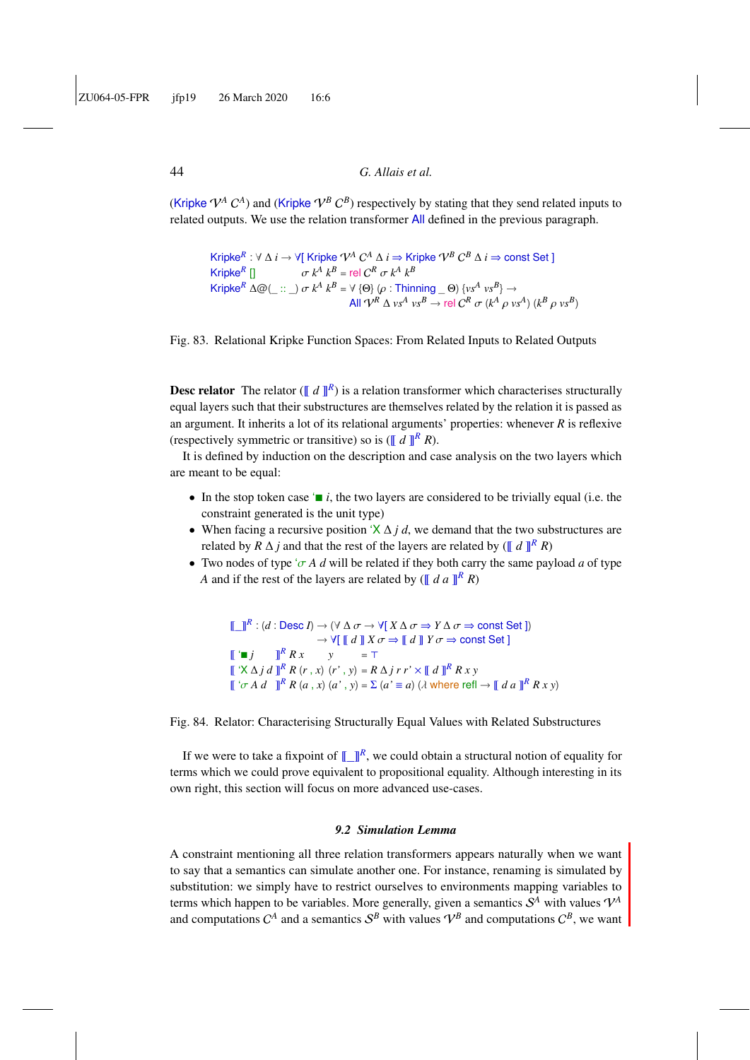(Kripke  $V^A$   $C^A$ ) and (Kripke  $V^B C^B$ ) respectively by stating that they send related inputs to related outputs. We use the relation transformer All defined in the previous paragraph.

```
Kripke^R : ∀ ∆ i → ∀[ Kripke \mathcal{V}^A C^A ∆ i ⇒ Kripke \mathcal{V}^B C^B ∆ i ⇒ const Set ]
KripkeR
                 \sigma k^A k^B = rel C^K \sigma k<br>A\odot( \cdots ) \sigma k^A l^B \vee \odot \odotA^R k<sup>B</sup> = rel C^R \sigma k<sup>A</sup> k<sup>B</sup>
Kripke<sup>R</sup> \Delta \omega (\dots) \sigma k^A k^B = \forall {\Theta} \rho : \text{Thinking } \omega (\sigma) \{ v s^A v s^B \} \rightarrowAll \mathcal{V}^R \triangle v s^A v s^B \rightarrow \text{rel } C^R \sigma (k^A \rho v s^A) (k^B \rho v s^B)
```
Fig. 83. Relational Kripke Function Spaces: From Related Inputs to Related Outputs

<span id="page-43-1"></span>**Desc relator** The relator ( $\llbracket d \rrbracket^R$ ) is a relation transformer which characterises structurally equal layers such that their substructures are themselves related by the relation it is passed as an argument. It inherits a lot of its relational arguments' properties: whenever *R* is reflexive (respectively symmetric or transitive) so is ( $\llbracket d \rrbracket^R R$ ).

It is defined by induction on the description and case analysis on the two layers which are meant to be equal:

- In the stop token case  $\blacksquare$  *i*, the two layers are considered to be trivially equal (i.e. the constraint generated is the unit type)
- When facing a recursive position 'X ∆ *j d*, we demand that the two substructures are related by  $R \Delta j$  and that the rest of the layers are related by ( $\llbracket d \rrbracket^R R$ )
- Two nodes of type ' $\sigma$  *A d* will be related if they both carry the same payload *a* of type *A* and if the rest of the layers are related by ( $\left[\!\left[a\right]d\ a\right]\!\right]^R R$ )

 $\llbracket \llbracket \rrbracket^R : (d : \text{Desc } I) \to (\forall \Delta \sigma \to \forall [\ X \Delta \sigma \to Y \Delta \sigma \to \text{const Set }])$ <br> $\to \forall \llbracket \top d \rrbracket Y \sigma \to \llbracket d \rrbracket Y \sigma \to \text{const Set } I$  $\rightarrow \forall [\; [d \; ] \; X \, \sigma \Rightarrow [d \; ] \; Y \, \sigma \Rightarrow \text{const Set } ]$  $\mathbb{F}^{\dagger}$  *j*  $\mathbb{P}^R R x$ *<sup>R</sup> R x y* = >  $\left[ \int_0^x X \Delta j \, d \right]_0^R R(r, x)$   $(r', y) = R \Delta j \, r \, r' \times [d]_0^R R x y$  $\int [a^x \sigma A \, d \, ]\, \int^R R \, (a \, , x) \, (a' \, , y) = \sum (a' \equiv a) \, (\lambda \text{ where } \text{refl} \rightarrow [a \, a \, ]\, \int^R R \, x \, y)$ 

Fig. 84. Relator: Characterising Structurally Equal Values with Related Substructures

If we were to take a fixpoint of  $\llbracket \cdot \rrbracket^R$ , we could obtain a structural notion of equality for terms which we could prove equivalent to propositional equality. Although interesting in its own right, this section will focus on more advanced use-cases.

#### *9.2 Simulation Lemma*

<span id="page-43-0"></span>A constraint mentioning all three relation transformers appears naturally when we want to say that a semantics can simulate another one. For instance, renaming is simulated by substitution: we simply have to restrict ourselves to environments mapping variables to terms which happen to be variables. More generally, given a semantics  $S<sup>A</sup>$  with values  $V<sup>A</sup>$ and computations  $C^A$  and a semantics  $S^B$  with values  $\mathcal{V}^B$  and computations  $C^B$ , we want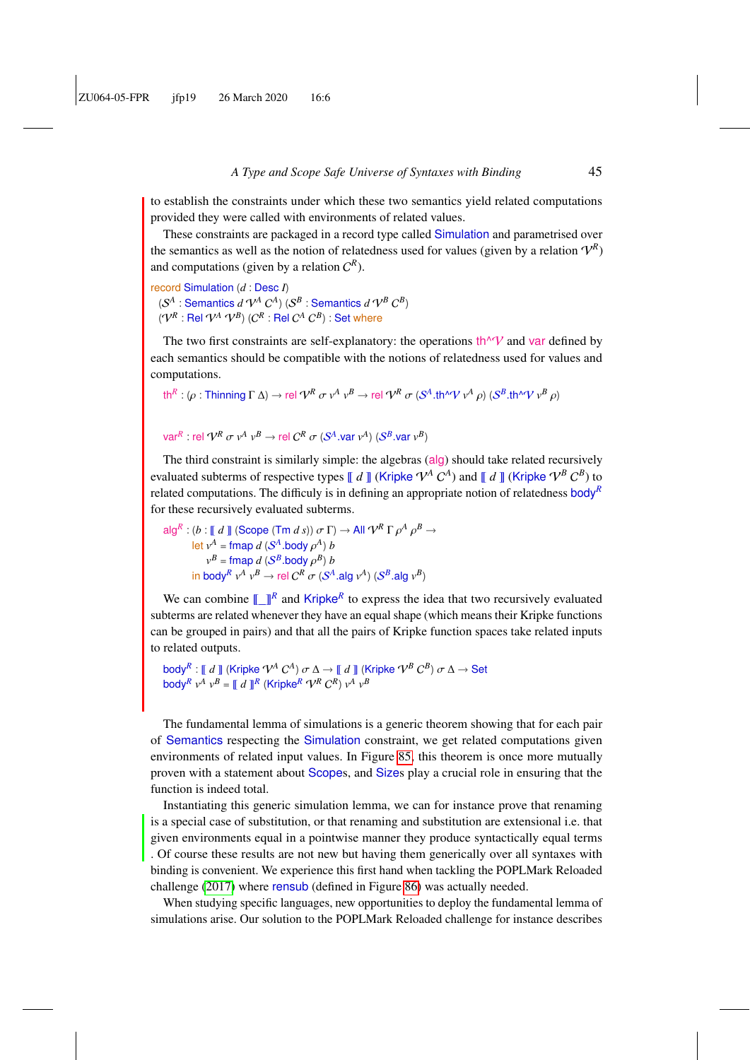to establish the constraints under which these two semantics yield related computations provided they were called with environments of related values.

These constraints are packaged in a record type called Simulation and parametrised over the semantics as well as the notion of relatedness used for values (given by a relation  $V^R$ ) and computations (given by a relation  $C^R$ ).

record Simulation (*d* : Desc *I*)  $(S^A :$  Semantics  $d N^A C^A)$   $(S^B :$  Semantics  $d N^B C^B)$  $({\bf \mathcal{V}}^R:{\sf Rel} \; {\bf \mathcal{V}}^A \; {\bf \mathcal{V}}^B) \; ({\bf \mathcal{C}}^R:{\sf Rel} \; {\bf \mathcal{C}}^A \; {\bf \mathcal{C}}^B) : {\sf Set}$  where

The two first constraints are self-explanatory: the operations  $\text{th}^{\wedge}V$  and var defined by each semantics should be compatible with the notions of relatedness used for values and computations.

```
\text{th}^R: (\rho : \text{Thinking } \Gamma \Delta) \to \text{rel } \mathcal{V}^R \text{ or } \nu^A \text{ } \nu^B \to \text{rel } \mathcal{V}^R \text{ or } (\mathcal{S}^A \cdot \text{th}^A \mathcal{V} \text{ } \nu^A \text{ } \rho) (\mathcal{S}^B \cdot \text{th}^A \mathcal{V} \text{ } \nu^B \text{ } \rho)
```

```
var^{R}: rel \mathcal{V}^{R} \sigma v^{A} v^{B} \rightarrow rel C^{R} \sigma (S^{A}.var v^{A}) (S^{B}.var v^{B})
```
The third constraint is similarly simple: the algebras (alg) should take related recursively evaluated subterms of respective types  $\llbracket d \rrbracket$  (Kripke  $V^A C^A$ ) and  $\llbracket d \rrbracket$  (Kripke  $V^B C^B$ ) to related computations. The difficuly is in defining an appropriate notion of relatedness body*<sup>R</sup>* for these recursively evaluated subterms.

$$
\text{alg}^R : (b : \llbracket d \rrbracket (\text{Scope } (\text{Tr } d s)) \sigma \Gamma) \to \text{All } \mathcal{V}^R \Gamma \rho^A \rho^B \to
$$
\n
$$
\text{let } v^A = \text{fmap } d \ (S^A \text{.body } \rho^A) \ b
$$
\n
$$
v^B = \text{fmap } d \ (S^B \text{.body } \rho^B) \ b
$$
\n
$$
\text{in body}^R \ v^A \ v^B \to \text{rel } C^R \ \sigma \ (S^A \text{.alg } v^A) \ (S^B \text{.alg } v^B)
$$

We can combine  $\llbracket \cdot \rrbracket^R$  and Kripke<sup>R</sup> to express the idea that two recursively evaluated subterms are related whenever they have an equal shape (which means their Kripke functions can be grouped in pairs) and that all the pairs of Kripke function spaces take related inputs to related outputs.

```
\mathsf{body}^R: \llbracket d \rrbracket (Kripke \mathcal{V}^A \mathcal{C}^A) \sigma \Delta \to \llbracket d \rrbracket (Kripke \mathcal{V}^B \mathcal{C}^B) \sigma \Delta \to \mathsf{Set}<br>body<sup>R</sup> \mathcal{A} \cup B = \llbracket d \rrbracket (Kripke \mathcal{R}^R \mathcal{C}^B) \mathcal{A} \cup B\text{body}^R v^A v^B = \llbracket d \rrbracket^R (Kripke^R \mathcal{V}^R C^R) v^A v^B
```
The fundamental lemma of simulations is a generic theorem showing that for each pair of Semantics respecting the Simulation constraint, we get related computations given environments of related input values. In Figure [85,](#page-45-1) this theorem is once more mutually proven with a statement about Scopes, and Sizes play a crucial role in ensuring that the function is indeed total.

Instantiating this generic simulation lemma, we can for instance prove that renaming is a special case of substitution, or that renaming and substitution are extensional i.e. that given environments equal in a pointwise manner they produce syntactically equal terms . Of course these results are not new but having them generically over all syntaxes with binding is convenient. We experience this first hand when tackling the POPLMark Reloaded challenge [\(2017\)](#page-55-14) where rensub (defined in Figure [86\)](#page-45-2) was actually needed.

When studying specific languages, new opportunities to deploy the fundamental lemma of simulations arise. Our solution to the POPLMark Reloaded challenge for instance describes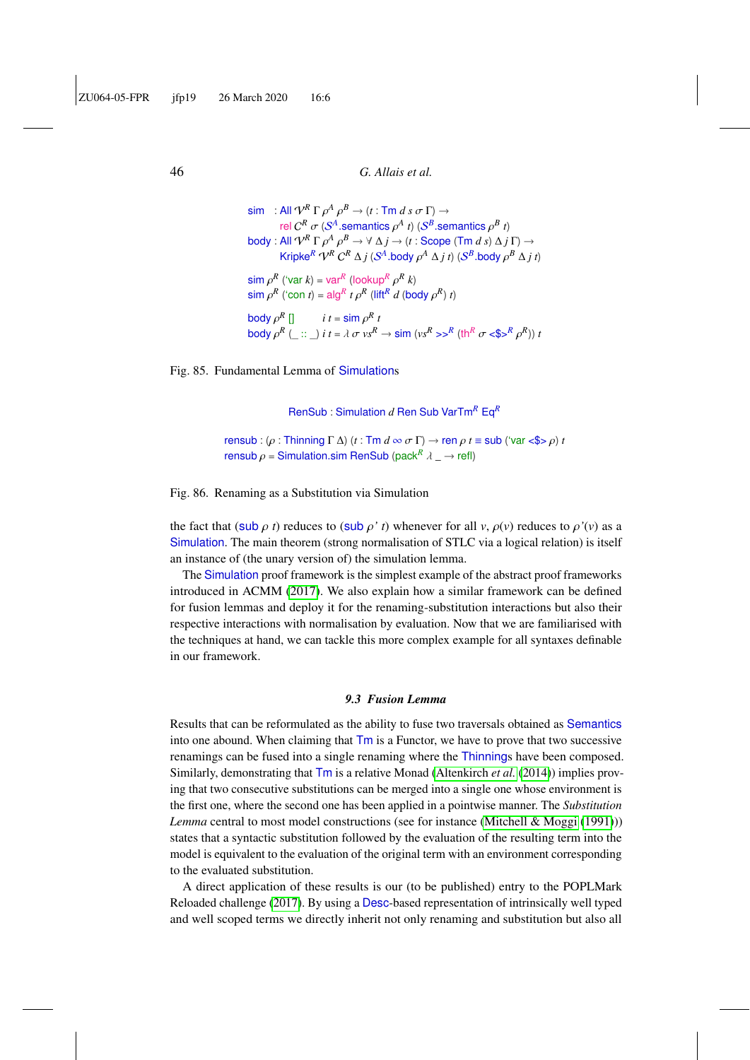$\sin$  : All  $\mathcal{V}^R \Gamma \rho^A \rho^B \rightarrow (t : \text{Im } d \text{ s } \sigma \Gamma) \rightarrow$ <br>rel  $\mathcal{O}^R \sim (\mathcal{S}^A \text{ commute } \mathcal{A} \text{ s}) (\mathcal{S}^B \text{ s})$ rel  $C^R$   $\sigma$  ( $S^A$  semantics  $\rho^A$  *t*) ( $S^B$  semantics  $\rho^B$  *t*) body : All  $V^R \Gamma \rho^A \rho^B \to \forall \Delta j \to (t : \text{Scope } (\text{Tr } d s) \Delta j \Gamma) \to$ <br>*Krinko*  $R \Omega^R \Omega^R \Lambda : (S^A \text{ body } \partial^A \Lambda : t \Lambda) (S^B \text{ body } \partial^B \Lambda :$ Kripke<sup>R</sup>  $\gamma^R C^R \Delta j$  (S<sup>A</sup>,body  $\rho^A \Delta j$  *t*) (S<sup>B</sup>,body  $\rho^B \Delta j$  *t*)  $\sin \rho^R$  ('var *k*) = var<sup>*R*</sup> (lookup<sup>*R*</sup>  $\rho^R$  *k*)<br> $\sin \rho^R$  ('con t) = slg<sup>*R*</sup> t  $\alpha^R$  (litt<sup>*R*</sup> d (bo  $\sin \rho^R$  ('con *t*) = alg<sup>*R*</sup> *t*  $\rho^R$  (lift<sup>*R*</sup> *d* (body  $\rho^R$ ) *t*)  $\begin{bmatrix} \text{body } \rho^R \end{bmatrix}$  *i*  $t = \text{sim } \rho$ body  $\rho^R$  [] *R t* body  $\rho^R$  (\_ :: \_) *i*  $t = \lambda \sigma v s^R \rightarrow \text{sim } (v s^R \rightarrow s^R (\text{th}^R \sigma \ll s^R \rho^R)) t$ 

Fig. 85. Fundamental Lemma of Simulations

<span id="page-45-2"></span><span id="page-45-1"></span>RenSub : Simulation *d* Ren Sub VarTm*<sup>R</sup>* Eq*<sup>R</sup>*

rensub : (ρ : Thinning <sup>Γ</sup> <sup>∆</sup>) (*<sup>t</sup>* : Tm *<sup>d</sup>* <sup>∞</sup> σ <sup>Γ</sup>) <sup>→</sup> ren ρ *<sup>t</sup>* <sup>≡</sup> sub ('var <\$> ρ) *<sup>t</sup>* rensub  $\rho$  = Simulation.sim RenSub (pack<sup>R</sup>  $\lambda \rightarrow$  refl)

Fig. 86. Renaming as a Substitution via Simulation

the fact that (sub  $\rho$  *t*) reduces to (sub  $\rho'$  *t*) whenever for all *v*,  $\rho$ (*v*) reduces to  $\rho'$ (*v*) as a Simulation. The main theorem (strong normalisation of STLC via a logical relation) is itself an instance of (the unary version of) the simulation lemma.

The Simulation proof framework is the simplest example of the abstract proof frameworks introduced in ACMM [\(2017\)](#page-55-6). We also explain how a similar framework can be defined for fusion lemmas and deploy it for the renaming-substitution interactions but also their respective interactions with normalisation by evaluation. Now that we are familiarised with the techniques at hand, we can tackle this more complex example for all syntaxes definable in our framework.

#### *9.3 Fusion Lemma*

<span id="page-45-0"></span>Results that can be reformulated as the ability to fuse two traversals obtained as Semantics into one abound. When claiming that Tm is a Functor, we have to prove that two successive renamings can be fused into a single renaming where the Thinnings have been composed. Similarly, demonstrating that Tm is a relative Monad [\(Altenkirch](#page-55-5) *et al.* [\(2014\)](#page-55-5)) implies proving that two consecutive substitutions can be merged into a single one whose environment is the first one, where the second one has been applied in a pointwise manner. The *Substitution Lemma* central to most model constructions (see for instance [\(Mitchell & Moggi](#page-59-13) [\(1991\)](#page-59-13))) states that a syntactic substitution followed by the evaluation of the resulting term into the model is equivalent to the evaluation of the original term with an environment corresponding to the evaluated substitution.

A direct application of these results is our (to be published) entry to the POPLMark Reloaded challenge [\(2017\)](#page-55-14). By using a Desc-based representation of intrinsically well typed and well scoped terms we directly inherit not only renaming and substitution but also all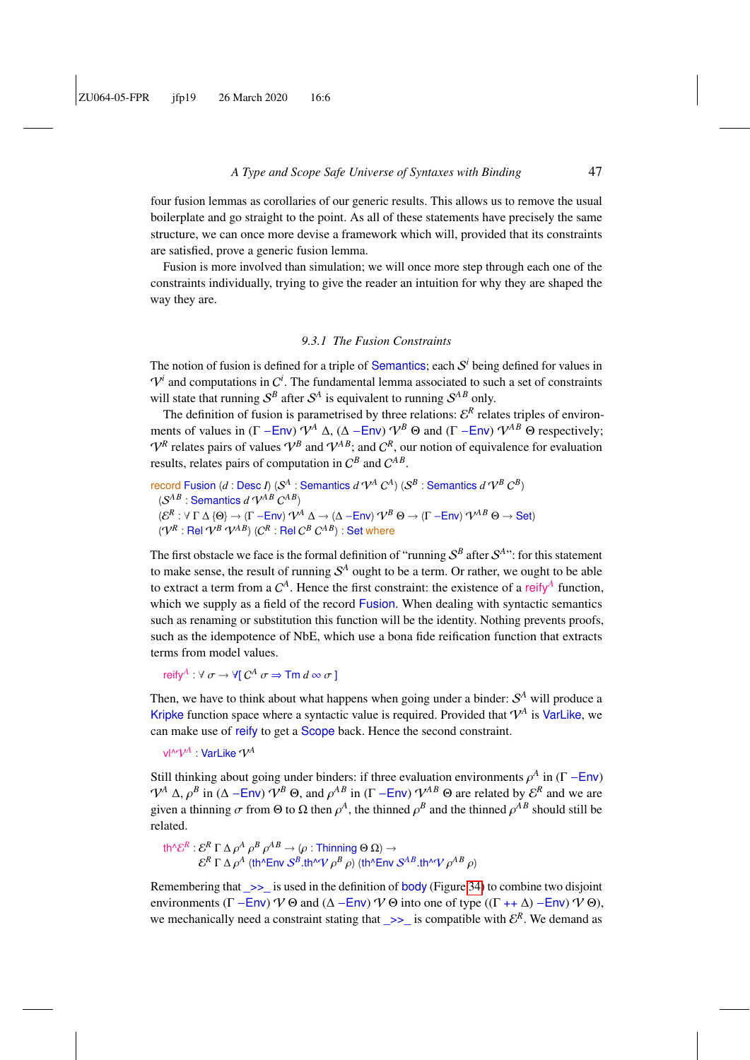four fusion lemmas as corollaries of our generic results. This allows us to remove the usual boilerplate and go straight to the point. As all of these statements have precisely the same structure, we can once more devise a framework which will, provided that its constraints are satisfied, prove a generic fusion lemma.

Fusion is more involved than simulation; we will once more step through each one of the constraints individually, trying to give the reader an intuition for why they are shaped the way they are.

#### *9.3.1 The Fusion Constraints*

The notion of fusion is defined for a triple of Semantics; each  $S<sup>i</sup>$  being defined for values in  $V^i$  and computations in  $C^i$ . The fundamental lemma associated to such a set of constraints will state that running  $S^B$  after  $S^A$  is equivalent to running  $S^{AB}$  only.

The definition of fusion is parametrised by three relations:  $\mathcal{E}^R$  relates triples of environments of values in  $(\Gamma - \text{Env}) \mathcal{V}^A \Delta$ ,  $(\Delta - \text{Env}) \mathcal{V}^B \Theta$  and  $(\Gamma - \text{Env}) \mathcal{V}^{AB} \Theta$  respectively;  $V^R$  relates pairs of values  $V^B$  and  $V^{AB}$ ; and  $C^R$ , our notion of equivalence for evaluation results, relates pairs of computation in  $C^B$  and  $C^{AB}$ .

record Fusion (*d* : Desc *I*) ( $\mathcal{S}^A$  : Semantics *d*  $\mathcal{V}^A$   $C^A$ ) ( $\mathcal{S}^B$  : Semantics *d*  $\mathcal{V}^B$   $C^B$ )  $(S^{AB} :$  Semantics  $d V^{AB} C^{AB}$  $(\mathcal{E}^R:\forall\ \Gamma\ \Delta\ \{\Theta\} \to (\Gamma-\textsf{Env})\ \mathcal{V}^A\ \Delta \to (\Delta-\textsf{Env})\ \mathcal{V}^B\ \Theta \to (\Gamma-\textsf{Env})\ \mathcal{V}^{AB}\ \Theta \to \textsf{Set})$  $({\bf \nabla}^R:{\sf Rel}\; {\bf \nabla}^B\; {\bf \nabla}^{AB})$   $({\bf \nabla}^R:{\sf Rel}\;{\bf \nabla}^B\;{\bf \nabla}^{AB})$  : Set where

The first obstacle we face is the formal definition of "running  $S^B$  after  $S^{A}$ ": for this statement to make sense, the result of running  $\mathcal{S}^A$  ought to be a term. Or rather, we ought to be able to extract a term from a  $C^A$ . Hence the first constraint: the existence of a reify<sup>A</sup> function, which we supply as a field of the record Fusion. When dealing with syntactic semantics such as renaming or substitution this function will be the identity. Nothing prevents proofs, such as the idempotence of NbE, which use a bona fide reification function that extracts terms from model values.

reify<sup>A</sup>:  $\forall \sigma \rightarrow \forall$ [ $C^A \sigma \Rightarrow \text{Tm } d \infty \sigma$ ]

Then, we have to think about what happens when going under a binder:  $S<sup>A</sup>$  will produce a Kripke function space where a syntactic value is required. Provided that  $V^A$  is VarLike, we can make use of reify to get a Scope back. Hence the second constraint.

vl^ $\mathcal{V}^A$  : VarLike  $\mathcal{V}^A$ 

Still thinking about going under binders: if three evaluation environments  $\rho^A$  in (Γ −Env)<br> $\Omega^A$  A  $\alpha^B$  in (A − Env)  $\Omega^B$  Q and  $\alpha^A$  in (F − Env)  $\Omega^{AB}$  Q are related by  $\epsilon^R$  and we are  $V^A \Delta$ ,  $\rho^B$  in ( $\Delta$  −Env)  $V^B \Theta$ , and  $\rho^{AB}$  in ( $\Gamma$  −Env)  $V^{AB} \Theta$  are related by  $\mathcal{E}^R$  and we are *given* a thinning  $\sigma$  from  $\Theta$  to  $\Omega$  then  $\rho^A$ , the thinned  $\rho^B$  and the thinned  $\rho^{AB}$  should sti given a thinning  $\sigma$  from  $\Theta$  to  $\Omega$  then  $\rho^A$ , the thinned  $\rho^B$  and the thinned  $\rho^{AB}$  should still be related related.

 $t h^{\wedge} \mathcal{E}^{R}$  :  $\mathcal{E}^{R} \Gamma \Delta \rho^{A} \rho^{B} \rho^{AB} \rightarrow (\rho : \text{Thinking } \Theta \Omega) \rightarrow$ <br> $R \Gamma \Delta \rho^{A}$  (the fine  $S^{B}$  the  $Q$  of  $B$  s) (the fine  $\mathcal{E}^R \Gamma \Delta \rho^A$  (th^Env  $\mathcal{S}^B$ .th^V  $\rho^B \rho$ ) (th^Env  $\mathcal{S}^{AB}$ .th^V  $\rho^{AB} \rho$ )

Remembering that  $\gg$  is used in the definition of body (Figure [34\)](#page-20-2) to combine two disjoint environments ( $\Gamma$  –Env)  $V \Theta$  and ( $\Delta$  –Env)  $V \Theta$  into one of type (( $\Gamma$  ++ $\Delta$ ) –Env)  $V \Theta$ ), we mechanically need a constraint stating that  $\ge$ > is compatible with  $\mathcal{E}^R$ . We demand as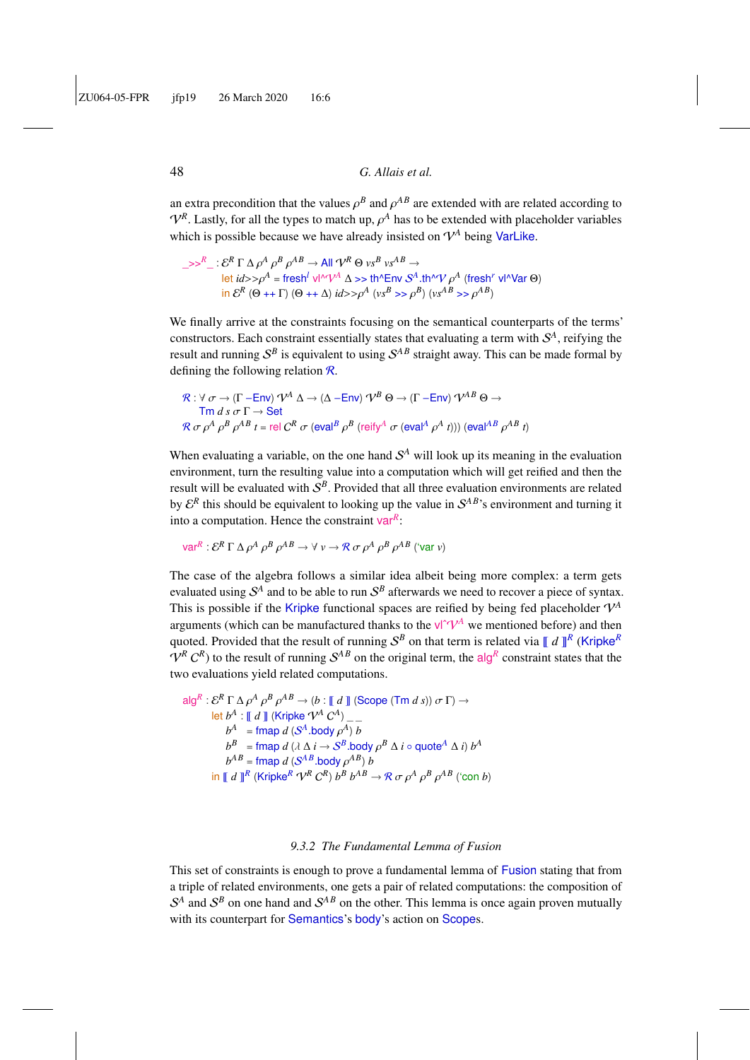an extra precondition that the values  $\rho^B$  and  $\rho^{AB}$  are extended with are related according to  $\Omega^R$ . Letty, for all the types to match up,  $\rho^A$  has to be extended with pleashelder veriables  $V^R$ . Lastly, for all the types to match up,  $\rho^A$  has to be extended with placeholder variables<br>which is possible because we have already insisted on  $\mathcal{U}^A$  being  $\mathcal{U}^A$  like which is possible because we have already insisted on  $V^A$  being VarLike.

 $\Rightarrow$ <sup>R</sup>\_:  $\mathcal{E}^R \Gamma \Delta \rho^A \rho^B \rho^{AB} \rightarrow$  All  $\mathcal{V}^R \Theta$  *vs*<sup>*B*</sup> *vs*<sup>*AB*</sup>  $\rightarrow$  All  $\mathcal{E}^R \Gamma \Delta \rho^A \rho^B \rho^A$ let *id*>>ρ<sup>A</sup> = fresh<sup>*l*</sup> νl<sup>λ</sup>ν $\varphi$ <sup>A</sup>  $\Delta$  >> th^Env *S*<sup>A</sup>. th<sup>∧</sup>V ρ<sup>A</sup> (fresh<sup>r</sup> vl<sup>λ</sup>Var Θ) in  $\mathcal{E}^R$  ( $\Theta$  ++  $\Gamma$ )  $(\Theta$  ++  $\Delta$ ) *id*>> $\rho^A$  ( $v s^B$  >>  $\rho^B$ ) ( $v s^{AB}$  >>  $\rho^{AB}$ )

We finally arrive at the constraints focusing on the semantical counterparts of the terms' constructors. Each constraint essentially states that evaluating a term with  $\mathcal{S}^A$ , reifying the result and running  $S^B$  is equivalent to using  $S^{AB}$  straight away. This can be made formal by defining the following relation  $\mathcal{R}$ .

$$
\mathcal{R}: \forall \sigma \to (\Gamma - \text{Env}) \, \mathcal{V}^A \, \Delta \to (\Delta - \text{Env}) \, \mathcal{V}^B \, \Theta \to (\Gamma - \text{Env}) \, \mathcal{V}^{AB} \, \Theta \to
$$
  
\n
$$
\text{Tr } d \, s \, \sigma \, \Gamma \to \text{Set}
$$
  
\n
$$
\mathcal{R} \, \sigma \, \rho^A \, \rho^B \, \rho^{AB} \, t = \text{rel } C^R \, \sigma \, (\text{eval}^B \, \rho^B \, (\text{reify}^A \, \sigma \, (\text{eval}^A \, \rho^A \, t))) \, (\text{eval}^{AB} \, \rho^{AB} \, t)
$$

When evaluating a variable, on the one hand  $S<sup>A</sup>$  will look up its meaning in the evaluation environment, turn the resulting value into a computation which will get reified and then the result will be evaluated with  $S^B$ . Provided that all three evaluation environments are related by  $\mathcal{E}^R$  this should be equivalent to looking up the value in  $\mathcal{S}^{AB}$ 's environment and turning it into a computation. Hence the constraint var*<sup>R</sup>* :

 $\text{var}^R : \mathcal{E}^R \Gamma \Delta \rho^A \rho^B \rho^{AB} \rightarrow \forall \ v \rightarrow \mathcal{R} \sigma \rho^A \rho^B \rho^{AB} \ (\forall \text{ar } v)$ ρ ρ ρ ρ

The case of the algebra follows a similar idea albeit being more complex: a term gets evaluated using  $S^A$  and to be able to run  $S^B$  afterwards we need to recover a piece of syntax. This is possible if the Kripke functional spaces are reified by being fed placeholder  $\mathcal{V}^A$ arguments (which can be manufactured thanks to the  $V^{\uparrow}\mathcal{V}^A$  we mentioned before) and then quoted. Provided that the result of running  $S^B$  on that term is related via  $\llbracket d \rrbracket^R$  (Kripke<sup>R</sup>  $V^R$  C<sup>R</sup>) to the result of running  $S^{AB}$  on the original term, the alg<sup>R</sup> constraint states that the two evaluations yield related computations.

$$
\operatorname{alg}^{R}: \mathcal{E}^{R} \Gamma \Delta \rho^{A} \rho^{B} \rho^{AB} \rightarrow (b : \llbracket d \rrbracket (\text{Scope } (\text{Tm } d \text{ s})) \sigma \Gamma) \rightarrow
$$
\n
$$
\text{let } b^{A} : \llbracket d \rrbracket (\text{Kripke } \mathcal{V}^{A} C^{A}) \_-\_
$$
\n
$$
b^{A} = \operatorname{fmap} d (S^{A} \text{.body } \rho^{A}) b
$$
\n
$$
b^{B} = \operatorname{fmap} d (\lambda \Delta i \rightarrow S^{B} \text{.body } \rho^{B} \Delta i \circ \text{quote}^{A} \Delta i) b^{A}
$$
\n
$$
b^{AB} = \operatorname{fmap} d (S^{AB} \text{.body } \rho^{AB}) b
$$
\n
$$
\text{in } \llbracket d \rrbracket^{R} (\text{Kripke}^{R} \mathcal{V}^{R} C^{R}) b^{B} b^{AB} \rightarrow \mathcal{R} \sigma \rho^{A} \rho^{B} \rho^{AB} (\text{con } b)
$$

#### *9.3.2 The Fundamental Lemma of Fusion*

This set of constraints is enough to prove a fundamental lemma of Fusion stating that from a triple of related environments, one gets a pair of related computations: the composition of  $S<sup>A</sup>$  and  $S<sup>B</sup>$  on one hand and  $S<sup>AB</sup>$  on the other. This lemma is once again proven mutually with its counterpart for Semantics's body's action on Scopes.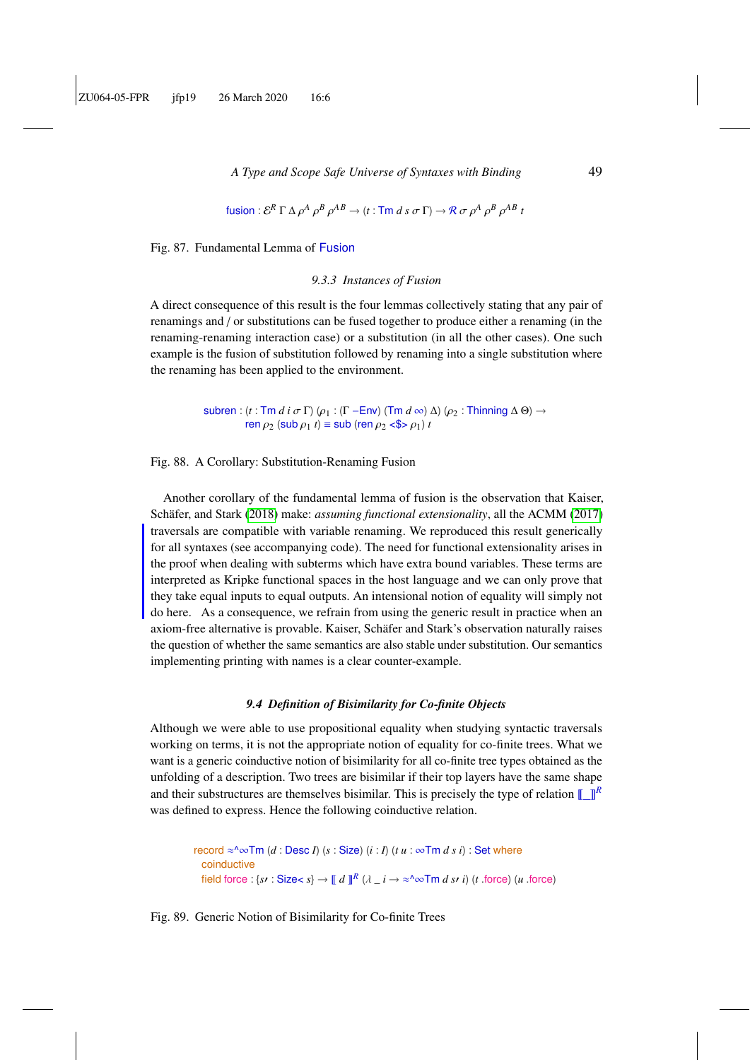fusion: 
$$
\mathcal{E}^R \Gamma \Delta \rho^A \rho^B \rho^{AB} \rightarrow (t : \text{Tr } d \text{ s } \sigma \Gamma) \rightarrow \mathcal{R} \sigma \rho^A \rho^B \rho^{AB} t
$$

Fig. 87. Fundamental Lemma of Fusion

#### *9.3.3 Instances of Fusion*

A direct consequence of this result is the four lemmas collectively stating that any pair of renamings and / or substitutions can be fused together to produce either a renaming (in the renaming-renaming interaction case) or a substitution (in all the other cases). One such example is the fusion of substitution followed by renaming into a single substitution where the renaming has been applied to the environment.

> subren : (*t* : Tm *d i*  $\sigma$  Γ) ( $\rho$ <sub>1</sub> : (Γ −Env) (Tm *d* ∞)  $\Delta$ ) ( $\rho$ <sub>2</sub> : Thinning  $\Delta$  Θ)  $\rightarrow$ ren  $\rho_2$  (sub  $\rho_1$  *t*)  $\equiv$  sub (ren  $\rho_2$  <\$>  $\rho_1$ ) *t*

Fig. 88. A Corollary: Substitution-Renaming Fusion

Another corollary of the fundamental lemma of fusion is the observation that Kaiser, Schäfer, and Stark [\(2018\)](#page-58-9) make: *assuming functional extensionality*, all the ACMM [\(2017\)](#page-55-6) traversals are compatible with variable renaming. We reproduced this result generically for all syntaxes (see accompanying code). The need for functional extensionality arises in the proof when dealing with subterms which have extra bound variables. These terms are interpreted as Kripke functional spaces in the host language and we can only prove that they take equal inputs to equal outputs. An intensional notion of equality will simply not do here. As a consequence, we refrain from using the generic result in practice when an axiom-free alternative is provable. Kaiser, Schäfer and Stark's observation naturally raises the question of whether the same semantics are also stable under substitution. Our semantics implementing printing with names is a clear counter-example.

#### *9.4 Definition of Bisimilarity for Co-finite Objects*

Although we were able to use propositional equality when studying syntactic traversals working on terms, it is not the appropriate notion of equality for co-finite trees. What we want is a generic coinductive notion of bisimilarity for all co-finite tree types obtained as the unfolding of a description. Two trees are bisimilar if their top layers have the same shape and their substructures are themselves bisimilar. This is precisely the type of relation  $\llbracket \cdot \rrbracket^R$ was defined to express. Hence the following coinductive relation.

record  $\approx$  ^ $\infty$ Tm (*d* : Desc *I*) (*s* : Size) (*i* : *I*) (*t u* :  $\infty$ Tm *ds i*) : Set where coinductive field force : { $s \in S$  : Size<  $s$ }  $\to \llbracket d \rrbracket^R$  ( $\lambda \perp i \to \infty$ ^∞Tm *d sr i*) ( $t$  .force) (*u* .force)

Fig. 89. Generic Notion of Bisimilarity for Co-finite Trees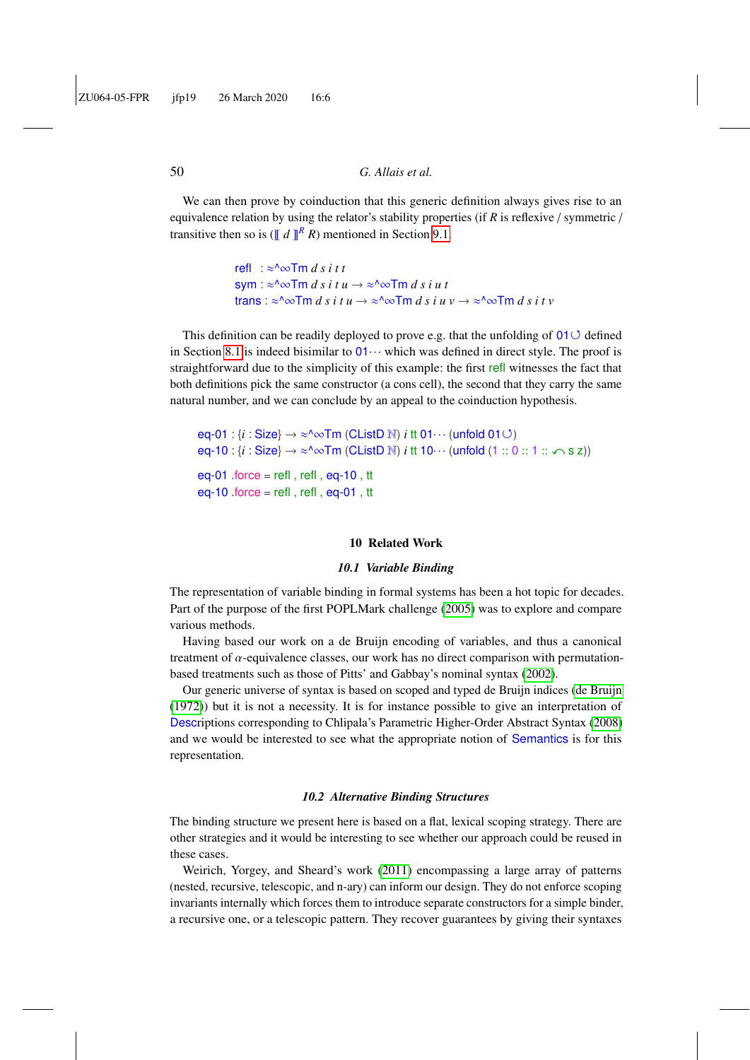We can then prove by coinduction that this generic definition always gives rise to an equivalence relation by using the relator's stability properties (if *R* is reflexive / symmetric / transitive then so is ( $\llbracket d \rrbracket^R R$ ) mentioned in Section [9.1.](#page-43-1)

```
refl : ≈^∞Tm d s i t t
sym : \alpha \inftyTm d s i t u \rightarrow \alpha \inftyTm d s i u t
trans : \approx<sup>n</sup>\inftyTm d s i t u \rightarrow \approx<sup>n\inftyTm d s i i v \rightarrow \infty<sup>n\inftyTm d s i t v</sup></sup>
```
This definition can be readily deployed to prove e.g. that the unfolding of  $01 \circ$  defined in Section [8.1](#page-38-2) is indeed bisimilar to  $01 \cdots$  which was defined in direct style. The proof is straightforward due to the simplicity of this example: the first refl witnesses the fact that both definitions pick the same constructor (a cons cell), the second that they carry the same natural number, and we can conclude by an appeal to the coinduction hypothesis.

eq-01 :  $\{i : \text{Size}\} \rightarrow \infty$   $\infty$  Tm (CListD N)  $i$  tt 01 $\cdots$  (unfold 01 $\circ$ )  $eq-10$ :  $\{i : \text{Size}\} \rightarrow \infty$  m (CListD N)  $i$  tt  $10 \cdots$  (unfold  $(1 :: 0 :: 1 :: \infty$  s z)) eq-01  $f$  .force = refl, refl, eq-10, tt eq-10  $force = refl$ , refl, eq-01, tt

#### 10 Related Work

#### *10.1 Variable Binding*

<span id="page-49-0"></span>The representation of variable binding in formal systems has been a hot topic for decades. Part of the purpose of the first POPLMark challenge [\(2005\)](#page-55-15) was to explore and compare various methods.

Having based our work on a de Bruijn encoding of variables, and thus a canonical treatment of  $\alpha$ -equivalence classes, our work has no direct comparison with permutationbased treatments such as those of Pitts' and Gabbay's nominal syntax [\(2002\)](#page-57-10).

Our generic universe of syntax is based on scoped and typed de Bruijn indices [\(de Bruijn](#page-57-3) [\(1972\)](#page-57-3)) but it is not a necessity. It is for instance possible to give an interpretation of Descriptions corresponding to Chlipala's Parametric Higher-Order Abstract Syntax [\(2008\)](#page-56-9) and we would be interested to see what the appropriate notion of Semantics is for this representation.

#### *10.2 Alternative Binding Structures*

The binding structure we present here is based on a flat, lexical scoping strategy. There are other strategies and it would be interesting to see whether our approach could be reused in these cases.

Weirich, Yorgey, and Sheard's work [\(2011\)](#page-60-1) encompassing a large array of patterns (nested, recursive, telescopic, and n-ary) can inform our design. They do not enforce scoping invariants internally which forces them to introduce separate constructors for a simple binder, a recursive one, or a telescopic pattern. They recover guarantees by giving their syntaxes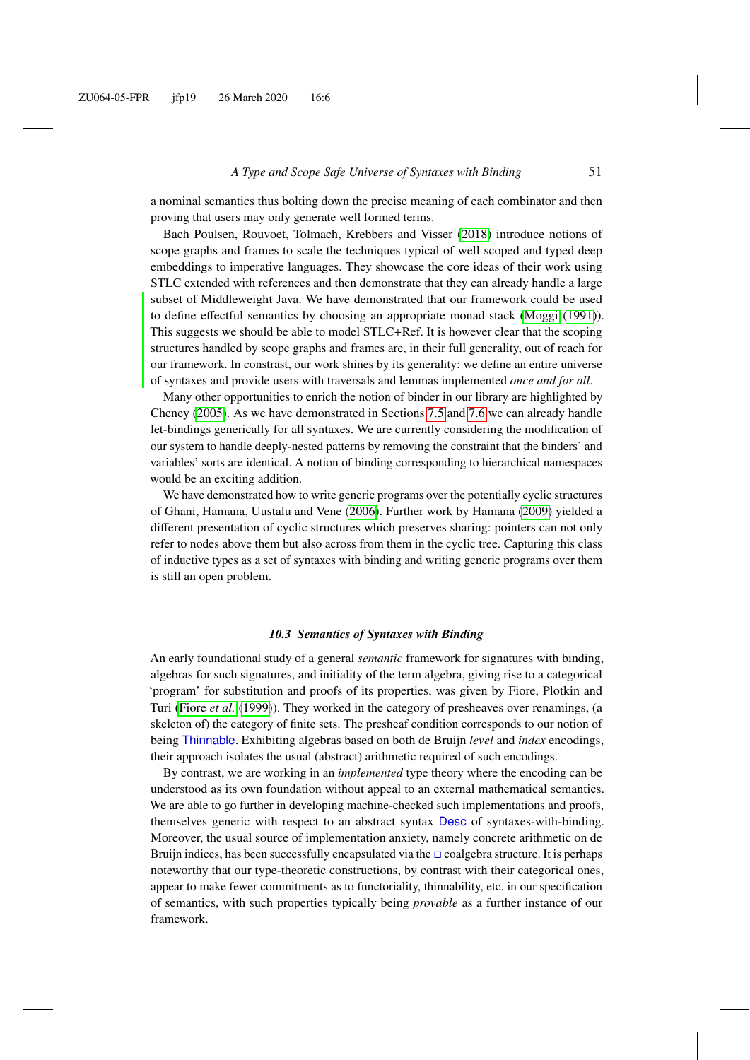a nominal semantics thus bolting down the precise meaning of each combinator and then proving that users may only generate well formed terms.

Bach Poulsen, Rouvoet, Tolmach, Krebbers and Visser [\(2018\)](#page-55-1) introduce notions of scope graphs and frames to scale the techniques typical of well scoped and typed deep embeddings to imperative languages. They showcase the core ideas of their work using STLC extended with references and then demonstrate that they can already handle a large subset of Middleweight Java. We have demonstrated that our framework could be used to define effectful semantics by choosing an appropriate monad stack [\(Moggi](#page-59-11) [\(1991\)](#page-59-11)). This suggests we should be able to model STLC+Ref. It is however clear that the scoping structures handled by scope graphs and frames are, in their full generality, out of reach for our framework. In constrast, our work shines by its generality: we define an entire universe of syntaxes and provide users with traversals and lemmas implemented *once and for all*.

Many other opportunities to enrich the notion of binder in our library are highlighted by Cheney [\(2005\)](#page-56-10). As we have demonstrated in Sections [7.5](#page-31-0) and [7.6](#page-33-0) we can already handle let-bindings generically for all syntaxes. We are currently considering the modification of our system to handle deeply-nested patterns by removing the constraint that the binders' and variables' sorts are identical. A notion of binding corresponding to hierarchical namespaces would be an exciting addition.

We have demonstrated how to write generic programs over the potentially cyclic structures of Ghani, Hamana, Uustalu and Vene [\(2006\)](#page-59-12). Further work by Hamana [\(2009\)](#page-57-11) yielded a different presentation of cyclic structures which preserves sharing: pointers can not only refer to nodes above them but also across from them in the cyclic tree. Capturing this class of inductive types as a set of syntaxes with binding and writing generic programs over them is still an open problem.

#### *10.3 Semantics of Syntaxes with Binding*

An early foundational study of a general *semantic* framework for signatures with binding, algebras for such signatures, and initiality of the term algebra, giving rise to a categorical 'program' for substitution and proofs of its properties, was given by Fiore, Plotkin and Turi [\(Fiore](#page-57-12) *et al.* [\(1999\)](#page-57-12)). They worked in the category of presheaves over renamings, (a skeleton of) the category of finite sets. The presheaf condition corresponds to our notion of being Thinnable. Exhibiting algebras based on both de Bruijn *level* and *index* encodings, their approach isolates the usual (abstract) arithmetic required of such encodings.

By contrast, we are working in an *implemented* type theory where the encoding can be understood as its own foundation without appeal to an external mathematical semantics. We are able to go further in developing machine-checked such implementations and proofs, themselves generic with respect to an abstract syntax Desc of syntaxes-with-binding. Moreover, the usual source of implementation anxiety, namely concrete arithmetic on de Bruijn indices, has been successfully encapsulated via the  $\Box$  coalgebra structure. It is perhaps noteworthy that our type-theoretic constructions, by contrast with their categorical ones, appear to make fewer commitments as to functoriality, thinnability, etc. in our specification of semantics, with such properties typically being *provable* as a further instance of our framework.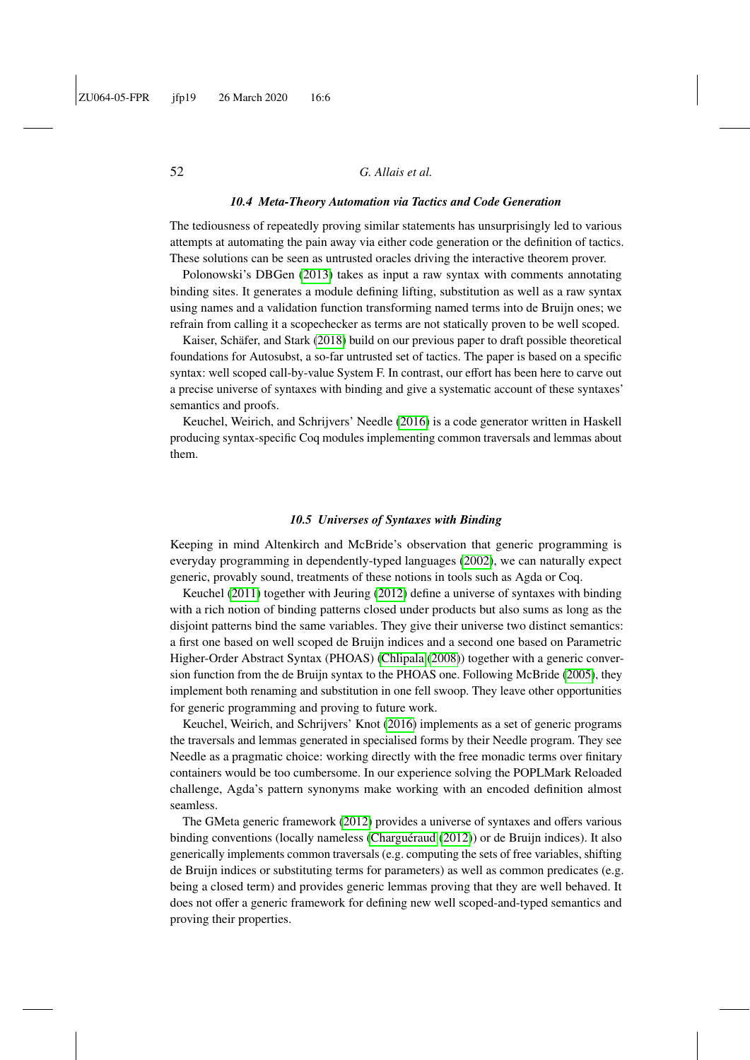#### *10.4 Meta-Theory Automation via Tactics and Code Generation*

The tediousness of repeatedly proving similar statements has unsurprisingly led to various attempts at automating the pain away via either code generation or the definition of tactics. These solutions can be seen as untrusted oracles driving the interactive theorem prover.

Polonowski's DBGen [\(2013\)](#page-59-14) takes as input a raw syntax with comments annotating binding sites. It generates a module defining lifting, substitution as well as a raw syntax using names and a validation function transforming named terms into de Bruijn ones; we refrain from calling it a scopechecker as terms are not statically proven to be well scoped.

Kaiser, Schäfer, and Stark [\(2018\)](#page-58-9) build on our previous paper to draft possible theoretical foundations for Autosubst, a so-far untrusted set of tactics. The paper is based on a specific syntax: well scoped call-by-value System F. In contrast, our effort has been here to carve out a precise universe of syntaxes with binding and give a systematic account of these syntaxes' semantics and proofs.

Keuchel, Weirich, and Schrijvers' Needle [\(2016\)](#page-58-10) is a code generator written in Haskell producing syntax-specific Coq modules implementing common traversals and lemmas about them.

#### *10.5 Universes of Syntaxes with Binding*

Keeping in mind Altenkirch and McBride's observation that generic programming is everyday programming in dependently-typed languages [\(2002\)](#page-55-13), we can naturally expect generic, provably sound, treatments of these notions in tools such as Agda or Coq.

Keuchel [\(2011\)](#page-58-11) together with Jeuring [\(2012\)](#page-58-2) define a universe of syntaxes with binding with a rich notion of binding patterns closed under products but also sums as long as the disjoint patterns bind the same variables. They give their universe two distinct semantics: a first one based on well scoped de Bruijn indices and a second one based on Parametric Higher-Order Abstract Syntax (PHOAS) [\(Chlipala](#page-56-9) [\(2008\)](#page-56-9)) together with a generic conversion function from the de Bruijn syntax to the PHOAS one. Following McBride [\(2005\)](#page-59-15), they implement both renaming and substitution in one fell swoop. They leave other opportunities for generic programming and proving to future work.

Keuchel, Weirich, and Schrijvers' Knot [\(2016\)](#page-58-10) implements as a set of generic programs the traversals and lemmas generated in specialised forms by their Needle program. They see Needle as a pragmatic choice: working directly with the free monadic terms over finitary containers would be too cumbersome. In our experience solving the POPLMark Reloaded challenge, Agda's pattern synonyms make working with an encoded definition almost seamless.

The GMeta generic framework [\(2012\)](#page-58-12) provides a universe of syntaxes and offers various binding conventions (locally nameless [\(Charguéraud](#page-56-11) [\(2012\)](#page-56-11)) or de Bruijn indices). It also generically implements common traversals (e.g. computing the sets of free variables, shifting de Bruijn indices or substituting terms for parameters) as well as common predicates (e.g. being a closed term) and provides generic lemmas proving that they are well behaved. It does not offer a generic framework for defining new well scoped-and-typed semantics and proving their properties.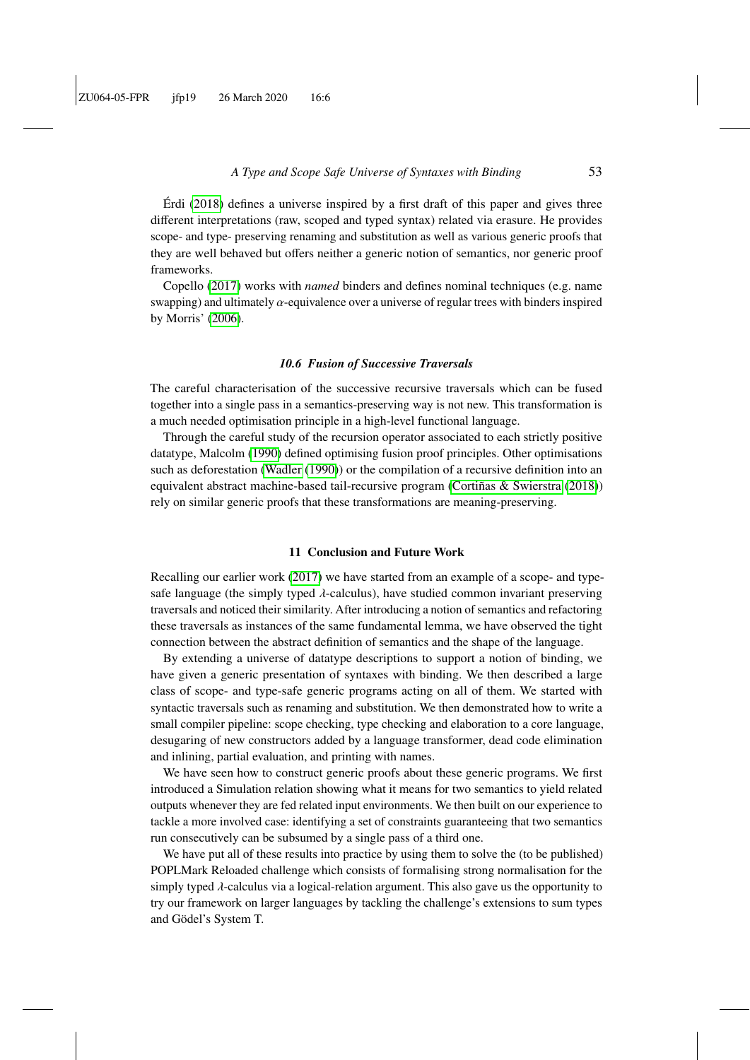Érdi [\(2018\)](#page-57-13) defines a universe inspired by a first draft of this paper and gives three different interpretations (raw, scoped and typed syntax) related via erasure. He provides scope- and type- preserving renaming and substitution as well as various generic proofs that they are well behaved but offers neither a generic notion of semantics, nor generic proof frameworks.

Copello [\(2017\)](#page-56-12) works with *named* binders and defines nominal techniques (e.g. name swapping) and ultimately α-equivalence over a universe of regular trees with binders inspired by Morris' [\(2006\)](#page-59-16).

#### *10.6 Fusion of Successive Traversals*

The careful characterisation of the successive recursive traversals which can be fused together into a single pass in a semantics-preserving way is not new. This transformation is a much needed optimisation principle in a high-level functional language.

Through the careful study of the recursion operator associated to each strictly positive datatype, Malcolm [\(1990\)](#page-58-13) defined optimising fusion proof principles. Other optimisations such as deforestation [\(Wadler](#page-60-2) [\(1990\)](#page-60-2)) or the compilation of a recursive definition into an equivalent abstract machine-based tail-recursive program [\(Cortiñas & Swierstra](#page-56-13) [\(2018\)](#page-56-13)) rely on similar generic proofs that these transformations are meaning-preserving.

#### 11 Conclusion and Future Work

Recalling our earlier work [\(2017\)](#page-55-6) we have started from an example of a scope- and typesafe language (the simply typed  $\lambda$ -calculus), have studied common invariant preserving traversals and noticed their similarity. After introducing a notion of semantics and refactoring these traversals as instances of the same fundamental lemma, we have observed the tight connection between the abstract definition of semantics and the shape of the language.

By extending a universe of datatype descriptions to support a notion of binding, we have given a generic presentation of syntaxes with binding. We then described a large class of scope- and type-safe generic programs acting on all of them. We started with syntactic traversals such as renaming and substitution. We then demonstrated how to write a small compiler pipeline: scope checking, type checking and elaboration to a core language, desugaring of new constructors added by a language transformer, dead code elimination and inlining, partial evaluation, and printing with names.

We have seen how to construct generic proofs about these generic programs. We first introduced a Simulation relation showing what it means for two semantics to yield related outputs whenever they are fed related input environments. We then built on our experience to tackle a more involved case: identifying a set of constraints guaranteeing that two semantics run consecutively can be subsumed by a single pass of a third one.

We have put all of these results into practice by using them to solve the (to be published) POPLMark Reloaded challenge which consists of formalising strong normalisation for the simply typed  $\lambda$ -calculus via a logical-relation argument. This also gave us the opportunity to try our framework on larger languages by tackling the challenge's extensions to sum types and Gödel's System T.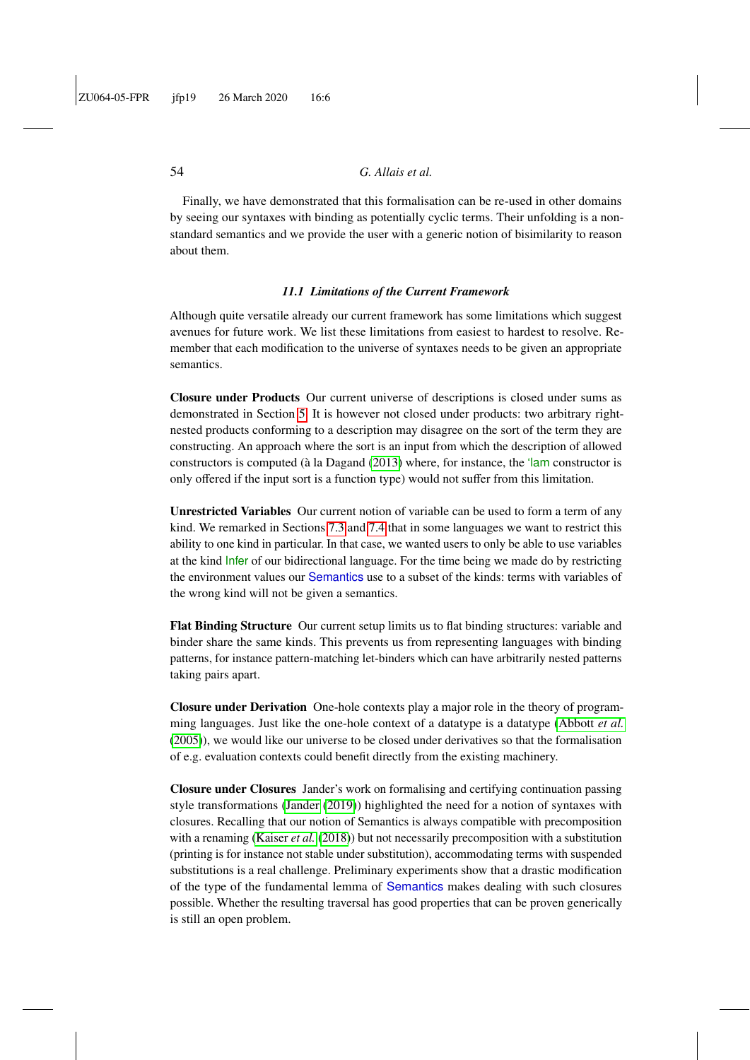Finally, we have demonstrated that this formalisation can be re-used in other domains by seeing our syntaxes with binding as potentially cyclic terms. Their unfolding is a nonstandard semantics and we provide the user with a generic notion of bisimilarity to reason about them.

#### *11.1 Limitations of the Current Framework*

Although quite versatile already our current framework has some limitations which suggest avenues for future work. We list these limitations from easiest to hardest to resolve. Remember that each modification to the universe of syntaxes needs to be given an appropriate semantics.

Closure under Products Our current universe of descriptions is closed under sums as demonstrated in Section [5.](#page-17-1) It is however not closed under products: two arbitrary rightnested products conforming to a description may disagree on the sort of the term they are constructing. An approach where the sort is an input from which the description of allowed constructors is computed (à la Dagand [\(2013\)](#page-57-14) where, for instance, the 'lam constructor is only offered if the input sort is a function type) would not suffer from this limitation.

Unrestricted Variables Our current notion of variable can be used to form a term of any kind. We remarked in Sections [7.3](#page-26-0) and [7.4](#page-28-0) that in some languages we want to restrict this ability to one kind in particular. In that case, we wanted users to only be able to use variables at the kind Infer of our bidirectional language. For the time being we made do by restricting the environment values our Semantics use to a subset of the kinds: terms with variables of the wrong kind will not be given a semantics.

Flat Binding Structure Our current setup limits us to flat binding structures: variable and binder share the same kinds. This prevents us from representing languages with binding patterns, for instance pattern-matching let-binders which can have arbitrarily nested patterns taking pairs apart.

Closure under Derivation One-hole contexts play a major role in the theory of programming languages. Just like the one-hole context of a datatype is a datatype [\(Abbott](#page-54-2) *et al.* [\(2005\)](#page-54-2)), we would like our universe to be closed under derivatives so that the formalisation of e.g. evaluation contexts could benefit directly from the existing machinery.

Closure under Closures Jander's work on formalising and certifying continuation passing style transformations [\(Jander](#page-58-14) [\(2019\)](#page-58-14)) highlighted the need for a notion of syntaxes with closures. Recalling that our notion of Semantics is always compatible with precomposition with a renaming [\(Kaiser](#page-58-9) *et al.* [\(2018\)](#page-58-9)) but not necessarily precomposition with a substitution (printing is for instance not stable under substitution), accommodating terms with suspended substitutions is a real challenge. Preliminary experiments show that a drastic modification of the type of the fundamental lemma of Semantics makes dealing with such closures possible. Whether the resulting traversal has good properties that can be proven generically is still an open problem.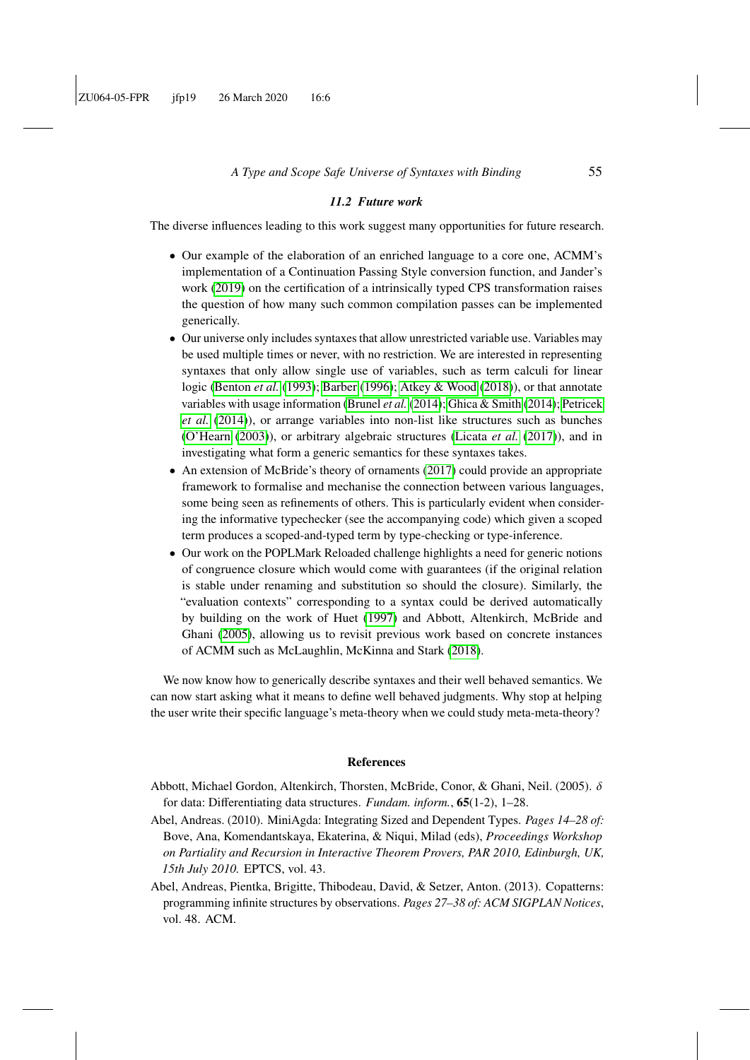#### *11.2 Future work*

The diverse influences leading to this work suggest many opportunities for future research.

- Our example of the elaboration of an enriched language to a core one, ACMM's implementation of a Continuation Passing Style conversion function, and Jander's work [\(2019\)](#page-58-14) on the certification of a intrinsically typed CPS transformation raises the question of how many such common compilation passes can be implemented generically.
- Our universe only includes syntaxes that allow unrestricted variable use. Variables may be used multiple times or never, with no restriction. We are interested in representing syntaxes that only allow single use of variables, such as term calculi for linear logic [\(Benton](#page-56-14) *et al.* [\(1993\)](#page-56-14); [Barber](#page-55-16) [\(1996\)](#page-55-16); [Atkey & Wood](#page-55-17) [\(2018\)](#page-55-17)), or that annotate variables with usage information [\(Brunel](#page-56-15) *et al.* [\(2014\)](#page-56-15); [Ghica & Smith](#page-57-15) [\(2014\)](#page-57-15); [Petricek](#page-59-17) *[et al.](#page-59-17)* [\(2014\)](#page-59-17)), or arrange variables into non-list like structures such as bunches [\(O'Hearn](#page-59-18) [\(2003\)](#page-59-18)), or arbitrary algebraic structures [\(Licata](#page-58-15) *et al.* [\(2017\)](#page-58-15)), and in investigating what form a generic semantics for these syntaxes takes.
- An extension of McBride's theory of ornaments [\(2017\)](#page-59-19) could provide an appropriate framework to formalise and mechanise the connection between various languages, some being seen as refinements of others. This is particularly evident when considering the informative typechecker (see the accompanying code) which given a scoped term produces a scoped-and-typed term by type-checking or type-inference.
- Our work on the POPLMark Reloaded challenge highlights a need for generic notions of congruence closure which would come with guarantees (if the original relation is stable under renaming and substitution so should the closure). Similarly, the "evaluation contexts" corresponding to a syntax could be derived automatically by building on the work of Huet [\(1997\)](#page-58-16) and Abbott, Altenkirch, McBride and Ghani [\(2005\)](#page-54-2), allowing us to revisit previous work based on concrete instances of ACMM such as McLaughlin, McKinna and Stark [\(2018\)](#page-59-20).

We now know how to generically describe syntaxes and their well behaved semantics. We can now start asking what it means to define well behaved judgments. Why stop at helping the user write their specific language's meta-theory when we could study meta-meta-theory?

#### References

- <span id="page-54-2"></span>Abbott, Michael Gordon, Altenkirch, Thorsten, McBride, Conor, & Ghani, Neil. (2005). δ for data: Differentiating data structures. *Fundam. inform.*, 65(1-2), 1–28.
- <span id="page-54-1"></span>Abel, Andreas. (2010). MiniAgda: Integrating Sized and Dependent Types. *Pages 14–28 of:* Bove, Ana, Komendantskaya, Ekaterina, & Niqui, Milad (eds), *Proceedings Workshop on Partiality and Recursion in Interactive Theorem Provers, PAR 2010, Edinburgh, UK, 15th July 2010.* EPTCS, vol. 43.
- <span id="page-54-0"></span>Abel, Andreas, Pientka, Brigitte, Thibodeau, David, & Setzer, Anton. (2013). Copatterns: programming infinite structures by observations. *Pages 27–38 of: ACM SIGPLAN Notices*, vol. 48. ACM.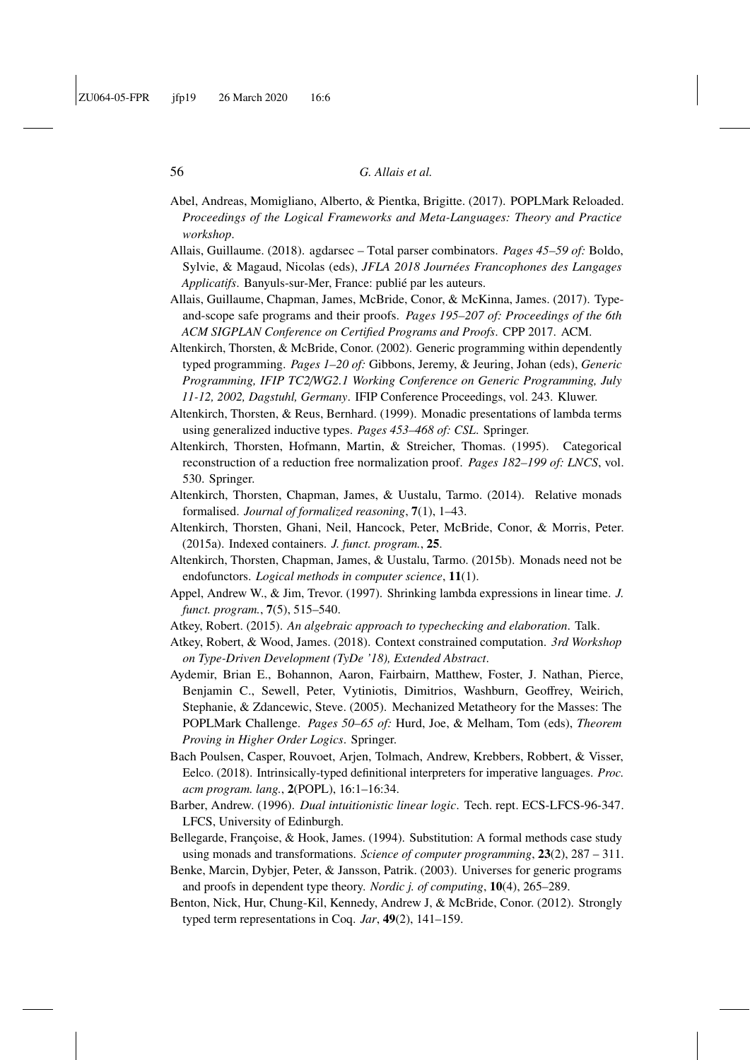- <span id="page-55-14"></span>Abel, Andreas, Momigliano, Alberto, & Pientka, Brigitte. (2017). POPLMark Reloaded. *Proceedings of the Logical Frameworks and Meta-Languages: Theory and Practice workshop*.
- <span id="page-55-11"></span>Allais, Guillaume. (2018). agdarsec – Total parser combinators. *Pages 45–59 of:* Boldo, Sylvie, & Magaud, Nicolas (eds), *JFLA 2018 Journées Francophones des Langages Applicatifs*. Banyuls-sur-Mer, France: publié par les auteurs.
- <span id="page-55-6"></span>Allais, Guillaume, Chapman, James, McBride, Conor, & McKinna, James. (2017). Typeand-scope safe programs and their proofs. *Pages 195–207 of: Proceedings of the 6th ACM SIGPLAN Conference on Certified Programs and Proofs*. CPP 2017. ACM.
- <span id="page-55-13"></span>Altenkirch, Thorsten, & McBride, Conor. (2002). Generic programming within dependently typed programming. *Pages 1–20 of:* Gibbons, Jeremy, & Jeuring, Johan (eds), *Generic Programming, IFIP TC2*/*WG2.1 Working Conference on Generic Programming, July 11-12, 2002, Dagstuhl, Germany*. IFIP Conference Proceedings, vol. 243. Kluwer.
- <span id="page-55-0"></span>Altenkirch, Thorsten, & Reus, Bernhard. (1999). Monadic presentations of lambda terms using generalized inductive types. *Pages 453–468 of: CSL*. Springer.
- <span id="page-55-8"></span>Altenkirch, Thorsten, Hofmann, Martin, & Streicher, Thomas. (1995). Categorical reconstruction of a reduction free normalization proof. *Pages 182–199 of: LNCS*, vol. 530. Springer.
- <span id="page-55-5"></span>Altenkirch, Thorsten, Chapman, James, & Uustalu, Tarmo. (2014). Relative monads formalised. *Journal of formalized reasoning*, 7(1), 1–43.
- <span id="page-55-10"></span>Altenkirch, Thorsten, Ghani, Neil, Hancock, Peter, McBride, Conor, & Morris, Peter. (2015a). Indexed containers. *J. funct. program.*, 25.
- <span id="page-55-4"></span>Altenkirch, Thorsten, Chapman, James, & Uustalu, Tarmo. (2015b). Monads need not be endofunctors. *Logical methods in computer science*, 11(1).
- <span id="page-55-12"></span>Appel, Andrew W., & Jim, Trevor. (1997). Shrinking lambda expressions in linear time. *J. funct. program.*, 7(5), 515–540.
- <span id="page-55-7"></span>Atkey, Robert. (2015). *An algebraic approach to typechecking and elaboration*. Talk.
- <span id="page-55-17"></span>Atkey, Robert, & Wood, James. (2018). Context constrained computation. *3rd Workshop on Type-Driven Development (TyDe '18), Extended Abstract*.
- <span id="page-55-15"></span>Aydemir, Brian E., Bohannon, Aaron, Fairbairn, Matthew, Foster, J. Nathan, Pierce, Benjamin C., Sewell, Peter, Vytiniotis, Dimitrios, Washburn, Geoffrey, Weirich, Stephanie, & Zdancewic, Steve. (2005). Mechanized Metatheory for the Masses: The POPLMark Challenge. *Pages 50–65 of:* Hurd, Joe, & Melham, Tom (eds), *Theorem Proving in Higher Order Logics*. Springer.
- <span id="page-55-1"></span>Bach Poulsen, Casper, Rouvoet, Arjen, Tolmach, Andrew, Krebbers, Robbert, & Visser, Eelco. (2018). Intrinsically-typed definitional interpreters for imperative languages. *Proc. acm program. lang.*, 2(POPL), 16:1–16:34.
- <span id="page-55-16"></span>Barber, Andrew. (1996). *Dual intuitionistic linear logic*. Tech. rept. ECS-LFCS-96-347. LFCS, University of Edinburgh.
- <span id="page-55-3"></span>Bellegarde, Françoise, & Hook, James. (1994). Substitution: A formal methods case study using monads and transformations. *Science of computer programming*, 23(2), 287 – 311.
- <span id="page-55-9"></span>Benke, Marcin, Dybjer, Peter, & Jansson, Patrik. (2003). Universes for generic programs and proofs in dependent type theory. *Nordic j. of computing*, 10(4), 265–289.
- <span id="page-55-2"></span>Benton, Nick, Hur, Chung-Kil, Kennedy, Andrew J, & McBride, Conor. (2012). Strongly typed term representations in Coq. *Jar*, 49(2), 141–159.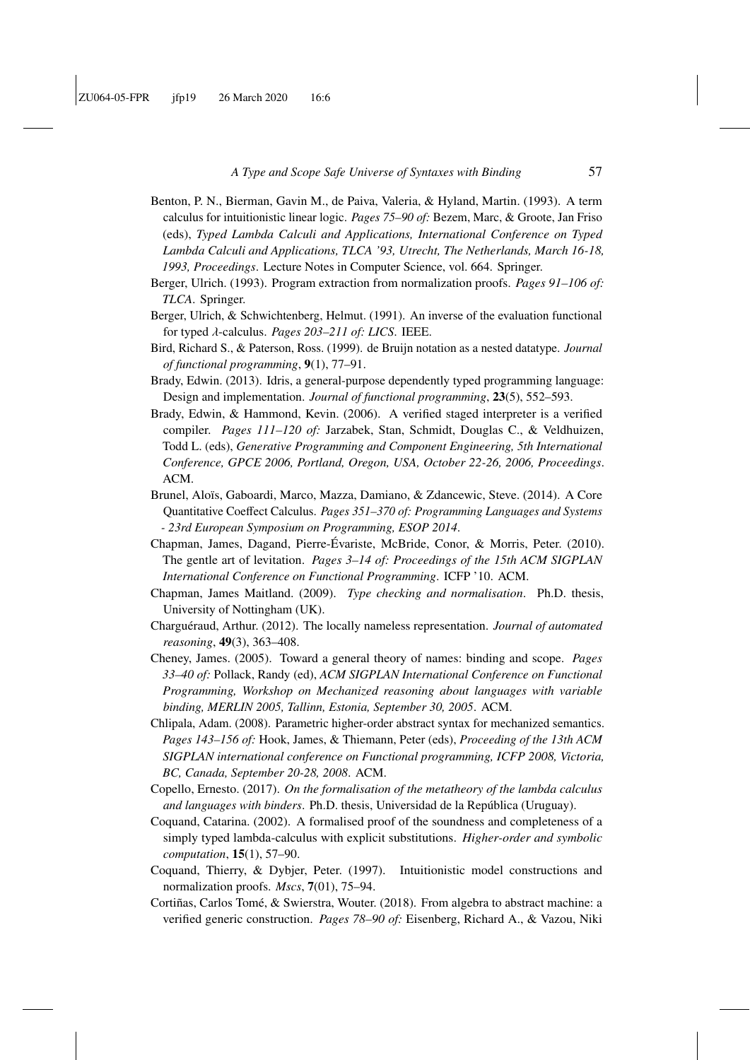- <span id="page-56-14"></span>Benton, P. N., Bierman, Gavin M., de Paiva, Valeria, & Hyland, Martin. (1993). A term calculus for intuitionistic linear logic. *Pages 75–90 of:* Bezem, Marc, & Groote, Jan Friso (eds), *Typed Lambda Calculi and Applications, International Conference on Typed Lambda Calculi and Applications, TLCA '93, Utrecht, The Netherlands, March 16-18, 1993, Proceedings*. Lecture Notes in Computer Science, vol. 664. Springer.
- <span id="page-56-5"></span>Berger, Ulrich. (1993). Program extraction from normalization proofs. *Pages 91–106 of: TLCA*. Springer.
- <span id="page-56-4"></span>Berger, Ulrich, & Schwichtenberg, Helmut. (1991). An inverse of the evaluation functional for typed λ-calculus. *Pages 203–211 of: LICS*. IEEE.
- <span id="page-56-2"></span>Bird, Richard S., & Paterson, Ross. (1999). de Bruijn notation as a nested datatype. *Journal of functional programming*, 9(1), 77–91.
- <span id="page-56-1"></span>Brady, Edwin. (2013). Idris, a general-purpose dependently typed programming language: Design and implementation. *Journal of functional programming*, 23(5), 552–593.
- <span id="page-56-0"></span>Brady, Edwin, & Hammond, Kevin. (2006). A verified staged interpreter is a verified compiler. *Pages 111–120 of:* Jarzabek, Stan, Schmidt, Douglas C., & Veldhuizen, Todd L. (eds), *Generative Programming and Component Engineering, 5th International Conference, GPCE 2006, Portland, Oregon, USA, October 22-26, 2006, Proceedings*. ACM.
- <span id="page-56-15"></span>Brunel, Aloïs, Gaboardi, Marco, Mazza, Damiano, & Zdancewic, Steve. (2014). A Core Quantitative Coeffect Calculus. *Pages 351–370 of: Programming Languages and Systems - 23rd European Symposium on Programming, ESOP 2014*.
- <span id="page-56-8"></span>Chapman, James, Dagand, Pierre-Évariste, McBride, Conor, & Morris, Peter. (2010). The gentle art of levitation. *Pages 3–14 of: Proceedings of the 15th ACM SIGPLAN International Conference on Functional Programming*. ICFP '10. ACM.
- <span id="page-56-3"></span>Chapman, James Maitland. (2009). *Type checking and normalisation*. Ph.D. thesis, University of Nottingham (UK).
- <span id="page-56-11"></span>Charguéraud, Arthur. (2012). The locally nameless representation. *Journal of automated reasoning*, 49(3), 363–408.
- <span id="page-56-10"></span>Cheney, James. (2005). Toward a general theory of names: binding and scope. *Pages 33–40 of:* Pollack, Randy (ed), *ACM SIGPLAN International Conference on Functional Programming, Workshop on Mechanized reasoning about languages with variable binding, MERLIN 2005, Tallinn, Estonia, September 30, 2005*. ACM.
- <span id="page-56-9"></span>Chlipala, Adam. (2008). Parametric higher-order abstract syntax for mechanized semantics. *Pages 143–156 of:* Hook, James, & Thiemann, Peter (eds), *Proceeding of the 13th ACM SIGPLAN international conference on Functional programming, ICFP 2008, Victoria, BC, Canada, September 20-28, 2008*. ACM.
- <span id="page-56-12"></span>Copello, Ernesto. (2017). *On the formalisation of the metatheory of the lambda calculus and languages with binders*. Ph.D. thesis, Universidad de la República (Uruguay).
- <span id="page-56-7"></span>Coquand, Catarina. (2002). A formalised proof of the soundness and completeness of a simply typed lambda-calculus with explicit substitutions. *Higher-order and symbolic computation*, 15(1), 57–90.
- <span id="page-56-6"></span>Coquand, Thierry, & Dybjer, Peter. (1997). Intuitionistic model constructions and normalization proofs. *Mscs*, 7(01), 75–94.
- <span id="page-56-13"></span>Cortiñas, Carlos Tomé, & Swierstra, Wouter. (2018). From algebra to abstract machine: a verified generic construction. *Pages 78–90 of:* Eisenberg, Richard A., & Vazou, Niki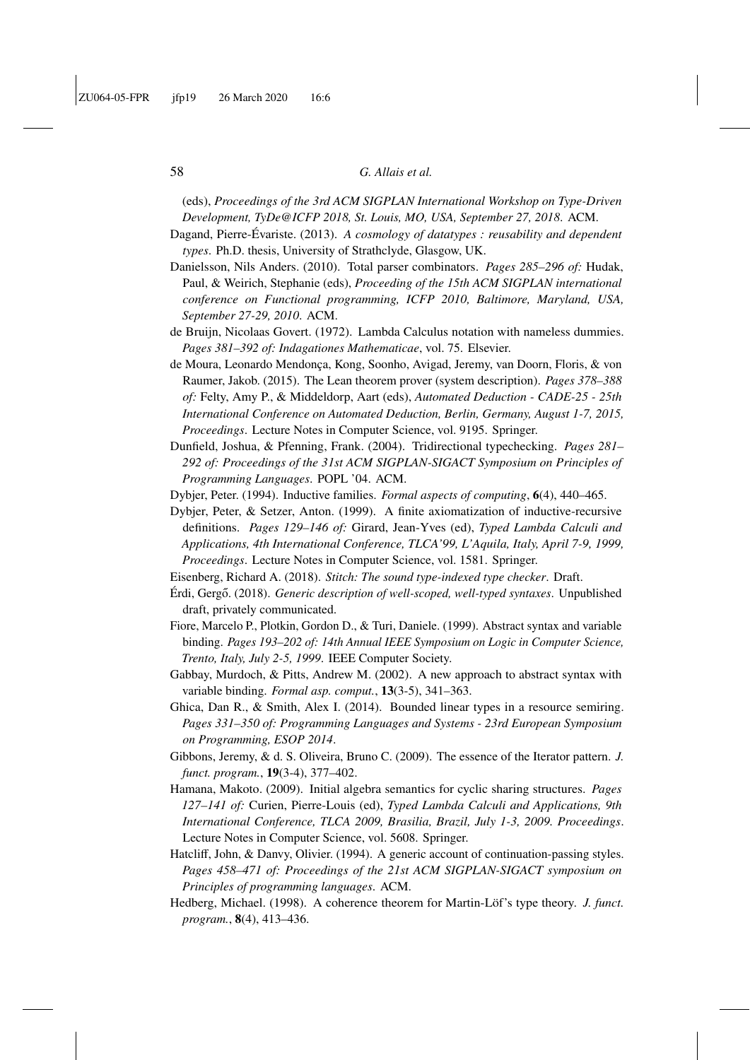(eds), *Proceedings of the 3rd ACM SIGPLAN International Workshop on Type-Driven Development, TyDe@ICFP 2018, St. Louis, MO, USA, September 27, 2018*. ACM.

- <span id="page-57-14"></span>Dagand, Pierre-Évariste. (2013). *A cosmology of datatypes : reusability and dependent types*. Ph.D. thesis, University of Strathclyde, Glasgow, UK.
- <span id="page-57-5"></span>Danielsson, Nils Anders. (2010). Total parser combinators. *Pages 285–296 of:* Hudak, Paul, & Weirich, Stephanie (eds), *Proceeding of the 15th ACM SIGPLAN international conference on Functional programming, ICFP 2010, Baltimore, Maryland, USA, September 27-29, 2010*. ACM.
- <span id="page-57-3"></span>de Bruijn, Nicolaas Govert. (1972). Lambda Calculus notation with nameless dummies. *Pages 381–392 of: Indagationes Mathematicae*, vol. 75. Elsevier.
- <span id="page-57-2"></span>de Moura, Leonardo Mendonça, Kong, Soonho, Avigad, Jeremy, van Doorn, Floris, & von Raumer, Jakob. (2015). The Lean theorem prover (system description). *Pages 378–388 of:* Felty, Amy P., & Middeldorp, Aart (eds), *Automated Deduction - CADE-25 - 25th International Conference on Automated Deduction, Berlin, Germany, August 1-7, 2015, Proceedings*. Lecture Notes in Computer Science, vol. 9195. Springer.
- <span id="page-57-7"></span>Dunfield, Joshua, & Pfenning, Frank. (2004). Tridirectional typechecking. *Pages 281– 292 of: Proceedings of the 31st ACM SIGPLAN-SIGACT Symposium on Principles of Programming Languages*. POPL '04. ACM.
- <span id="page-57-0"></span>Dybjer, Peter. (1994). Inductive families. *Formal aspects of computing*, 6(4), 440–465.
- <span id="page-57-4"></span>Dybjer, Peter, & Setzer, Anton. (1999). A finite axiomatization of inductive-recursive definitions. *Pages 129–146 of:* Girard, Jean-Yves (ed), *Typed Lambda Calculi and Applications, 4th International Conference, TLCA'99, L'Aquila, Italy, April 7-9, 1999, Proceedings*. Lecture Notes in Computer Science, vol. 1581. Springer.
- <span id="page-57-1"></span>Eisenberg, Richard A. (2018). *Stitch: The sound type-indexed type checker*. Draft.
- <span id="page-57-13"></span>Érdi, Gergo. (2018). ˝ *Generic description of well-scoped, well-typed syntaxes*. Unpublished draft, privately communicated.
- <span id="page-57-12"></span>Fiore, Marcelo P., Plotkin, Gordon D., & Turi, Daniele. (1999). Abstract syntax and variable binding. *Pages 193–202 of: 14th Annual IEEE Symposium on Logic in Computer Science, Trento, Italy, July 2-5, 1999*. IEEE Computer Society.
- <span id="page-57-10"></span>Gabbay, Murdoch, & Pitts, Andrew M. (2002). A new approach to abstract syntax with variable binding. *Formal asp. comput.*, 13(3-5), 341–363.
- <span id="page-57-15"></span>Ghica, Dan R., & Smith, Alex I. (2014). Bounded linear types in a resource semiring. *Pages 331–350 of: Programming Languages and Systems - 23rd European Symposium on Programming, ESOP 2014*.
- <span id="page-57-6"></span>Gibbons, Jeremy, & d. S. Oliveira, Bruno C. (2009). The essence of the Iterator pattern. *J. funct. program.*, 19(3-4), 377–402.
- <span id="page-57-11"></span>Hamana, Makoto. (2009). Initial algebra semantics for cyclic sharing structures. *Pages 127–141 of:* Curien, Pierre-Louis (ed), *Typed Lambda Calculi and Applications, 9th International Conference, TLCA 2009, Brasilia, Brazil, July 1-3, 2009. Proceedings*. Lecture Notes in Computer Science, vol. 5608. Springer.
- <span id="page-57-8"></span>Hatcliff, John, & Danvy, Olivier. (1994). A generic account of continuation-passing styles. *Pages 458–471 of: Proceedings of the 21st ACM SIGPLAN-SIGACT symposium on Principles of programming languages*. ACM.
- <span id="page-57-9"></span>Hedberg, Michael. (1998). A coherence theorem for Martin-Löf's type theory. *J. funct. program.*, 8(4), 413–436.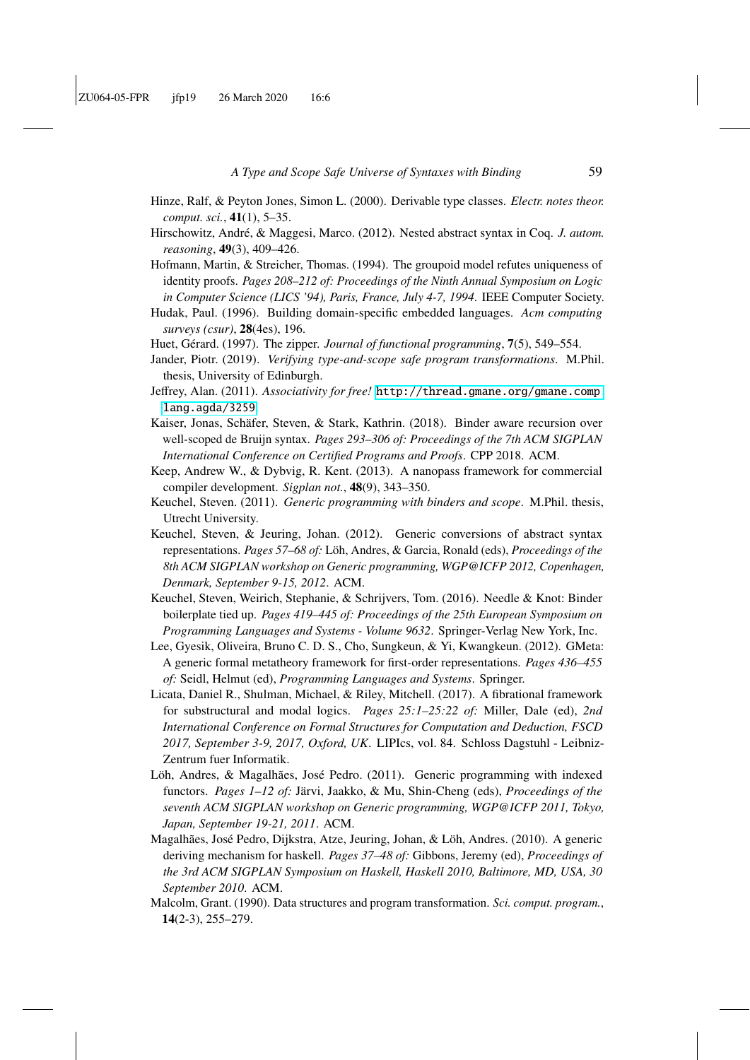- <span id="page-58-5"></span>Hinze, Ralf, & Peyton Jones, Simon L. (2000). Derivable type classes. *Electr. notes theor. comput. sci.*, 41(1), 5–35.
- <span id="page-58-1"></span>Hirschowitz, André, & Maggesi, Marco. (2012). Nested abstract syntax in Coq. *J. autom. reasoning*, 49(3), 409–426.
- <span id="page-58-8"></span>Hofmann, Martin, & Streicher, Thomas. (1994). The groupoid model refutes uniqueness of identity proofs. *Pages 208–212 of: Proceedings of the Ninth Annual Symposium on Logic in Computer Science (LICS '94), Paris, France, July 4-7, 1994*. IEEE Computer Society.
- <span id="page-58-0"></span>Hudak, Paul. (1996). Building domain-specific embedded languages. *Acm computing surveys (csur)*, 28(4es), 196.
- <span id="page-58-16"></span>Huet, Gérard. (1997). The zipper. *Journal of functional programming*, 7(5), 549–554.
- <span id="page-58-14"></span>Jander, Piotr. (2019). *Verifying type-and-scope safe program transformations*. M.Phil. thesis, University of Edinburgh.
- <span id="page-58-3"></span>Jeffrey, Alan. (2011). *Associativity for free!* [http://thread.gmane.org/gmane.comp.](http://thread.gmane.org/gmane.comp.lang.agda/3259) [lang.agda/3259](http://thread.gmane.org/gmane.comp.lang.agda/3259).
- <span id="page-58-9"></span>Kaiser, Jonas, Schäfer, Steven, & Stark, Kathrin. (2018). Binder aware recursion over well-scoped de Bruijn syntax. *Pages 293–306 of: Proceedings of the 7th ACM SIGPLAN International Conference on Certified Programs and Proofs*. CPP 2018. ACM.
- <span id="page-58-4"></span>Keep, Andrew W., & Dybvig, R. Kent. (2013). A nanopass framework for commercial compiler development. *Sigplan not.*, 48(9), 343–350.
- <span id="page-58-11"></span>Keuchel, Steven. (2011). *Generic programming with binders and scope*. M.Phil. thesis, Utrecht University.
- <span id="page-58-2"></span>Keuchel, Steven, & Jeuring, Johan. (2012). Generic conversions of abstract syntax representations. *Pages 57–68 of:* Löh, Andres, & Garcia, Ronald (eds), *Proceedings of the 8th ACM SIGPLAN workshop on Generic programming, WGP@ICFP 2012, Copenhagen, Denmark, September 9-15, 2012*. ACM.
- <span id="page-58-10"></span>Keuchel, Steven, Weirich, Stephanie, & Schrijvers, Tom. (2016). Needle & Knot: Binder boilerplate tied up. *Pages 419–445 of: Proceedings of the 25th European Symposium on Programming Languages and Systems - Volume 9632*. Springer-Verlag New York, Inc.
- <span id="page-58-12"></span>Lee, Gyesik, Oliveira, Bruno C. D. S., Cho, Sungkeun, & Yi, Kwangkeun. (2012). GMeta: A generic formal metatheory framework for first-order representations. *Pages 436–455 of:* Seidl, Helmut (ed), *Programming Languages and Systems*. Springer.
- <span id="page-58-15"></span>Licata, Daniel R., Shulman, Michael, & Riley, Mitchell. (2017). A fibrational framework for substructural and modal logics. *Pages 25:1–25:22 of:* Miller, Dale (ed), *2nd International Conference on Formal Structures for Computation and Deduction, FSCD 2017, September 3-9, 2017, Oxford, UK*. LIPIcs, vol. 84. Schloss Dagstuhl - Leibniz-Zentrum fuer Informatik.
- <span id="page-58-7"></span>Löh, Andres, & Magalhães, José Pedro. (2011). Generic programming with indexed functors. *Pages 1–12 of:* Järvi, Jaakko, & Mu, Shin-Cheng (eds), *Proceedings of the seventh ACM SIGPLAN workshop on Generic programming, WGP@ICFP 2011, Tokyo, Japan, September 19-21, 2011*. ACM.
- <span id="page-58-6"></span>Magalhães, José Pedro, Dijkstra, Atze, Jeuring, Johan, & Löh, Andres. (2010). A generic deriving mechanism for haskell. *Pages 37–48 of:* Gibbons, Jeremy (ed), *Proceedings of the 3rd ACM SIGPLAN Symposium on Haskell, Haskell 2010, Baltimore, MD, USA, 30 September 2010*. ACM.
- <span id="page-58-13"></span>Malcolm, Grant. (1990). Data structures and program transformation. *Sci. comput. program.*, 14(2-3), 255–279.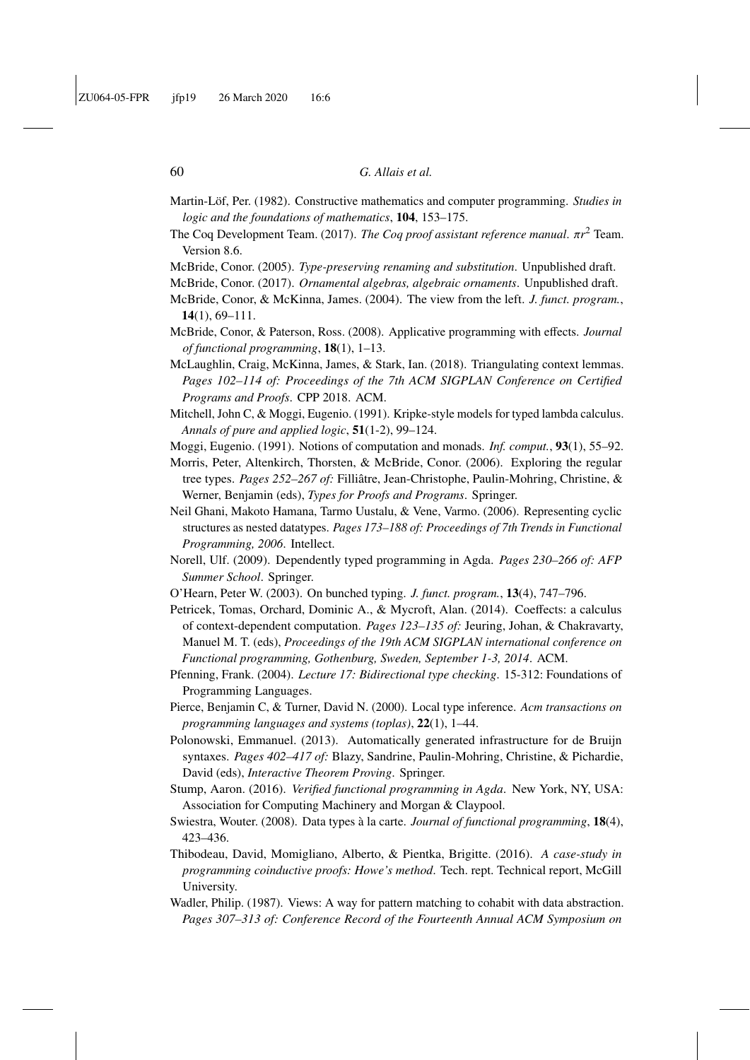<span id="page-59-1"></span>Martin-Löf, Per. (1982). Constructive mathematics and computer programming. *Studies in logic and the foundations of mathematics*, 104, 153–175.

<span id="page-59-2"></span>The Coq Development Team. (2017). *The Coq proof assistant reference manual*. π*<sup>r</sup>* <sup>2</sup> Team. Version 8.6.

<span id="page-59-15"></span>McBride, Conor. (2005). *Type-preserving renaming and substitution*. Unpublished draft.

- <span id="page-59-19"></span>McBride, Conor. (2017). *Ornamental algebras, algebraic ornaments*. Unpublished draft.
- <span id="page-59-7"></span>McBride, Conor, & McKinna, James. (2004). The view from the left. *J. funct. program.*, 14(1), 69–111.
- <span id="page-59-5"></span>McBride, Conor, & Paterson, Ross. (2008). Applicative programming with effects. *Journal of functional programming*, 18(1), 1–13.
- <span id="page-59-20"></span>McLaughlin, Craig, McKinna, James, & Stark, Ian. (2018). Triangulating context lemmas. *Pages 102–114 of: Proceedings of the 7th ACM SIGPLAN Conference on Certified Programs and Proofs*. CPP 2018. ACM.
- <span id="page-59-13"></span>Mitchell, John C, & Moggi, Eugenio. (1991). Kripke-style models for typed lambda calculus. *Annals of pure and applied logic*, 51(1-2), 99–124.
- <span id="page-59-11"></span>Moggi, Eugenio. (1991). Notions of computation and monads. *Inf. comput.*, 93(1), 55–92.
- <span id="page-59-16"></span>Morris, Peter, Altenkirch, Thorsten, & McBride, Conor. (2006). Exploring the regular tree types. *Pages 252–267 of:* Filliâtre, Jean-Christophe, Paulin-Mohring, Christine, & Werner, Benjamin (eds), *Types for Proofs and Programs*. Springer.
- <span id="page-59-12"></span>Neil Ghani, Makoto Hamana, Tarmo Uustalu, & Vene, Varmo. (2006). Representing cyclic structures as nested datatypes. *Pages 173–188 of: Proceedings of 7th Trends in Functional Programming, 2006*. Intellect.
- <span id="page-59-0"></span>Norell, Ulf. (2009). Dependently typed programming in Agda. *Pages 230–266 of: AFP Summer School*. Springer.
- <span id="page-59-18"></span><span id="page-59-17"></span>O'Hearn, Peter W. (2003). On bunched typing. *J. funct. program.*, 13(4), 747–796.
- Petricek, Tomas, Orchard, Dominic A., & Mycroft, Alan. (2014). Coeffects: a calculus of context-dependent computation. *Pages 123–135 of:* Jeuring, Johan, & Chakravarty, Manuel M. T. (eds), *Proceedings of the 19th ACM SIGPLAN international conference on Functional programming, Gothenburg, Sweden, September 1-3, 2014*. ACM.
- <span id="page-59-8"></span>Pfenning, Frank. (2004). *Lecture 17: Bidirectional type checking*. 15-312: Foundations of Programming Languages.
- <span id="page-59-4"></span>Pierce, Benjamin C, & Turner, David N. (2000). Local type inference. *Acm transactions on programming languages and systems (toplas)*, 22(1), 1–44.
- <span id="page-59-14"></span>Polonowski, Emmanuel. (2013). Automatically generated infrastructure for de Bruijn syntaxes. *Pages 402–417 of:* Blazy, Sandrine, Paulin-Mohring, Christine, & Pichardie, David (eds), *Interactive Theorem Proving*. Springer.
- <span id="page-59-6"></span>Stump, Aaron. (2016). *Verified functional programming in Agda*. New York, NY, USA: Association for Computing Machinery and Morgan & Claypool.
- <span id="page-59-10"></span>Swiestra, Wouter. (2008). Data types à la carte. *Journal of functional programming*, 18(4), 423–436.
- <span id="page-59-3"></span>Thibodeau, David, Momigliano, Alberto, & Pientka, Brigitte. (2016). *A case-study in programming coinductive proofs: Howe's method*. Tech. rept. Technical report, McGill University.
- <span id="page-59-9"></span>Wadler, Philip. (1987). Views: A way for pattern matching to cohabit with data abstraction. *Pages 307–313 of: Conference Record of the Fourteenth Annual ACM Symposium on*